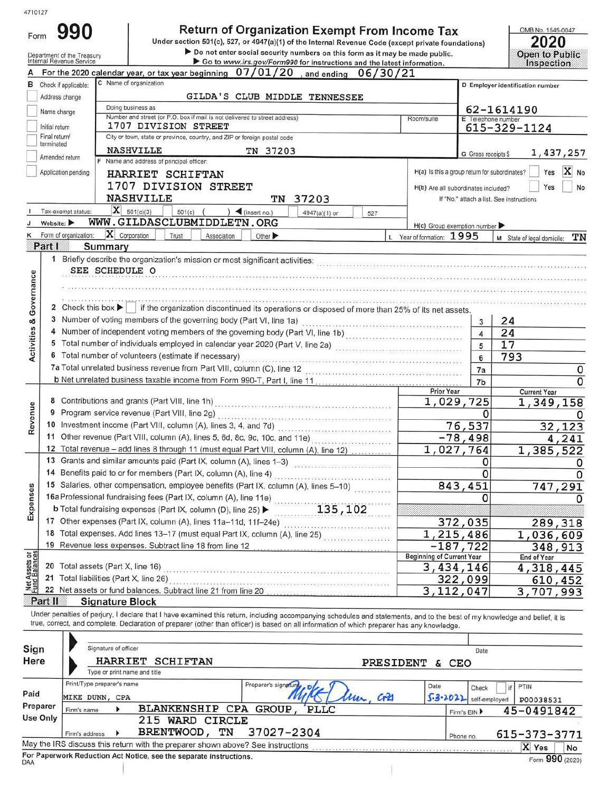| ł<br>. . | 101 |  |
|----------|-----|--|
|          |     |  |

Form 990

# Return of Organization Exempt From Income Tax<br>Under section 501(c), 527, or 4947(a)(1) of the Internal Revenue Code (except private foundations)<br>Do not enter social security numbers on this form as it may be made public.

|  |      | OMB No. 1545-0047 |  |
|--|------|-------------------|--|
|  | 2020 |                   |  |
|  |      | Open to Public    |  |
|  |      |                   |  |

|                                | Department of the Treasury<br>Internal Revenue Service | red social security humbers on this form as it may be made bubild.<br>Go to www.irs.gov/Form990 for instructions and the latest information.                                                   |                                  | Open to Public<br>Inspection             |  |
|--------------------------------|--------------------------------------------------------|------------------------------------------------------------------------------------------------------------------------------------------------------------------------------------------------|----------------------------------|------------------------------------------|--|
|                                |                                                        | For the 2020 calendar year, or tax year beginning $07/01/20$ , and ending<br>06/30/21                                                                                                          |                                  |                                          |  |
|                                | <b>B</b> Check if applicable:                          | C Name of organization                                                                                                                                                                         | D Employer identification number |                                          |  |
|                                | Address change                                         | GILDA'S CLUB MIDDLE TENNESSEE                                                                                                                                                                  |                                  |                                          |  |
|                                | Name change                                            | Doing business as                                                                                                                                                                              |                                  | 62-1614190                               |  |
|                                |                                                        | Number and street (or P.O. box if mail is not delivered to street address).<br>Room/suite                                                                                                      | E Telephone number               |                                          |  |
|                                | Initial return<br>Final return/                        | 1707 DIVISION STREET                                                                                                                                                                           |                                  | 615-329-1124                             |  |
|                                | terminated                                             | City or town, state or province, country, and ZIP or foreign postal code                                                                                                                       |                                  |                                          |  |
|                                | Amended return                                         | <b>NASHVILLE</b><br>TN 37203                                                                                                                                                                   | G Gross receipts \$              | 1,437,257                                |  |
|                                |                                                        | Name and address of principal officer:<br>H(a) Is this a group return for subordinates?                                                                                                        |                                  | X No<br>Yes                              |  |
|                                | Application pending                                    | HARRIET SCHIFTAN                                                                                                                                                                               |                                  |                                          |  |
|                                |                                                        | 1707 DIVISION STREET<br>H(b) Are all subordinates included?                                                                                                                                    |                                  | Yes<br>No                                |  |
|                                |                                                        | <b>NASHVILLE</b><br>TN 37203                                                                                                                                                                   |                                  | If "No," attach a list. See instructions |  |
|                                | Tax-exempt status:                                     | $X = 501(c)(3)$<br>) $\blacktriangleleft$ (insert no.)<br>$501(c)$ (<br>4947(a)(1) or<br>527                                                                                                   |                                  |                                          |  |
|                                | Website:                                               | WWW.GILDASCLUBMIDDLETN.ORG<br>$H(c)$ Group exemption number                                                                                                                                    |                                  |                                          |  |
|                                | Form of organization:                                  | X Corporation<br>Trust<br>Other ><br>Association<br>L Year of formation: 1995                                                                                                                  |                                  | TN<br>M State of legal domicile:         |  |
|                                | Part I                                                 | <b>Summary</b>                                                                                                                                                                                 |                                  |                                          |  |
|                                |                                                        |                                                                                                                                                                                                |                                  |                                          |  |
|                                |                                                        | SEE SCHEDULE O                                                                                                                                                                                 |                                  |                                          |  |
|                                |                                                        |                                                                                                                                                                                                |                                  |                                          |  |
| & Governance                   |                                                        |                                                                                                                                                                                                |                                  |                                          |  |
|                                |                                                        | 2 Check this box ▶   if the organization discontinued its operations or disposed of more than 25% of its net assets.                                                                           |                                  |                                          |  |
|                                |                                                        | 3 Number of voting members of the governing body (Part VI, line 1a)                                                                                                                            | 3                                | 24                                       |  |
|                                |                                                        | 4 Number of independent voting members of the governing body (Part VI, line 1b)                                                                                                                | $\overline{\mathbf{4}}$          | 24                                       |  |
|                                |                                                        | 5 Total number of individuals employed in calendar year 2020 (Part V, line 2a)                                                                                                                 | 5                                | 17                                       |  |
| Activities                     |                                                        | 6 Total number of volunteers (estimate if necessary)                                                                                                                                           | 6                                | 793                                      |  |
|                                |                                                        | .<br>The first transformation of the property of the series of the series of the series of the series of the series<br>7a Total unrelated business revenue from Part VIII, column (C), line 12 | 7a                               | 0                                        |  |
|                                |                                                        |                                                                                                                                                                                                | 7b                               | 0                                        |  |
|                                |                                                        | Prior Year                                                                                                                                                                                     |                                  | <b>Current Year</b>                      |  |
|                                |                                                        | 8 Contributions and grants (Part VIII, line 1h)                                                                                                                                                | 1,029,725                        | 1,349,158                                |  |
| Revenue                        |                                                        | 9 Program service revenue (Part VIII, line 2g)                                                                                                                                                 | 0                                |                                          |  |
|                                |                                                        | 10 Investment income (Part VIII, column (A), lines 3, 4, and 7d)<br>.<br>The projection of the continuation of the continuation of the control of the continuation of the continuation         | 76,537                           | 32,123                                   |  |
|                                |                                                        | 11 Other revenue (Part VIII, column (A), lines 5, 6d, 8c, 9c, 10c, and 11e)                                                                                                                    | $-78,498$                        | 4,241                                    |  |
|                                |                                                        | 12 Total revenue - add lines 8 through 11 (must equal Part VIII, column (A), line 12)                                                                                                          | 1,027,764                        | 1,385,522                                |  |
|                                |                                                        | 13 Grants and similar amounts paid (Part IX, column (A), lines 1-3)                                                                                                                            | 0                                |                                          |  |
|                                |                                                        | 14 Benefits paid to or for members (Part IX, column (A), line 4)                                                                                                                               | 0                                |                                          |  |
|                                |                                                        | 15 Salaries, other compensation, employee benefits (Part IX, column (A), lines 5-10)                                                                                                           | 843,451                          | 747,291                                  |  |
| nses                           |                                                        | 16a Professional fundraising fees (Part IX, column (A), line 11e)                                                                                                                              | 0                                |                                          |  |
| Exper                          |                                                        | b Total fundraising expenses (Part IX, column (D), line 25) ><br>135,102                                                                                                                       |                                  |                                          |  |
|                                |                                                        | 17 Other expenses (Part IX, column (A), lines 11a-11d, 11f-24e)                                                                                                                                | 372,035                          |                                          |  |
|                                |                                                        | 18 Total expenses. Add lines 13-17 (must equal Part IX, column (A), line 25)                                                                                                                   |                                  | 289,318                                  |  |
|                                |                                                        | 19 Revenue less expenses. Subtract line 18 from line 12                                                                                                                                        | 1,215,486                        | 1,036,609                                |  |
|                                |                                                        | <b>Beginning of Current Year</b>                                                                                                                                                               | $-187,722$                       | 348,913<br>End of Year                   |  |
|                                |                                                        | 20 Total assets (Part X, line 16) [2010] Total assets (Part X, line 16) [2010] Total assets (Part X, line 16)                                                                                  | 3,434,146                        | 4,318,445                                |  |
|                                |                                                        | 21 Total liabilities (Part X, line 26)                                                                                                                                                         | 322,099                          | 610,452                                  |  |
| Net Assets or<br>Fund Balances |                                                        |                                                                                                                                                                                                | 3,112,047                        | 3,707,993                                |  |
|                                | Part II                                                | <b>Signature Block</b>                                                                                                                                                                         |                                  |                                          |  |
|                                |                                                        | Under penalties of perjury, I declare that I have examined this return, including accompanying schedules and statements, and to the best of my knowledge and belief, it is                     |                                  |                                          |  |
|                                |                                                        | true, correct, and complete. Declaration of preparer (other than officer) is based on all information of which preparer has any knowledge.                                                     |                                  |                                          |  |

| Sign<br>Here    | Signature of officer<br>HARRIET SCHIFTAN<br>PRESIDENT |  |                                                                                 |    | &.                                 | Date<br>CEO |                  |               |                   |                 |
|-----------------|-------------------------------------------------------|--|---------------------------------------------------------------------------------|----|------------------------------------|-------------|------------------|---------------|-------------------|-----------------|
|                 |                                                       |  | Type or print name and title                                                    |    |                                    |             |                  |               |                   |                 |
| Paid            | Print/Type preparer's name<br>MIKE DUNN, CPA          |  |                                                                                 |    | Preparer's signature.<br>Mur. Cold | Date        | Check<br>53.2022 | self-employed | PTIN<br>P00038531 |                 |
| Preparer        | Firm's name                                           |  | <b>BLANKENSHIP CPA</b>                                                          |    | GROUP<br><b>PLLC</b>               |             | Firm's EIN       |               | 45-0491842        |                 |
| <b>Use Only</b> | Firm's address                                        |  | 215<br>WARD CIRCLE<br>BRENTWOOD,                                                | TN | 37027-2304                         |             | Phone no.        |               | 615-373-3771      |                 |
|                 |                                                       |  | May the IRS discuss this return with the preparer shown above? See instructions |    |                                    |             |                  |               | X<br>Yes          | No              |
| DAA             |                                                       |  | For Paperwork Reduction Act Notice, see the separate instructions.              |    |                                    |             |                  |               |                   | Form 990 (2020) |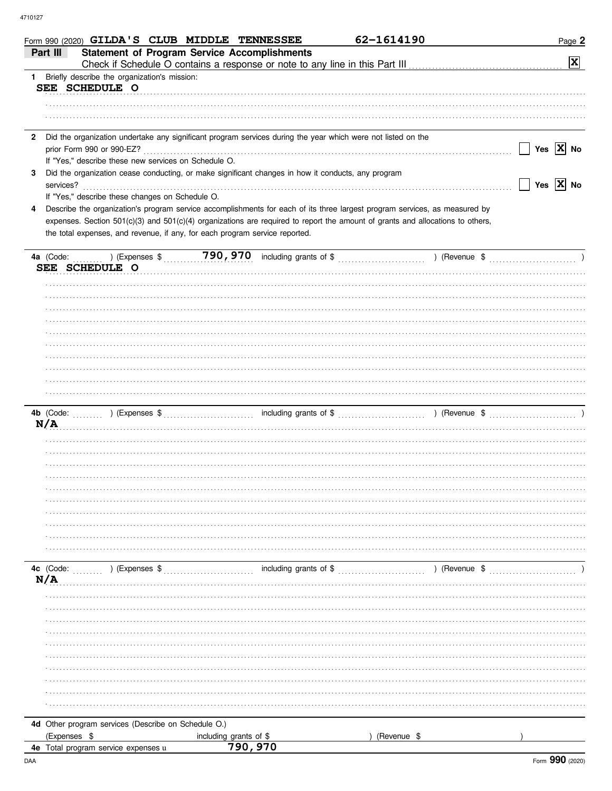|              | Form 990 (2020) GILDA'S CLUB MIDDLE TENNESSEE                               |                        |                                                                                                    | 62-1614190                                                                                                                     | Page 2                             |
|--------------|-----------------------------------------------------------------------------|------------------------|----------------------------------------------------------------------------------------------------|--------------------------------------------------------------------------------------------------------------------------------|------------------------------------|
| Part III     |                                                                             |                        | <b>Statement of Program Service Accomplishments</b>                                                |                                                                                                                                |                                    |
|              |                                                                             |                        |                                                                                                    |                                                                                                                                | $\boxed{\mathbf{X}}$               |
|              | 1 Briefly describe the organization's mission:                              |                        |                                                                                                    |                                                                                                                                |                                    |
|              | SEE SCHEDULE O                                                              |                        |                                                                                                    |                                                                                                                                |                                    |
|              |                                                                             |                        |                                                                                                    |                                                                                                                                |                                    |
|              |                                                                             |                        |                                                                                                    |                                                                                                                                |                                    |
|              |                                                                             |                        |                                                                                                    |                                                                                                                                |                                    |
|              |                                                                             |                        |                                                                                                    | 2 Did the organization undertake any significant program services during the year which were not listed on the                 |                                    |
|              |                                                                             |                        |                                                                                                    |                                                                                                                                | $\vert$   Yes $\vert$ X   No       |
|              | If "Yes," describe these new services on Schedule O.                        |                        |                                                                                                    |                                                                                                                                |                                    |
| 3            |                                                                             |                        | Did the organization cease conducting, or make significant changes in how it conducts, any program |                                                                                                                                |                                    |
| services?    |                                                                             |                        |                                                                                                    |                                                                                                                                | $\Box$ Yes $\boxed{\mathbf{X}}$ No |
|              | If "Yes," describe these changes on Schedule O.                             |                        |                                                                                                    |                                                                                                                                |                                    |
| 4            |                                                                             |                        |                                                                                                    | Describe the organization's program service accomplishments for each of its three largest program services, as measured by     |                                    |
|              |                                                                             |                        |                                                                                                    | expenses. Section 501(c)(3) and 501(c)(4) organizations are required to report the amount of grants and allocations to others, |                                    |
|              | the total expenses, and revenue, if any, for each program service reported. |                        |                                                                                                    |                                                                                                                                |                                    |
|              |                                                                             |                        |                                                                                                    |                                                                                                                                |                                    |
| 4a (Code:    | SEE SCHEDULE O                                                              |                        |                                                                                                    |                                                                                                                                |                                    |
|              |                                                                             |                        |                                                                                                    |                                                                                                                                |                                    |
|              |                                                                             |                        |                                                                                                    |                                                                                                                                |                                    |
|              |                                                                             |                        |                                                                                                    |                                                                                                                                |                                    |
|              |                                                                             |                        |                                                                                                    |                                                                                                                                |                                    |
|              |                                                                             |                        |                                                                                                    |                                                                                                                                |                                    |
|              |                                                                             |                        |                                                                                                    |                                                                                                                                |                                    |
|              |                                                                             |                        |                                                                                                    |                                                                                                                                |                                    |
|              |                                                                             |                        |                                                                                                    |                                                                                                                                |                                    |
|              |                                                                             |                        |                                                                                                    |                                                                                                                                |                                    |
|              |                                                                             |                        |                                                                                                    |                                                                                                                                |                                    |
|              |                                                                             |                        |                                                                                                    |                                                                                                                                |                                    |
|              |                                                                             |                        |                                                                                                    |                                                                                                                                |                                    |
| N/A          |                                                                             |                        |                                                                                                    |                                                                                                                                |                                    |
|              |                                                                             |                        |                                                                                                    |                                                                                                                                |                                    |
|              |                                                                             |                        |                                                                                                    |                                                                                                                                |                                    |
|              |                                                                             |                        |                                                                                                    |                                                                                                                                |                                    |
|              |                                                                             |                        |                                                                                                    |                                                                                                                                |                                    |
|              |                                                                             |                        |                                                                                                    |                                                                                                                                |                                    |
|              |                                                                             |                        |                                                                                                    |                                                                                                                                |                                    |
|              |                                                                             |                        |                                                                                                    |                                                                                                                                |                                    |
|              |                                                                             |                        |                                                                                                    |                                                                                                                                |                                    |
|              |                                                                             |                        |                                                                                                    |                                                                                                                                |                                    |
|              |                                                                             |                        |                                                                                                    |                                                                                                                                |                                    |
|              |                                                                             |                        |                                                                                                    |                                                                                                                                |                                    |
| 4c (Code:    | $(\mathsf{Expenses}$ \$                                                     |                        |                                                                                                    |                                                                                                                                |                                    |
| N/A          |                                                                             |                        |                                                                                                    |                                                                                                                                |                                    |
|              |                                                                             |                        |                                                                                                    |                                                                                                                                |                                    |
|              |                                                                             |                        |                                                                                                    |                                                                                                                                |                                    |
|              |                                                                             |                        |                                                                                                    |                                                                                                                                |                                    |
|              |                                                                             |                        |                                                                                                    |                                                                                                                                |                                    |
|              |                                                                             |                        |                                                                                                    |                                                                                                                                |                                    |
|              |                                                                             |                        |                                                                                                    |                                                                                                                                |                                    |
|              |                                                                             |                        |                                                                                                    |                                                                                                                                |                                    |
|              |                                                                             |                        |                                                                                                    |                                                                                                                                |                                    |
|              |                                                                             |                        |                                                                                                    |                                                                                                                                |                                    |
|              |                                                                             |                        |                                                                                                    |                                                                                                                                |                                    |
|              |                                                                             |                        |                                                                                                    |                                                                                                                                |                                    |
|              | 4d Other program services (Describe on Schedule O.)                         |                        |                                                                                                    |                                                                                                                                |                                    |
| (Expenses \$ |                                                                             | including grants of \$ |                                                                                                    | (Revenue \$                                                                                                                    |                                    |
|              | <b>4e T</b> otal program service expenses i                                 |                        | 790 970                                                                                            |                                                                                                                                |                                    |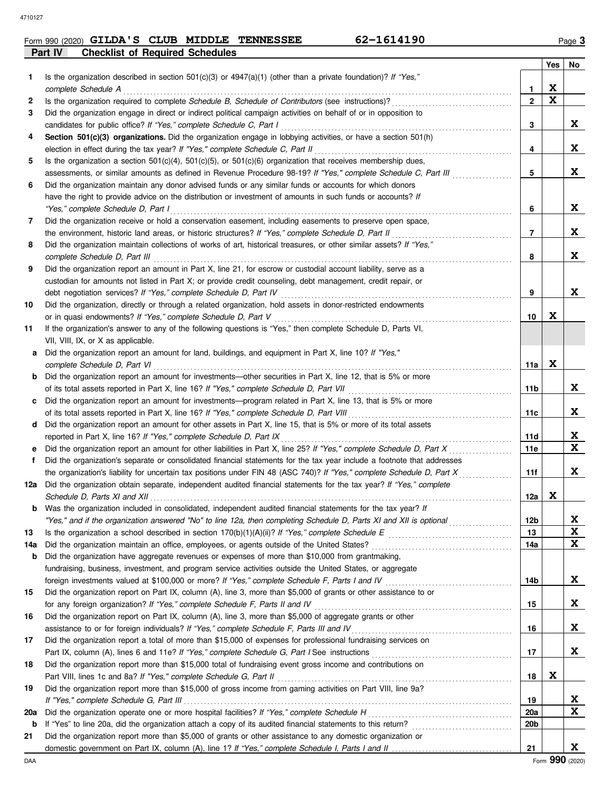**Part IV Checklist of Required Schedules**

|         | succione: or noganca concaalo                                                                                           |                 | Yes | No          |
|---------|-------------------------------------------------------------------------------------------------------------------------|-----------------|-----|-------------|
| 1       | Is the organization described in section $501(c)(3)$ or $4947(a)(1)$ (other than a private foundation)? If "Yes,"       |                 |     |             |
|         | complete Schedule A                                                                                                     | 1               | X   |             |
| 2       | Is the organization required to complete Schedule B, Schedule of Contributors (see instructions)?                       | $\overline{2}$  | X   |             |
| 3       | Did the organization engage in direct or indirect political campaign activities on behalf of or in opposition to        |                 |     |             |
|         | candidates for public office? If "Yes," complete Schedule C, Part I                                                     | 3               |     | X           |
| 4       | Section 501(c)(3) organizations. Did the organization engage in lobbying activities, or have a section 501(h)           |                 |     |             |
|         |                                                                                                                         | 4               |     | X           |
| 5       | Is the organization a section $501(c)(4)$ , $501(c)(5)$ , or $501(c)(6)$ organization that receives membership dues,    |                 |     |             |
|         | assessments, or similar amounts as defined in Revenue Procedure 98-19? If "Yes," complete Schedule C, Part III          | 5               |     | X           |
| 6       | Did the organization maintain any donor advised funds or any similar funds or accounts for which donors                 |                 |     |             |
|         | have the right to provide advice on the distribution or investment of amounts in such funds or accounts? If             |                 |     |             |
|         | "Yes," complete Schedule D, Part I                                                                                      | 6               |     | X           |
| 7       | Did the organization receive or hold a conservation easement, including easements to preserve open space,               |                 |     |             |
|         | the environment, historic land areas, or historic structures? If "Yes," complete Schedule D, Part II                    | $\overline{7}$  |     | X           |
| 8       | Did the organization maintain collections of works of art, historical treasures, or other similar assets? If "Yes,"     |                 |     |             |
|         | complete Schedule D, Part III                                                                                           | 8               |     | X           |
| 9       | Did the organization report an amount in Part X, line 21, for escrow or custodial account liability, serve as a         |                 |     |             |
|         | custodian for amounts not listed in Part X; or provide credit counseling, debt management, credit repair, or            |                 |     |             |
|         | debt negotiation services? If "Yes," complete Schedule D, Part IV                                                       | 9               |     | X           |
| 10      | Did the organization, directly or through a related organization, hold assets in donor-restricted endowments            |                 |     |             |
|         |                                                                                                                         | 10              | X   |             |
| 11      | If the organization's answer to any of the following questions is "Yes," then complete Schedule D, Parts VI,            |                 |     |             |
|         | VII, VIII, IX, or X as applicable.                                                                                      |                 |     |             |
| a       | Did the organization report an amount for land, buildings, and equipment in Part X, line 10? If "Yes,"                  |                 |     |             |
|         | complete Schedule D, Part VI                                                                                            | 11a             | X   |             |
| b       | Did the organization report an amount for investments—other securities in Part X, line 12, that is 5% or more           |                 |     |             |
|         |                                                                                                                         | 11b             |     | X           |
| c       | Did the organization report an amount for investments—program related in Part X, line 13, that is 5% or more            | 11c             |     | X           |
| d       | Did the organization report an amount for other assets in Part X, line 15, that is 5% or more of its total assets       |                 |     |             |
|         | reported in Part X, line 16? If "Yes," complete Schedule D, Part IX                                                     | 11d             |     | X           |
| е       | Did the organization report an amount for other liabilities in Part X, line 25? If "Yes," complete Schedule D, Part X   | 11e             |     | $\mathbf x$ |
| f       | Did the organization's separate or consolidated financial statements for the tax year include a footnote that addresses |                 |     |             |
|         | the organization's liability for uncertain tax positions under FIN 48 (ASC 740)? If "Yes," complete Schedule D, Part X  | 11f             |     | X           |
| 12a     | Did the organization obtain separate, independent audited financial statements for the tax year? If "Yes," complete     |                 |     |             |
|         |                                                                                                                         | 12a             | X   |             |
| b       | Was the organization included in consolidated, independent audited financial statements for the tax year? If            |                 |     |             |
|         |                                                                                                                         | 12 <sub>b</sub> |     | X           |
| 13      |                                                                                                                         | 13              |     | X           |
| 14a     |                                                                                                                         | 14a             |     | X           |
| b       | Did the organization have aggregate revenues or expenses of more than \$10,000 from grantmaking,                        |                 |     |             |
|         | fundraising, business, investment, and program service activities outside the United States, or aggregate               |                 |     |             |
|         |                                                                                                                         | 14b             |     | X           |
| 15      | Did the organization report on Part IX, column (A), line 3, more than \$5,000 of grants or other assistance to or       |                 |     |             |
|         | for any foreign organization? If "Yes," complete Schedule F, Parts II and IV                                            | 15              |     | X           |
| 16      | Did the organization report on Part IX, column (A), line 3, more than \$5,000 of aggregate grants or other              |                 |     |             |
|         |                                                                                                                         | 16              |     | X           |
| 17      | Did the organization report a total of more than \$15,000 of expenses for professional fundraising services on          |                 |     |             |
|         |                                                                                                                         | 17              |     | X.          |
| 18      | Did the organization report more than \$15,000 total of fundraising event gross income and contributions on             |                 |     |             |
|         |                                                                                                                         | 18              | X   |             |
| 19      | Did the organization report more than \$15,000 of gross income from gaming activities on Part VIII, line 9a?            |                 |     |             |
|         |                                                                                                                         | 19              |     | X<br>X      |
| 20a     |                                                                                                                         | 20a             |     |             |
| b<br>21 | Did the organization report more than \$5,000 of grants or other assistance to any domestic organization or             | 20b             |     |             |
|         |                                                                                                                         | 21              |     | X.          |
|         |                                                                                                                         |                 |     |             |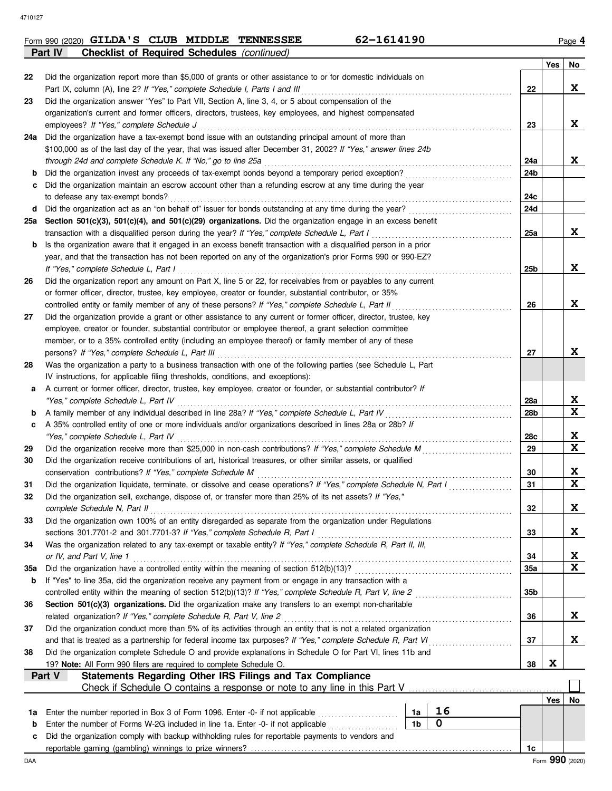| 62-1614190<br>Form 990 (2020) GILDA'S CLUB MIDDLE TENNESSEE                                                      |    |     | Page 4 |
|------------------------------------------------------------------------------------------------------------------|----|-----|--------|
| Part IV<br><b>Checklist of Required Schedules (continued)</b>                                                    |    |     |        |
|                                                                                                                  |    | Yes | No     |
| 22 Did the organization report more than \$5,000 of grants or other assistance to or for domestic individuals on |    |     |        |
| Part IX, column (A), line 2? If "Yes," complete Schedule I, Parts I and III                                      | 22 |     |        |
| 23 Did the organization answer "Yes" to Part VII, Section A, line 3, 4, or 5 about compensation of the           |    |     |        |

| 22  | Did the organization report more than \$5,000 of grants or other assistance to or for domestic individuals on                                                                                       |                 |     |             |
|-----|-----------------------------------------------------------------------------------------------------------------------------------------------------------------------------------------------------|-----------------|-----|-------------|
|     | Part IX, column (A), line 2? If "Yes," complete Schedule I, Parts I and III                                                                                                                         | 22              |     | X.          |
| 23  | Did the organization answer "Yes" to Part VII, Section A, line 3, 4, or 5 about compensation of the                                                                                                 |                 |     |             |
|     | organization's current and former officers, directors, trustees, key employees, and highest compensated<br>employees? If "Yes," complete Schedule J                                                 | 23              |     | X           |
| 24a | Did the organization have a tax-exempt bond issue with an outstanding principal amount of more than                                                                                                 |                 |     |             |
|     | \$100,000 as of the last day of the year, that was issued after December 31, 2002? If "Yes," answer lines 24b                                                                                       |                 |     |             |
|     | through 24d and complete Schedule K. If "No," go to line 25a                                                                                                                                        | 24a             |     | X           |
| b   | Did the organization invest any proceeds of tax-exempt bonds beyond a temporary period exception?                                                                                                   | 24 <sub>b</sub> |     |             |
| C   | Did the organization maintain an escrow account other than a refunding escrow at any time during the year                                                                                           |                 |     |             |
|     | to defease any tax-exempt bonds?                                                                                                                                                                    | 24c             |     |             |
| d   |                                                                                                                                                                                                     | 24d             |     |             |
| 25a | Section 501(c)(3), 501(c)(4), and 501(c)(29) organizations. Did the organization engage in an excess benefit                                                                                        |                 |     |             |
|     | transaction with a disqualified person during the year? If "Yes," complete Schedule L, Part I                                                                                                       | 25a             |     | X           |
| b   | Is the organization aware that it engaged in an excess benefit transaction with a disqualified person in a prior                                                                                    |                 |     |             |
|     | year, and that the transaction has not been reported on any of the organization's prior Forms 990 or 990-EZ?                                                                                        |                 |     |             |
|     | If "Yes," complete Schedule L, Part I                                                                                                                                                               | 25 <sub>b</sub> |     | X           |
| 26  | Did the organization report any amount on Part X, line 5 or 22, for receivables from or payables to any current                                                                                     |                 |     |             |
|     | or former officer, director, trustee, key employee, creator or founder, substantial contributor, or 35%                                                                                             |                 |     |             |
|     | controlled entity or family member of any of these persons? If "Yes," complete Schedule L, Part II                                                                                                  | 26              |     | X           |
| 27  | Did the organization provide a grant or other assistance to any current or former officer, director, trustee, key                                                                                   |                 |     |             |
|     | employee, creator or founder, substantial contributor or employee thereof, a grant selection committee                                                                                              |                 |     |             |
|     | member, or to a 35% controlled entity (including an employee thereof) or family member of any of these                                                                                              |                 |     |             |
|     | persons? If "Yes," complete Schedule L, Part III                                                                                                                                                    | 27              |     | X.          |
| 28  | Was the organization a party to a business transaction with one of the following parties (see Schedule L, Part                                                                                      |                 |     |             |
|     | IV instructions, for applicable filing thresholds, conditions, and exceptions):<br>A current or former officer, director, trustee, key employee, creator or founder, or substantial contributor? If |                 |     |             |
| a   | "Yes," complete Schedule L, Part IV                                                                                                                                                                 | 28a             |     | X           |
| b   |                                                                                                                                                                                                     | 28 <sub>b</sub> |     | X           |
| c   | A 35% controlled entity of one or more individuals and/or organizations described in lines 28a or 28b? If                                                                                           |                 |     |             |
|     | "Yes," complete Schedule L, Part IV                                                                                                                                                                 | 28c             |     | X           |
| 29  |                                                                                                                                                                                                     | 29              |     | $\mathbf x$ |
| 30  | Did the organization receive contributions of art, historical treasures, or other similar assets, or qualified                                                                                      |                 |     |             |
|     | conservation contributions? If "Yes," complete Schedule M                                                                                                                                           | 30              |     | X           |
| 31  | Did the organization liquidate, terminate, or dissolve and cease operations? If "Yes," complete Schedule N, Part I                                                                                  | 31              |     | X           |
| 32  | Did the organization sell, exchange, dispose of, or transfer more than 25% of its net assets? If "Yes,"                                                                                             |                 |     |             |
|     | complete Schedule N, Part II                                                                                                                                                                        | 32              |     | X           |
| 33  | Did the organization own 100% of an entity disregarded as separate from the organization under Regulations                                                                                          |                 |     |             |
|     | sections 301.7701-2 and 301.7701-3? If "Yes," complete Schedule R, Part I                                                                                                                           | 33              |     | X           |
| 34  | Was the organization related to any tax-exempt or taxable entity? If "Yes," complete Schedule R, Part II, III,                                                                                      |                 |     |             |
|     | or IV, and Part V, line 1                                                                                                                                                                           | 34              |     | <u>x</u>    |
| 35a |                                                                                                                                                                                                     | 35a             |     | $\mathbf x$ |
| b   | If "Yes" to line 35a, did the organization receive any payment from or engage in any transaction with a                                                                                             |                 |     |             |
|     |                                                                                                                                                                                                     | 35b             |     |             |
| 36  | Section 501(c)(3) organizations. Did the organization make any transfers to an exempt non-charitable<br>related organization? If "Yes," complete Schedule R, Part V, line 2                         |                 |     | X           |
| 37  | Did the organization conduct more than 5% of its activities through an entity that is not a related organization                                                                                    | 36              |     |             |
|     |                                                                                                                                                                                                     | 37              |     | X           |
| 38  | Did the organization complete Schedule O and provide explanations in Schedule O for Part VI, lines 11b and                                                                                          |                 |     |             |
|     | 19? Note: All Form 990 filers are required to complete Schedule O.                                                                                                                                  | 38              | X   |             |
|     | Statements Regarding Other IRS Filings and Tax Compliance<br>Part V                                                                                                                                 |                 |     |             |
|     | Check if Schedule O contains a response or note to any line in this Part V                                                                                                                          |                 |     |             |
|     |                                                                                                                                                                                                     |                 | Yes | No          |
| 1a  | 16<br>Enter the number reported in Box 3 of Form 1096. Enter -0- if not applicable<br>1a                                                                                                            |                 |     |             |
| b   | 0<br>1 <sub>b</sub><br>Enter the number of Forms W-2G included in line 1a. Enter -0- if not applicable <i>[[[[[[[[[[[[[]]]]]</i>                                                                    |                 |     |             |
| c   | Did the organization comply with backup withholding rules for reportable payments to vendors and                                                                                                    |                 |     |             |
|     |                                                                                                                                                                                                     | 1c              |     |             |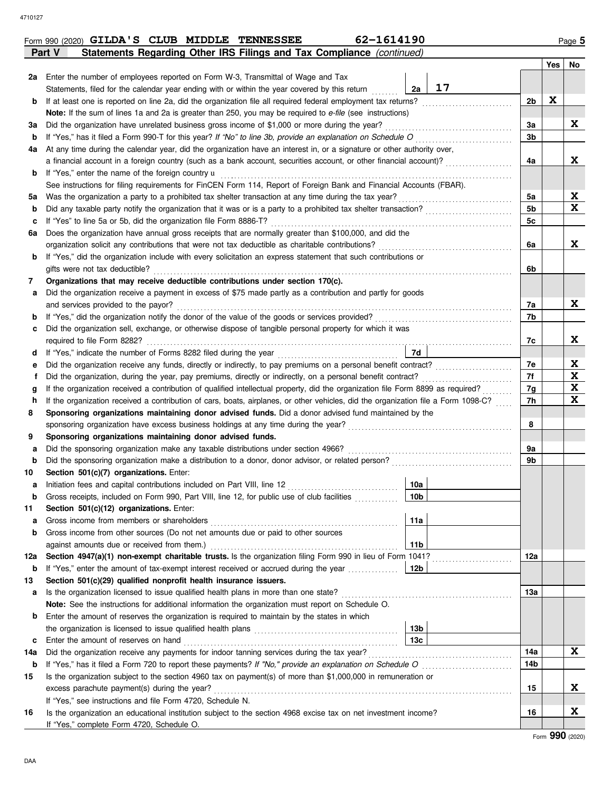|             | Statements Regarding Other IRS Filings and Tax Compliance (continued)<br>Part V                                                    |                 |    |                |     |                                 |
|-------------|------------------------------------------------------------------------------------------------------------------------------------|-----------------|----|----------------|-----|---------------------------------|
|             |                                                                                                                                    |                 |    |                | Yes | No                              |
| 2a          | Enter the number of employees reported on Form W-3, Transmittal of Wage and Tax                                                    |                 |    |                |     |                                 |
|             | Statements, filed for the calendar year ending with or within the year covered by this return                                      | 2a              | 17 |                |     |                                 |
| b           | If at least one is reported on line 2a, did the organization file all required federal employment tax returns?                     |                 |    | 2 <sub>b</sub> | X   |                                 |
|             | Note: If the sum of lines 1a and 2a is greater than 250, you may be required to e-file (see instructions)                          |                 |    |                |     |                                 |
| За          | Did the organization have unrelated business gross income of \$1,000 or more during the year?                                      |                 |    | За             |     | X                               |
| b           | If "Yes," has it filed a Form 990-T for this year? If "No" to line 3b, provide an explanation on Schedule O                        |                 |    | 3 <sub>b</sub> |     |                                 |
| 4a          | At any time during the calendar year, did the organization have an interest in, or a signature or other authority over,            |                 |    |                |     |                                 |
|             | a financial account in a foreign country (such as a bank account, securities account, or other financial account)?                 |                 |    | 4a             |     | X                               |
| b           | If "Yes," enter the name of the foreign country u                                                                                  |                 |    |                |     |                                 |
|             | See instructions for filing requirements for FinCEN Form 114, Report of Foreign Bank and Financial Accounts (FBAR).                |                 |    |                |     |                                 |
| 5а          |                                                                                                                                    |                 |    | 5a             |     | $\frac{\mathbf{x}}{\mathbf{x}}$ |
| b           |                                                                                                                                    |                 |    | 5b             |     |                                 |
| c           | If "Yes" to line 5a or 5b, did the organization file Form 8886-T?                                                                  |                 |    | 5 <sub>c</sub> |     |                                 |
| 6а          | Does the organization have annual gross receipts that are normally greater than \$100,000, and did the                             |                 |    |                |     |                                 |
|             |                                                                                                                                    |                 |    | 6a             |     | X                               |
| b           | If "Yes," did the organization include with every solicitation an express statement that such contributions or                     |                 |    |                |     |                                 |
|             | gifts were not tax deductible?                                                                                                     |                 |    | 6b             |     |                                 |
| 7           | Organizations that may receive deductible contributions under section 170(c).                                                      |                 |    |                |     |                                 |
| а           | Did the organization receive a payment in excess of \$75 made partly as a contribution and partly for goods                        |                 |    |                |     |                                 |
|             | and services provided to the payor?                                                                                                |                 |    | 7a             |     | X                               |
| b           |                                                                                                                                    |                 |    | 7b             |     |                                 |
| c           | Did the organization sell, exchange, or otherwise dispose of tangible personal property for which it was                           |                 |    |                |     |                                 |
|             | required to file Form 8282?                                                                                                        |                 |    | 7c             |     | X                               |
| d           |                                                                                                                                    |                 |    |                |     |                                 |
| е           | Did the organization receive any funds, directly or indirectly, to pay premiums on a personal benefit contract?                    |                 |    | 7e             |     | X<br>$\overline{\mathbf{x}}$    |
| Ť           | Did the organization, during the year, pay premiums, directly or indirectly, on a personal benefit contract?                       |                 |    | 7f             |     | $\overline{\mathbf{x}}$         |
| g           | If the organization received a contribution of qualified intellectual property, did the organization file Form 8899 as required?   |                 |    | 7g             |     | $\mathbf x$                     |
| h           | If the organization received a contribution of cars, boats, airplanes, or other vehicles, did the organization file a Form 1098-C? |                 |    | 7h             |     |                                 |
| 8           | Sponsoring organizations maintaining donor advised funds. Did a donor advised fund maintained by the                               |                 |    | 8              |     |                                 |
| 9           | sponsoring organization have excess business holdings at any time during the year?                                                 |                 |    |                |     |                                 |
|             | Sponsoring organizations maintaining donor advised funds.                                                                          |                 |    | 9a             |     |                                 |
| а           | Did the sponsoring organization make any taxable distributions under section 4966?                                                 |                 |    | 9b             |     |                                 |
| b           |                                                                                                                                    |                 |    |                |     |                                 |
| 10          | Section 501(c)(7) organizations. Enter:                                                                                            | 10a             |    |                |     |                                 |
|             | Gross receipts, included on Form 990, Part VIII, line 12, for public use of club facilities                                        | 10 <sub>b</sub> |    |                |     |                                 |
| 11          | Section 501(c)(12) organizations. Enter:                                                                                           |                 |    |                |     |                                 |
| а           | Gross income from members or shareholders                                                                                          | 11a             |    |                |     |                                 |
| b           | Gross income from other sources (Do not net amounts due or paid to other sources                                                   |                 |    |                |     |                                 |
|             |                                                                                                                                    | 11b             |    |                |     |                                 |
| 12a         | Section 4947(a)(1) non-exempt charitable trusts. Is the organization filing Form 990 in lieu of Form 1041?                         |                 |    | 12a            |     |                                 |
| b           | If "Yes," enter the amount of tax-exempt interest received or accrued during the year                                              | 12b             |    |                |     |                                 |
| 13          | Section 501(c)(29) qualified nonprofit health insurance issuers.                                                                   |                 |    |                |     |                                 |
| а           | Is the organization licensed to issue qualified health plans in more than one state?                                               |                 |    | 13a            |     |                                 |
|             | Note: See the instructions for additional information the organization must report on Schedule O.                                  |                 |    |                |     |                                 |
| b           | Enter the amount of reserves the organization is required to maintain by the states in which                                       |                 |    |                |     |                                 |
|             |                                                                                                                                    | 13b             |    |                |     |                                 |
| c           | Enter the amount of reserves on hand                                                                                               | 13c             |    |                |     |                                 |
| 14a         | Did the organization receive any payments for indoor tanning services during the tax year?                                         |                 |    | 14a            |     | X                               |
| $\mathbf b$ |                                                                                                                                    |                 |    | 14b            |     |                                 |
| 15          | Is the organization subject to the section 4960 tax on payment(s) of more than \$1,000,000 in remuneration or                      |                 |    |                |     |                                 |
|             | excess parachute payment(s) during the year?                                                                                       |                 |    | 15             |     | X                               |
|             | If "Yes," see instructions and file Form 4720, Schedule N.                                                                         |                 |    |                |     |                                 |
| 16          | Is the organization an educational institution subject to the section 4968 excise tax on net investment income?                    |                 |    | 16             |     | X                               |
|             | If "Yes," complete Form 4720, Schedule O.                                                                                          |                 |    |                |     |                                 |
|             |                                                                                                                                    |                 |    |                |     |                                 |

| 62-1614190<br>Form 990 (2020) GILDA'S CLUB MIDDLE TENNESSEE | Page 5 |
|-------------------------------------------------------------|--------|
|-------------------------------------------------------------|--------|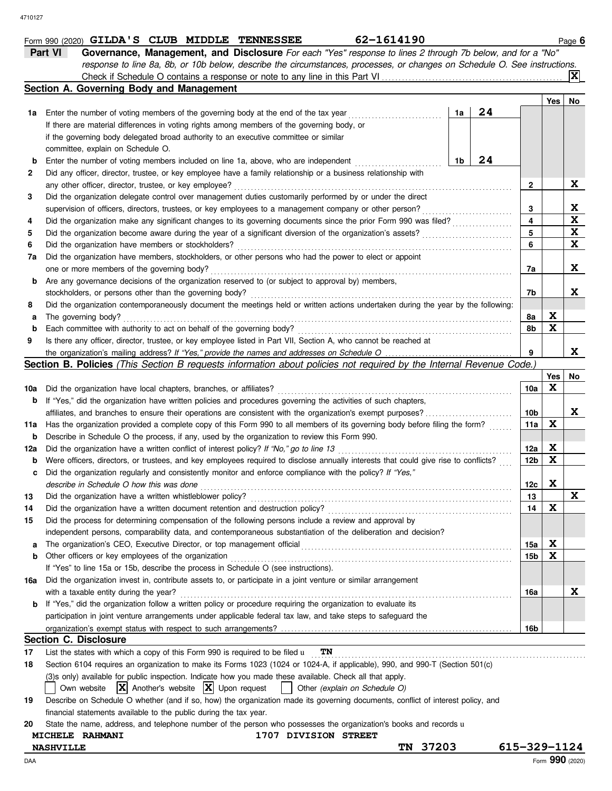|     | Part VI<br>Governance, Management, and Disclosure For each "Yes" response to lines 2 through 7b below, and for a "No"               |    |    |                 |                  |             |
|-----|-------------------------------------------------------------------------------------------------------------------------------------|----|----|-----------------|------------------|-------------|
|     | response to line 8a, 8b, or 10b below, describe the circumstances, processes, or changes on Schedule O. See instructions.           |    |    |                 |                  |             |
|     |                                                                                                                                     |    |    |                 |                  | x           |
|     | Section A. Governing Body and Management                                                                                            |    |    |                 |                  |             |
|     |                                                                                                                                     |    |    |                 | Yes              | No          |
| 1a  | Enter the number of voting members of the governing body at the end of the tax year                                                 | 1a | 24 |                 |                  |             |
|     | If there are material differences in voting rights among members of the governing body, or                                          |    |    |                 |                  |             |
|     | if the governing body delegated broad authority to an executive committee or similar                                                |    |    |                 |                  |             |
|     | committee, explain on Schedule O.                                                                                                   |    |    |                 |                  |             |
|     | Enter the number of voting members included on line 1a, above, who are independent                                                  | 1b | 24 |                 |                  |             |
| 2   | Did any officer, director, trustee, or key employee have a family relationship or a business relationship with                      |    |    |                 |                  |             |
|     |                                                                                                                                     |    |    | $\mathbf{2}$    |                  | X           |
| 3   | Did the organization delegate control over management duties customarily performed by or under the direct                           |    |    |                 |                  |             |
|     | supervision of officers, directors, trustees, or key employees to a management company or other person?                             |    |    | 3               |                  | X           |
| 4   | Did the organization make any significant changes to its governing documents since the prior Form 990 was filed?                    |    |    | 4               |                  | $\mathbf x$ |
| 5   | Did the organization become aware during the year of a significant diversion of the organization's assets?                          |    |    | 5               |                  | $\mathbf x$ |
| 6   |                                                                                                                                     |    |    | 6               |                  | $\mathbf x$ |
| 7a  | Did the organization have members, stockholders, or other persons who had the power to elect or appoint                             |    |    |                 |                  |             |
|     |                                                                                                                                     |    |    | 7а              |                  | X           |
| b   | Are any governance decisions of the organization reserved to (or subject to approval by) members,                                   |    |    |                 |                  |             |
|     | stockholders, or persons other than the governing body?                                                                             |    |    | 7b              |                  | X           |
| 8   | Did the organization contemporaneously document the meetings held or written actions undertaken during the year by the following:   |    |    |                 |                  |             |
| а   | The governing body?                                                                                                                 |    |    | 8a              | X                |             |
| b   |                                                                                                                                     |    |    | 8b              | $\mathbf x$      |             |
| 9   | Is there any officer, director, trustee, or key employee listed in Part VII, Section A, who cannot be reached at                    |    |    |                 |                  |             |
|     |                                                                                                                                     |    |    | 9               |                  | X           |
|     | Section B. Policies (This Section B requests information about policies not required by the Internal Revenue Code.)                 |    |    |                 |                  |             |
|     |                                                                                                                                     |    |    |                 | Yes              | No          |
| 10a |                                                                                                                                     |    |    | 10a             | $\mathbf x$      |             |
| b   | If "Yes," did the organization have written policies and procedures governing the activities of such chapters,                      |    |    |                 |                  |             |
|     |                                                                                                                                     |    |    | 10b             |                  | X           |
|     | affiliates, and branches to ensure their operations are consistent with the organization's exempt purposes?                         |    |    | 11a             | X                |             |
|     | 11a Has the organization provided a complete copy of this Form 990 to all members of its governing body before filing the form?     |    |    |                 |                  |             |
| b   | Describe in Schedule O the process, if any, used by the organization to review this Form 990.                                       |    |    |                 |                  |             |
| 12a |                                                                                                                                     |    |    | 12a             | X<br>$\mathbf x$ |             |
| b   | Were officers, directors, or trustees, and key employees required to disclose annually interests that could give rise to conflicts? |    |    | 12 <sub>b</sub> |                  |             |
| c   | Did the organization regularly and consistently monitor and enforce compliance with the policy? If "Yes,"                           |    |    |                 |                  |             |
|     |                                                                                                                                     |    |    | 12c             | X                |             |
| 13  | Did the organization have a written whistleblower policy?                                                                           |    |    | 13              |                  | x           |
| 14  | Did the organization have a written document retention and destruction policy?                                                      |    |    | 14              | X                |             |
| 15  | Did the process for determining compensation of the following persons include a review and approval by                              |    |    |                 |                  |             |
|     | independent persons, comparability data, and contemporaneous substantiation of the deliberation and decision?                       |    |    |                 |                  |             |
| a   | The organization's CEO, Executive Director, or top management official                                                              |    |    | 15a             | X                |             |
| b   | Other officers or key employees of the organization                                                                                 |    |    | <b>15b</b>      | X                |             |
|     | If "Yes" to line 15a or 15b, describe the process in Schedule O (see instructions).                                                 |    |    |                 |                  |             |
| 16a | Did the organization invest in, contribute assets to, or participate in a joint venture or similar arrangement                      |    |    |                 |                  |             |
|     | with a taxable entity during the year?                                                                                              |    |    | 16a             |                  | X           |
| b   | If "Yes," did the organization follow a written policy or procedure requiring the organization to evaluate its                      |    |    |                 |                  |             |
|     | participation in joint venture arrangements under applicable federal tax law, and take steps to safeguard the                       |    |    |                 |                  |             |
|     |                                                                                                                                     |    |    | 16b             |                  |             |
|     | <b>Section C. Disclosure</b>                                                                                                        |    |    |                 |                  |             |
| 17  | List the states with which a copy of this Form 990 is required to be filed u<br>TN                                                  |    |    |                 |                  |             |
| 18  | Section 6104 requires an organization to make its Forms 1023 (1024 or 1024-A, if applicable), 990, and 990-T (Section 501(c)        |    |    |                 |                  |             |
|     | (3)s only) available for public inspection. Indicate how you made these available. Check all that apply.                            |    |    |                 |                  |             |
|     | $ \mathbf{X} $ Another's website $ \mathbf{X} $ Upon request<br>Other (explain on Schedule O)<br>Own website                        |    |    |                 |                  |             |
| 19  | Describe on Schedule O whether (and if so, how) the organization made its governing documents, conflict of interest policy, and     |    |    |                 |                  |             |
|     | financial statements available to the public during the tax year.                                                                   |    |    |                 |                  |             |
| 20  | State the name, address, and telephone number of the person who possesses the organization's books and records u                    |    |    |                 |                  |             |
|     | 1707 DIVISION STREET<br>MICHELE RAHMANI                                                                                             |    |    |                 |                  |             |
|     | 37203<br><b>NASHVILLE</b><br>TN                                                                                                     |    |    | 615-329-1124    |                  |             |
| DAA |                                                                                                                                     |    |    |                 | Form 990 (2020)  |             |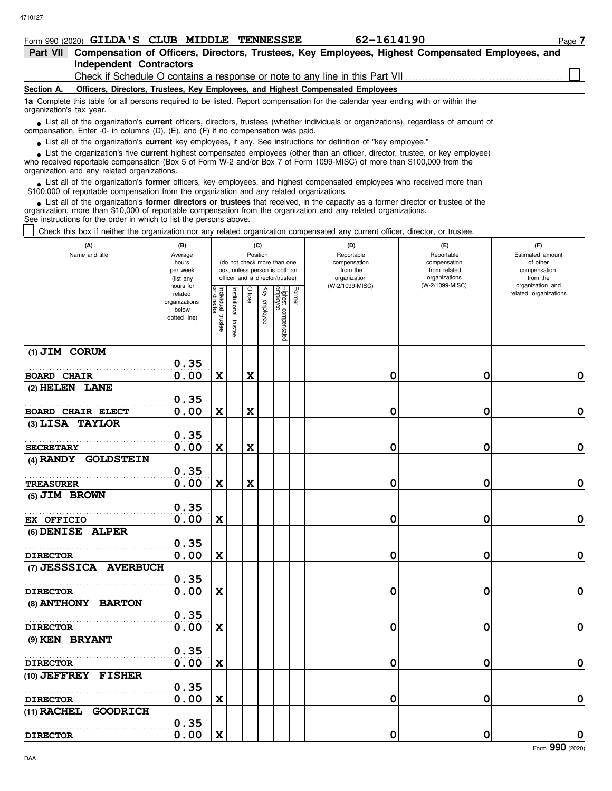### **Form 990 (2020) GILDA'S CLUB MIDDLE TENNESSEE 62-1614190** Page 7

| Part VII                 | Compensation of Officers, Directors, Trustees, Key Employees, Highest Compensated Employees, and                                                                                                                                                                                                         |
|--------------------------|----------------------------------------------------------------------------------------------------------------------------------------------------------------------------------------------------------------------------------------------------------------------------------------------------------|
|                          | Independent Contractors                                                                                                                                                                                                                                                                                  |
|                          | Check if Schedule O contains a response or note to any line in this Part VII                                                                                                                                                                                                                             |
| Section A.               | Officers, Directors, Trustees, Key Employees, and Highest Compensated Employees                                                                                                                                                                                                                          |
| organization's tax year. | 1a Complete this table for all persons required to be listed. Report compensation for the calendar year ending with or within the                                                                                                                                                                        |
|                          | • List all of the organization's <b>current</b> officers, directors, trustees (whether individuals or organizations), regardless of amount of<br>compensation. Enter -0- in columns (D), $(E)$ , and $(F)$ if no compensation was paid.                                                                  |
|                          | • List all of the organization's current key employees, if any. See instructions for definition of "key employee."                                                                                                                                                                                       |
|                          | List the organization's five current highest compensated employees (other than an officer, director, trustee, or key employee)<br>who received reportable compensation (Box 5 of Form W-2 and/or Box 7 of Form 1099-MISC) of more than \$100,000 from the<br>organization and any related organizations. |
|                          | List all of the organization's former officers, key employees, and highest compensated employees who received more than<br>\$100,000 of reportable compensation from the organization and any related organizations.                                                                                     |

List all of the organization's **former directors or trustees** that received, in the capacity as a former director or trustee of the organization, more than \$10,000 of reportable compensation from the organization and any related organizations. See instructions for the order in which to list the persons above. **•**

Check this box if neither the organization nor any related organization compensated any current officer, director, or trustee.

| (A)<br>Name and title          | (B)<br>Average<br>hours<br>per week<br>(list any<br>hours for | (C)<br>Position<br>(do not check more than one<br>box, unless person is both an<br>officer and a director/trustee) |                      |                |              |                                 |        | (D)<br>Reportable<br>compensation<br>from the<br>organization<br>(W-2/1099-MISC) | (E)<br>Reportable<br>compensation<br>from related<br>organizations<br>(W-2/1099-MISC) | (F)<br>Estimated amount<br>of other<br>compensation<br>from the<br>organization and |  |
|--------------------------------|---------------------------------------------------------------|--------------------------------------------------------------------------------------------------------------------|----------------------|----------------|--------------|---------------------------------|--------|----------------------------------------------------------------------------------|---------------------------------------------------------------------------------------|-------------------------------------------------------------------------------------|--|
|                                | related<br>organizations<br>below<br>dotted line)             | Individual<br>or director<br>trustee                                                                               | nstitutional trustee | <b>Officer</b> | Key employee | Highest compensated<br>employee | Former |                                                                                  |                                                                                       | related organizations                                                               |  |
| $(1)$ JIM CORUM                | 0.35                                                          |                                                                                                                    |                      |                |              |                                 |        |                                                                                  |                                                                                       |                                                                                     |  |
| <b>BOARD CHAIR</b>             | 0.00                                                          | $\mathbf x$                                                                                                        |                      | $\mathbf x$    |              |                                 |        | 0                                                                                | 0                                                                                     | $\mathbf 0$                                                                         |  |
| (2) HELEN LANE                 |                                                               |                                                                                                                    |                      |                |              |                                 |        |                                                                                  |                                                                                       |                                                                                     |  |
|                                | 0.35                                                          |                                                                                                                    |                      |                |              |                                 |        |                                                                                  |                                                                                       |                                                                                     |  |
| <b>BOARD CHAIR ELECT</b>       | 0.00                                                          | $\mathbf x$                                                                                                        |                      | $\mathbf x$    |              |                                 |        | 0                                                                                | 0                                                                                     | $\mathbf 0$                                                                         |  |
| (3) LISA TAYLOR                | 0.35                                                          |                                                                                                                    |                      |                |              |                                 |        |                                                                                  |                                                                                       |                                                                                     |  |
| <b>SECRETARY</b>               | 0.00                                                          | $\mathbf x$                                                                                                        |                      | $\mathbf x$    |              |                                 |        | 0                                                                                | 0                                                                                     | $\pmb{0}$                                                                           |  |
| (4) RANDY GOLDSTEIN            |                                                               |                                                                                                                    |                      |                |              |                                 |        |                                                                                  |                                                                                       |                                                                                     |  |
|                                |                                                               |                                                                                                                    |                      |                |              |                                 |        |                                                                                  |                                                                                       |                                                                                     |  |
|                                | 0.35                                                          |                                                                                                                    |                      |                |              |                                 |        |                                                                                  |                                                                                       |                                                                                     |  |
| <b>TREASURER</b>               | 0.00                                                          | $\mathbf x$                                                                                                        |                      | $\mathbf x$    |              |                                 |        | 0                                                                                | 0                                                                                     | $\mathbf 0$                                                                         |  |
| (5) JIM BROWN                  | 0.35                                                          |                                                                                                                    |                      |                |              |                                 |        |                                                                                  |                                                                                       |                                                                                     |  |
| EX OFFICIO                     | 0.00                                                          | $\mathbf x$                                                                                                        |                      |                |              |                                 |        | 0                                                                                | 0                                                                                     | $\mathbf 0$                                                                         |  |
| (6) DENISE ALPER               |                                                               |                                                                                                                    |                      |                |              |                                 |        |                                                                                  |                                                                                       |                                                                                     |  |
| <b>DIRECTOR</b>                | 0.35<br>0.00                                                  | X                                                                                                                  |                      |                |              |                                 |        | 0                                                                                | 0                                                                                     | $\mathbf 0$                                                                         |  |
| (7) JESSSICA AVERBUCH          |                                                               |                                                                                                                    |                      |                |              |                                 |        |                                                                                  |                                                                                       |                                                                                     |  |
|                                | 0.35                                                          |                                                                                                                    |                      |                |              |                                 |        |                                                                                  |                                                                                       |                                                                                     |  |
| <b>DIRECTOR</b>                | 0.00                                                          | $\mathbf x$                                                                                                        |                      |                |              |                                 |        | 0                                                                                | 0                                                                                     | $\mathbf 0$                                                                         |  |
| (8) ANTHONY BARTON             |                                                               |                                                                                                                    |                      |                |              |                                 |        |                                                                                  |                                                                                       |                                                                                     |  |
|                                | 0.35                                                          |                                                                                                                    |                      |                |              |                                 |        |                                                                                  |                                                                                       |                                                                                     |  |
| <b>DIRECTOR</b>                | 0.00                                                          | $\mathbf x$                                                                                                        |                      |                |              |                                 |        | 0                                                                                | 0                                                                                     | $\mathbf 0$                                                                         |  |
| (9) KEN BRYANT                 |                                                               |                                                                                                                    |                      |                |              |                                 |        |                                                                                  |                                                                                       |                                                                                     |  |
|                                | 0.35                                                          |                                                                                                                    |                      |                |              |                                 |        |                                                                                  |                                                                                       |                                                                                     |  |
| <b>DIRECTOR</b>                | 0.00                                                          | $\mathbf x$                                                                                                        |                      |                |              |                                 |        | 0                                                                                | 0                                                                                     | $\mathbf 0$                                                                         |  |
| (10) JEFFREY FISHER            |                                                               |                                                                                                                    |                      |                |              |                                 |        |                                                                                  |                                                                                       |                                                                                     |  |
|                                | 0.35                                                          |                                                                                                                    |                      |                |              |                                 |        |                                                                                  |                                                                                       |                                                                                     |  |
| <b>DIRECTOR</b>                | 0.00                                                          | X                                                                                                                  |                      |                |              |                                 |        | 0                                                                                | 0                                                                                     | $\mathbf 0$                                                                         |  |
| (11) RACHEL<br><b>GOODRICH</b> |                                                               |                                                                                                                    |                      |                |              |                                 |        |                                                                                  |                                                                                       |                                                                                     |  |
|                                | 0.35                                                          |                                                                                                                    |                      |                |              |                                 |        |                                                                                  |                                                                                       |                                                                                     |  |
| <b>DIRECTOR</b>                | 0.00                                                          | $\mathbf x$                                                                                                        |                      |                |              |                                 |        | 0                                                                                | 0                                                                                     | $\pmb{0}$                                                                           |  |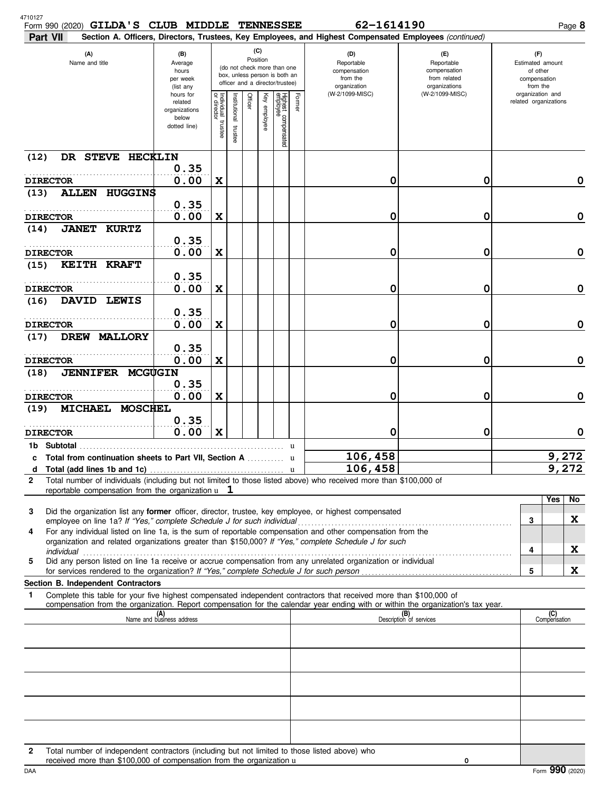| 4710127<br>Form 990 (2020) GILDA'S CLUB MIDDLE TENNESSEE<br>Part VII                                                                                                                                                                                                                              |                                                                |                         |                                                                                                                    |         |              |                                 |                                                               | 62-1614190<br>Section A. Officers, Directors, Trustees, Key Employees, and Highest Compensated Employees (continued) |                                                                    |                                                                 | Page 8              |
|---------------------------------------------------------------------------------------------------------------------------------------------------------------------------------------------------------------------------------------------------------------------------------------------------|----------------------------------------------------------------|-------------------------|--------------------------------------------------------------------------------------------------------------------|---------|--------------|---------------------------------|---------------------------------------------------------------|----------------------------------------------------------------------------------------------------------------------|--------------------------------------------------------------------|-----------------------------------------------------------------|---------------------|
| (A)<br>Name and title                                                                                                                                                                                                                                                                             | (B)<br>Average<br>hours<br>per week<br>(list any               |                         | (C)<br>Position<br>(do not check more than one<br>box, unless person is both an<br>officer and a director/trustee) |         |              |                                 | (D)<br>Reportable<br>compensation<br>from the<br>organization |                                                                                                                      | (E)<br>Reportable<br>compensation<br>from related<br>organizations | (F)<br>Estimated amount<br>of other<br>compensation<br>from the |                     |
|                                                                                                                                                                                                                                                                                                   | hours for<br>related<br>organizations<br>below<br>dotted line) | Individual 1<br>trustee | Institutional<br>trustee                                                                                           | Officer | Key employee | Highest compensated<br>employee | Former                                                        | (W-2/1099-MISC)                                                                                                      | (W-2/1099-MISC)                                                    | organization and<br>related organizations                       |                     |
| DR STEVE HECKLIN<br>(12)                                                                                                                                                                                                                                                                          | 0.35                                                           |                         |                                                                                                                    |         |              |                                 |                                                               |                                                                                                                      |                                                                    |                                                                 |                     |
| <b>DIRECTOR</b>                                                                                                                                                                                                                                                                                   | 0.00                                                           | X                       |                                                                                                                    |         |              |                                 |                                                               | 0                                                                                                                    | 0                                                                  |                                                                 | 0                   |
| <b>ALLEN HUGGINS</b><br>(13)                                                                                                                                                                                                                                                                      | 0.35<br>0.00                                                   | X                       |                                                                                                                    |         |              |                                 |                                                               | 0                                                                                                                    | 0                                                                  |                                                                 | $\mathbf 0$         |
| <b>DIRECTOR</b><br><b>JANET KURTZ</b><br>(14)                                                                                                                                                                                                                                                     |                                                                |                         |                                                                                                                    |         |              |                                 |                                                               |                                                                                                                      |                                                                    |                                                                 |                     |
| <b>DIRECTOR</b>                                                                                                                                                                                                                                                                                   | 0.35<br>0.00                                                   | X                       |                                                                                                                    |         |              |                                 |                                                               | 0                                                                                                                    | 0                                                                  |                                                                 | $\mathbf 0$         |
| <b>KEITH KRAFT</b><br>(15)                                                                                                                                                                                                                                                                        | 0.35                                                           |                         |                                                                                                                    |         |              |                                 |                                                               |                                                                                                                      |                                                                    |                                                                 |                     |
| <b>DIRECTOR</b>                                                                                                                                                                                                                                                                                   | 0.00                                                           | X                       |                                                                                                                    |         |              |                                 |                                                               | 0                                                                                                                    | 0                                                                  |                                                                 | $\mathbf 0$         |
| DAVID LEWIS<br>(16)                                                                                                                                                                                                                                                                               | 0.35                                                           |                         |                                                                                                                    |         |              |                                 |                                                               |                                                                                                                      |                                                                    |                                                                 |                     |
| <b>DIRECTOR</b><br>DREW MALLORY<br>(17)                                                                                                                                                                                                                                                           | 0.00                                                           | X                       |                                                                                                                    |         |              |                                 |                                                               | 0                                                                                                                    | 0                                                                  |                                                                 | $\mathbf 0$         |
| <b>DIRECTOR</b>                                                                                                                                                                                                                                                                                   | 0.35<br>0.00                                                   | X                       |                                                                                                                    |         |              |                                 |                                                               | 0                                                                                                                    | 0                                                                  |                                                                 | $\mathbf 0$         |
| <b>JENNIFER MCGUGIN</b><br>(18)                                                                                                                                                                                                                                                                   | 0.35                                                           |                         |                                                                                                                    |         |              |                                 |                                                               |                                                                                                                      |                                                                    |                                                                 |                     |
| <b>DIRECTOR</b>                                                                                                                                                                                                                                                                                   | 0.00                                                           | $\mathbf x$             |                                                                                                                    |         |              |                                 |                                                               | 0                                                                                                                    | 0                                                                  |                                                                 | $\mathbf 0$         |
| MICHAEL MOSCHEL<br>(19)                                                                                                                                                                                                                                                                           | 0.35                                                           |                         |                                                                                                                    |         |              |                                 |                                                               |                                                                                                                      |                                                                    |                                                                 |                     |
| <b>DIRECTOR</b>                                                                                                                                                                                                                                                                                   | 0.00                                                           | $\mathbf x$             |                                                                                                                    |         |              |                                 |                                                               | 0                                                                                                                    | 0                                                                  |                                                                 | 0                   |
| c Total from continuation sheets to Part VII, Section A                                                                                                                                                                                                                                           |                                                                |                         |                                                                                                                    |         |              |                                 | u<br>u                                                        | 106, 458                                                                                                             |                                                                    |                                                                 | 9,272               |
| d                                                                                                                                                                                                                                                                                                 |                                                                |                         |                                                                                                                    |         |              | u                               |                                                               | 106,458                                                                                                              |                                                                    |                                                                 | 9,272               |
| Total number of individuals (including but not limited to those listed above) who received more than \$100,000 of<br>2<br>reportable compensation from the organization $\mathbf u$ $\mathbf 1$                                                                                                   |                                                                |                         |                                                                                                                    |         |              |                                 |                                                               |                                                                                                                      |                                                                    |                                                                 |                     |
| Did the organization list any former officer, director, trustee, key employee, or highest compensated<br>3                                                                                                                                                                                        |                                                                |                         |                                                                                                                    |         |              |                                 |                                                               |                                                                                                                      |                                                                    |                                                                 | Yes<br>No           |
| employee on line 1a? If "Yes," complete Schedule J for such individual                                                                                                                                                                                                                            |                                                                |                         |                                                                                                                    |         |              |                                 |                                                               |                                                                                                                      |                                                                    | 3                                                               | X                   |
| For any individual listed on line 1a, is the sum of reportable compensation and other compensation from the<br>4<br>organization and related organizations greater than \$150,000? If "Yes," complete Schedule J for such                                                                         |                                                                |                         |                                                                                                                    |         |              |                                 |                                                               |                                                                                                                      |                                                                    |                                                                 |                     |
| individual<br>Did any person listed on line 1a receive or accrue compensation from any unrelated organization or individual<br>5                                                                                                                                                                  |                                                                |                         |                                                                                                                    |         |              |                                 |                                                               |                                                                                                                      |                                                                    | 4                                                               | X                   |
| for services rendered to the organization? If "Yes," complete Schedule J for such person                                                                                                                                                                                                          |                                                                |                         |                                                                                                                    |         |              |                                 |                                                               |                                                                                                                      |                                                                    | 5                                                               | X                   |
| Section B. Independent Contractors<br>Complete this table for your five highest compensated independent contractors that received more than \$100,000 of<br>1<br>compensation from the organization. Report compensation for the calendar year ending with or within the organization's tax year. |                                                                |                         |                                                                                                                    |         |              |                                 |                                                               |                                                                                                                      |                                                                    |                                                                 |                     |
|                                                                                                                                                                                                                                                                                                   | (A)<br>Name and business address                               |                         |                                                                                                                    |         |              |                                 |                                                               |                                                                                                                      | (B)<br>Description of services                                     |                                                                 | (C)<br>Compensation |
|                                                                                                                                                                                                                                                                                                   |                                                                |                         |                                                                                                                    |         |              |                                 |                                                               |                                                                                                                      |                                                                    |                                                                 |                     |
|                                                                                                                                                                                                                                                                                                   |                                                                |                         |                                                                                                                    |         |              |                                 |                                                               |                                                                                                                      |                                                                    |                                                                 |                     |
|                                                                                                                                                                                                                                                                                                   |                                                                |                         |                                                                                                                    |         |              |                                 |                                                               |                                                                                                                      |                                                                    |                                                                 |                     |
|                                                                                                                                                                                                                                                                                                   |                                                                |                         |                                                                                                                    |         |              |                                 |                                                               |                                                                                                                      |                                                                    |                                                                 |                     |
|                                                                                                                                                                                                                                                                                                   |                                                                |                         |                                                                                                                    |         |              |                                 |                                                               |                                                                                                                      |                                                                    |                                                                 |                     |
| Total number of independent contractors (including but not limited to those listed above) who<br>2<br>received more than \$100,000 of compensation from the organization u                                                                                                                        |                                                                |                         |                                                                                                                    |         |              |                                 |                                                               |                                                                                                                      | 0                                                                  |                                                                 |                     |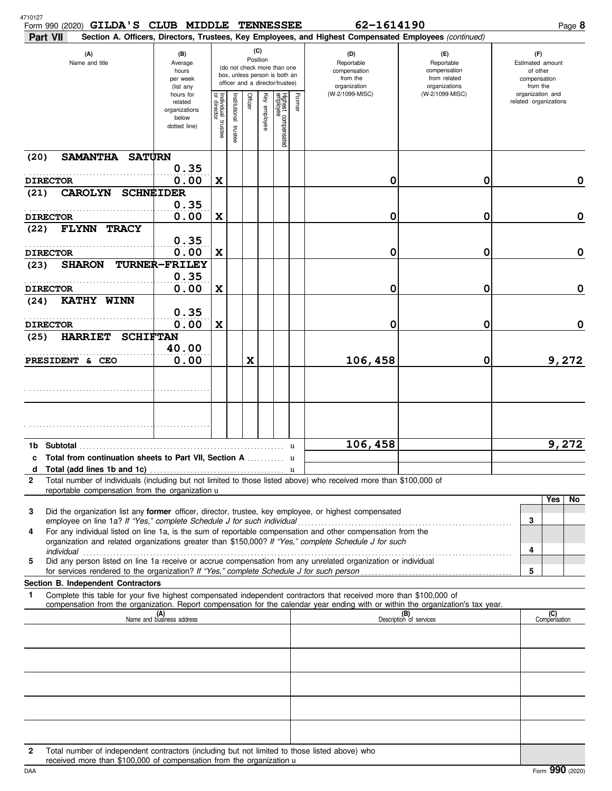| Form 990 (2020) GILDA'S CLUB MIDDLE TENNESSEE<br>Part VII                                                                                                                                                                 |                                                                |                                   |                         |         |                 |                                                                                                 |        | 62-1614190<br>Section A. Officers, Directors, Trustees, Key Employees, and Highest Compensated Employees (continued) |                                                                    | Page 8                                                          |
|---------------------------------------------------------------------------------------------------------------------------------------------------------------------------------------------------------------------------|----------------------------------------------------------------|-----------------------------------|-------------------------|---------|-----------------|-------------------------------------------------------------------------------------------------|--------|----------------------------------------------------------------------------------------------------------------------|--------------------------------------------------------------------|-----------------------------------------------------------------|
| (A)<br>Name and title                                                                                                                                                                                                     | (B)<br>Average<br>hours<br>per week<br>(list any               |                                   |                         |         | (C)<br>Position | (do not check more than one<br>box, unless person is both an<br>officer and a director/trustee) |        | (D)<br>Reportable<br>compensation<br>from the<br>organization                                                        | (F)<br>Reportable<br>compensation<br>from related<br>organizations | (F)<br>Estimated amount<br>of other<br>compensation<br>from the |
|                                                                                                                                                                                                                           | hours for<br>related<br>organizations<br>below<br>dotted line) | Individual trustee<br>or director | nstitutional<br>trustee | Officer | Key employee    | Highest compensated<br>employee                                                                 | Former | (W-2/1099-MISC)                                                                                                      | (W-2/1099-MISC)                                                    | organization and<br>related organizations                       |
| SAMANTHA SATURN<br>(20)                                                                                                                                                                                                   |                                                                |                                   |                         |         |                 |                                                                                                 |        |                                                                                                                      |                                                                    |                                                                 |
| <b>DIRECTOR</b>                                                                                                                                                                                                           | 0.35<br>0.00                                                   | X                                 |                         |         |                 |                                                                                                 |        | 0                                                                                                                    | 0                                                                  | $\mathbf 0$                                                     |
| <b>CAROLYN</b><br>(21)                                                                                                                                                                                                    | <b>SCHNEIDER</b>                                               |                                   |                         |         |                 |                                                                                                 |        |                                                                                                                      |                                                                    |                                                                 |
| <b>DIRECTOR</b>                                                                                                                                                                                                           | 0.35<br>0.00                                                   | X                                 |                         |         |                 |                                                                                                 |        | 0                                                                                                                    | 0                                                                  | $\mathbf 0$                                                     |
| <b>FLYNN TRACY</b><br>(22)                                                                                                                                                                                                |                                                                |                                   |                         |         |                 |                                                                                                 |        |                                                                                                                      |                                                                    |                                                                 |
|                                                                                                                                                                                                                           | 0.35                                                           |                                   |                         |         |                 |                                                                                                 |        |                                                                                                                      |                                                                    |                                                                 |
| <b>DIRECTOR</b><br><b>SHARON</b><br>(23)                                                                                                                                                                                  | 0.00<br>TURNER-FRILEY                                          | X                                 |                         |         |                 |                                                                                                 |        | 0                                                                                                                    | 0                                                                  | $\mathbf 0$                                                     |
|                                                                                                                                                                                                                           | 0.35                                                           |                                   |                         |         |                 |                                                                                                 |        |                                                                                                                      |                                                                    |                                                                 |
| <b>DIRECTOR</b><br><b>KATHY WINN</b>                                                                                                                                                                                      | 0.00                                                           | X                                 |                         |         |                 |                                                                                                 |        | 0                                                                                                                    | 0                                                                  | $\mathbf 0$                                                     |
| (24)                                                                                                                                                                                                                      | 0.35                                                           |                                   |                         |         |                 |                                                                                                 |        |                                                                                                                      |                                                                    |                                                                 |
| <b>DIRECTOR</b>                                                                                                                                                                                                           | 0.00                                                           | X                                 |                         |         |                 |                                                                                                 |        | 0                                                                                                                    | 0                                                                  | $\mathbf 0$                                                     |
| <b>HARRIET</b><br><b>SCHIFTAN</b><br>(25)                                                                                                                                                                                 | 40.00                                                          |                                   |                         |         |                 |                                                                                                 |        |                                                                                                                      |                                                                    |                                                                 |
| PRESIDENT & CEO                                                                                                                                                                                                           | 0.00                                                           |                                   |                         | X       |                 |                                                                                                 |        | 106,458                                                                                                              | 0                                                                  | 9,272                                                           |
|                                                                                                                                                                                                                           |                                                                |                                   |                         |         |                 |                                                                                                 |        |                                                                                                                      |                                                                    |                                                                 |
|                                                                                                                                                                                                                           |                                                                |                                   |                         |         |                 |                                                                                                 | u      | 106,458                                                                                                              |                                                                    | 9,272                                                           |
| c Total from continuation sheets to Part VII, Section A                                                                                                                                                                   |                                                                |                                   |                         |         | .               |                                                                                                 | u      |                                                                                                                      |                                                                    |                                                                 |
| d<br>Total number of individuals (including but not limited to those listed above) who received more than \$100,000 of                                                                                                    |                                                                |                                   |                         |         |                 |                                                                                                 | u      |                                                                                                                      |                                                                    |                                                                 |
| 2<br>reportable compensation from the organization u                                                                                                                                                                      |                                                                |                                   |                         |         |                 |                                                                                                 |        |                                                                                                                      |                                                                    |                                                                 |
| Did the organization list any former officer, director, trustee, key employee, or highest compensated<br>3                                                                                                                |                                                                |                                   |                         |         |                 |                                                                                                 |        |                                                                                                                      |                                                                    | Yes  <br>No.                                                    |
|                                                                                                                                                                                                                           |                                                                |                                   |                         |         |                 |                                                                                                 |        |                                                                                                                      |                                                                    | 3                                                               |
| For any individual listed on line 1a, is the sum of reportable compensation and other compensation from the<br>4<br>organization and related organizations greater than \$150,000? If "Yes," complete Schedule J for such |                                                                |                                   |                         |         |                 |                                                                                                 |        |                                                                                                                      |                                                                    |                                                                 |
| individual<br>Did any person listed on line 1a receive or accrue compensation from any unrelated organization or individual<br>5                                                                                          |                                                                |                                   |                         |         |                 |                                                                                                 |        |                                                                                                                      |                                                                    | 4                                                               |
| Section B. Independent Contractors                                                                                                                                                                                        |                                                                |                                   |                         |         |                 |                                                                                                 |        |                                                                                                                      |                                                                    | 5                                                               |
| Complete this table for your five highest compensated independent contractors that received more than \$100,000 of<br>1                                                                                                   |                                                                |                                   |                         |         |                 |                                                                                                 |        |                                                                                                                      |                                                                    |                                                                 |
| compensation from the organization. Report compensation for the calendar year ending with or within the organization's tax year.                                                                                          | (A)<br>Name and business address                               |                                   |                         |         |                 |                                                                                                 |        |                                                                                                                      | (B)<br>Description of services                                     | (C)<br>Compensation                                             |
|                                                                                                                                                                                                                           |                                                                |                                   |                         |         |                 |                                                                                                 |        |                                                                                                                      |                                                                    |                                                                 |
|                                                                                                                                                                                                                           |                                                                |                                   |                         |         |                 |                                                                                                 |        |                                                                                                                      |                                                                    |                                                                 |
|                                                                                                                                                                                                                           |                                                                |                                   |                         |         |                 |                                                                                                 |        |                                                                                                                      |                                                                    |                                                                 |
|                                                                                                                                                                                                                           |                                                                |                                   |                         |         |                 |                                                                                                 |        |                                                                                                                      |                                                                    |                                                                 |
|                                                                                                                                                                                                                           |                                                                |                                   |                         |         |                 |                                                                                                 |        |                                                                                                                      |                                                                    |                                                                 |
|                                                                                                                                                                                                                           |                                                                |                                   |                         |         |                 |                                                                                                 |        |                                                                                                                      |                                                                    |                                                                 |
|                                                                                                                                                                                                                           |                                                                |                                   |                         |         |                 |                                                                                                 |        |                                                                                                                      |                                                                    |                                                                 |
| Total number of independent contractors (including but not limited to those listed above) who<br>$\mathbf{2}$<br>received more than \$100,000 of compensation from the organization u                                     |                                                                |                                   |                         |         |                 |                                                                                                 |        |                                                                                                                      |                                                                    |                                                                 |

DAA Form 990 (2020) Constitution of the Completion of the Constitution of the Constitution of the Constitution of the Constitution of the Constitution of the Constitution of the Constitution of the Constitution of the Cons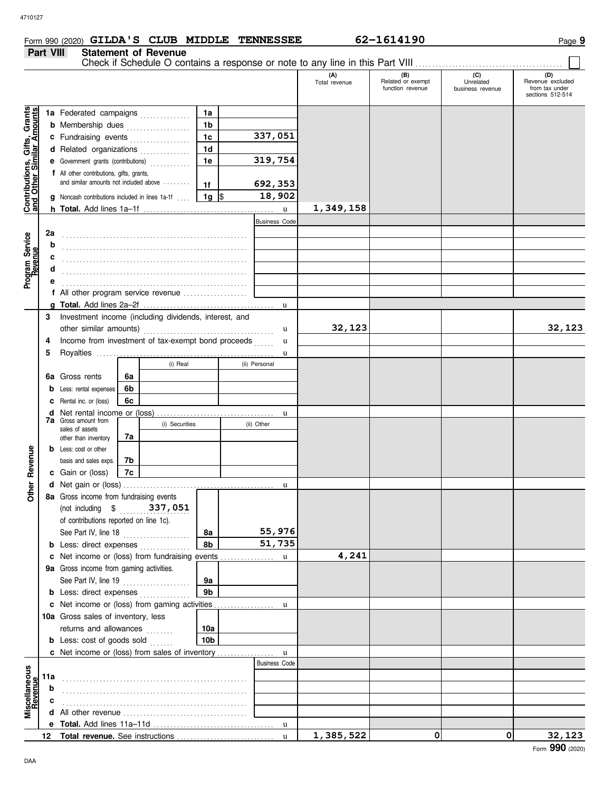# **Form 990 (2020) GILDA'S CLUB MIDDLE TENNESSEE 62-1614190** Page 9

## **Part VIII Statement of Revenue**

|                                                                  |     |                                                       |          |                |                      |                      | (A)<br>Total revenue | (B)<br>Related or exempt<br>function revenue | (C)<br>Unrelated<br>business revenue | (D)<br>Revenue excluded<br>from tax under<br>sections 512-514 |
|------------------------------------------------------------------|-----|-------------------------------------------------------|----------|----------------|----------------------|----------------------|----------------------|----------------------------------------------|--------------------------------------|---------------------------------------------------------------|
|                                                                  |     | 1a Federated campaigns                                |          |                | 1a                   |                      |                      |                                              |                                      |                                                               |
| <b>Contributions, Gifts, Grants</b><br>and Other Similar Amounts |     | <b>b</b> Membership dues                              |          |                | 1 <sub>b</sub>       |                      |                      |                                              |                                      |                                                               |
|                                                                  |     | c Fundraising events                                  |          |                | 1c                   | 337,051              |                      |                                              |                                      |                                                               |
|                                                                  |     | d Related organizations                               |          |                | 1 <sub>d</sub>       |                      |                      |                                              |                                      |                                                               |
|                                                                  |     | e Government grants (contributions)                   |          |                | 1e                   | 319,754              |                      |                                              |                                      |                                                               |
|                                                                  |     | f All other contributions, gifts, grants,             |          |                |                      |                      |                      |                                              |                                      |                                                               |
|                                                                  |     | and similar amounts not included above                |          |                | 1f                   | 692, 353             |                      |                                              |                                      |                                                               |
|                                                                  |     | Noncash contributions included in lines 1a-1f         |          |                | 1a   \$              | 18,902               |                      |                                              |                                      |                                                               |
|                                                                  |     |                                                       |          |                |                      | <b>u</b>             | 1,349,158            |                                              |                                      |                                                               |
|                                                                  |     |                                                       |          |                |                      | <b>Business Code</b> |                      |                                              |                                      |                                                               |
|                                                                  | 2a  |                                                       |          |                |                      |                      |                      |                                              |                                      |                                                               |
| Program Service<br>Revenue                                       | b   |                                                       |          |                |                      |                      |                      |                                              |                                      |                                                               |
|                                                                  | с   |                                                       |          |                |                      |                      |                      |                                              |                                      |                                                               |
|                                                                  | d   |                                                       |          |                |                      |                      |                      |                                              |                                      |                                                               |
|                                                                  | е   |                                                       |          |                |                      |                      |                      |                                              |                                      |                                                               |
|                                                                  |     | f All other program service revenue                   |          |                |                      |                      |                      |                                              |                                      |                                                               |
|                                                                  |     |                                                       |          |                |                      |                      |                      |                                              |                                      |                                                               |
|                                                                  | 3   | Investment income (including dividends, interest, and |          |                |                      |                      |                      |                                              |                                      |                                                               |
|                                                                  |     | other similar amounts)                                |          |                |                      | u                    | 32,123               |                                              |                                      | 32,123                                                        |
|                                                                  | 4   | Income from investment of tax-exempt bond proceeds    |          |                |                      | u                    |                      |                                              |                                      |                                                               |
|                                                                  | 5   |                                                       |          |                |                      | u                    |                      |                                              |                                      |                                                               |
|                                                                  |     |                                                       |          | (i) Real       |                      | (ii) Personal        |                      |                                              |                                      |                                                               |
|                                                                  |     | <b>6a</b> Gross rents                                 | 6a       |                |                      |                      |                      |                                              |                                      |                                                               |
|                                                                  |     | Less: rental expenses                                 | 6b       |                |                      |                      |                      |                                              |                                      |                                                               |
|                                                                  |     |                                                       | 6c       |                |                      |                      |                      |                                              |                                      |                                                               |
|                                                                  | d   | C Rental inc. or (loss)                               |          |                |                      |                      |                      |                                              |                                      |                                                               |
|                                                                  |     | <b>7a</b> Gross amount from                           |          | (i) Securities |                      | u<br>(ii) Other      |                      |                                              |                                      |                                                               |
|                                                                  |     | sales of assets                                       |          |                |                      |                      |                      |                                              |                                      |                                                               |
|                                                                  |     | other than inventory                                  | 7a       |                |                      |                      |                      |                                              |                                      |                                                               |
|                                                                  |     | <b>b</b> Less: cost or other                          |          |                |                      |                      |                      |                                              |                                      |                                                               |
|                                                                  |     | basis and sales exps.<br>c Gain or (loss)             | 7b<br>7c |                |                      |                      |                      |                                              |                                      |                                                               |
| Other Revenue                                                    |     |                                                       |          |                |                      |                      |                      |                                              |                                      |                                                               |
|                                                                  |     | 8a Gross income from fundraising events               |          |                |                      | u                    |                      |                                              |                                      |                                                               |
|                                                                  |     |                                                       |          |                |                      |                      |                      |                                              |                                      |                                                               |
|                                                                  |     | (not including $$$ 337, 051                           |          |                |                      |                      |                      |                                              |                                      |                                                               |
|                                                                  |     | of contributions reported on line 1c).                |          |                |                      | 55,976               |                      |                                              |                                      |                                                               |
|                                                                  |     | See Part IV, line 18                                  |          |                | 8а<br>8 <sub>b</sub> | 51,735               |                      |                                              |                                      |                                                               |
|                                                                  |     | <b>b</b> Less: direct expenses                        |          |                |                      |                      | 4,241                |                                              |                                      |                                                               |
|                                                                  |     |                                                       |          |                |                      |                      |                      |                                              |                                      |                                                               |
|                                                                  |     | 9a Gross income from gaming activities.               |          |                |                      |                      |                      |                                              |                                      |                                                               |
|                                                                  |     | See Part IV, line 19                                  |          |                | 9а<br>9 <sub>b</sub> |                      |                      |                                              |                                      |                                                               |
|                                                                  |     | <b>b</b> Less: direct expenses                        |          |                |                      |                      |                      |                                              |                                      |                                                               |
|                                                                  |     |                                                       |          |                |                      |                      |                      |                                              |                                      |                                                               |
|                                                                  |     | 10a Gross sales of inventory, less                    |          |                |                      |                      |                      |                                              |                                      |                                                               |
|                                                                  |     | returns and allowances                                |          |                | 10a                  |                      |                      |                                              |                                      |                                                               |
|                                                                  |     | <b>b</b> Less: cost of goods sold $\ldots$            |          |                | 10 <sub>b</sub>      |                      |                      |                                              |                                      |                                                               |
|                                                                  |     |                                                       |          |                |                      | <b>Business Code</b> |                      |                                              |                                      |                                                               |
|                                                                  |     |                                                       |          |                |                      |                      |                      |                                              |                                      |                                                               |
|                                                                  | 11a |                                                       |          |                |                      |                      |                      |                                              |                                      |                                                               |
| Miscellaneous<br>Revenue                                         | b   |                                                       |          |                |                      |                      |                      |                                              |                                      |                                                               |
|                                                                  | c   |                                                       |          |                |                      |                      |                      |                                              |                                      |                                                               |
|                                                                  |     |                                                       |          |                |                      |                      |                      |                                              |                                      |                                                               |
|                                                                  |     |                                                       |          |                |                      |                      |                      | 0                                            | 0                                    | 32,123                                                        |
|                                                                  |     |                                                       |          |                |                      |                      | 1,385,522            |                                              |                                      |                                                               |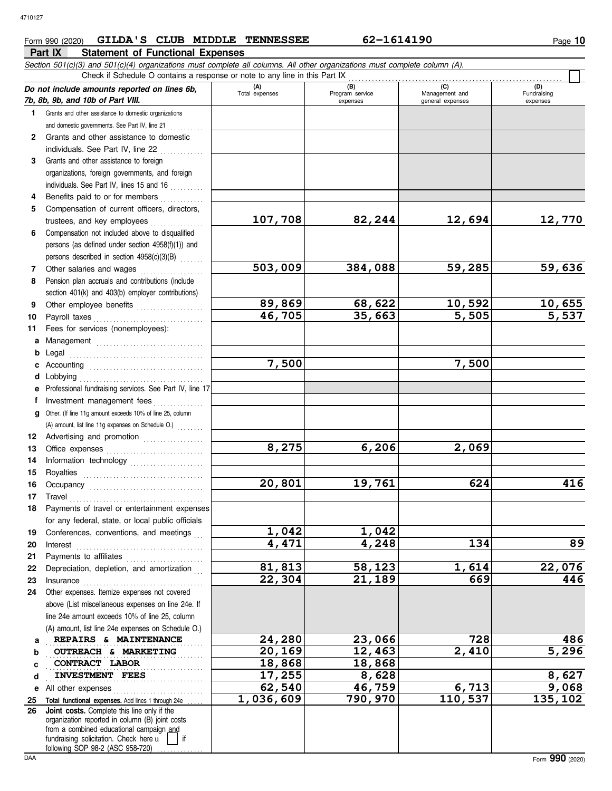#### **Part IX Statement of Functional Expenses Form 990 (2020) GILDA'S CLUB MIDDLE TENNESSEE 62-1614190** Page 10

|              | Section 501(c)(3) and 501(c)(4) organizations must complete all columns. All other organizations must complete column (A).                                                                                                                                                                                                                                                                                                                                                                                                         |                |                        |                  |             |
|--------------|------------------------------------------------------------------------------------------------------------------------------------------------------------------------------------------------------------------------------------------------------------------------------------------------------------------------------------------------------------------------------------------------------------------------------------------------------------------------------------------------------------------------------------|----------------|------------------------|------------------|-------------|
|              | Check if Schedule O contains a response or note to any line in this Part IX                                                                                                                                                                                                                                                                                                                                                                                                                                                        | (A)            |                        | (C)              | (D)         |
|              | Do not include amounts reported on lines 6b,                                                                                                                                                                                                                                                                                                                                                                                                                                                                                       | Total expenses | (B)<br>Program service | Management and   | Fundraising |
|              | 7b, 8b, 9b, and 10b of Part VIII.                                                                                                                                                                                                                                                                                                                                                                                                                                                                                                  |                | expenses               | general expenses | expenses    |
| 1.           | Grants and other assistance to domestic organizations                                                                                                                                                                                                                                                                                                                                                                                                                                                                              |                |                        |                  |             |
|              | and domestic governments. See Part IV, line 21                                                                                                                                                                                                                                                                                                                                                                                                                                                                                     |                |                        |                  |             |
| $\mathbf{2}$ | Grants and other assistance to domestic                                                                                                                                                                                                                                                                                                                                                                                                                                                                                            |                |                        |                  |             |
|              | individuals. See Part IV, line 22                                                                                                                                                                                                                                                                                                                                                                                                                                                                                                  |                |                        |                  |             |
| 3            | Grants and other assistance to foreign                                                                                                                                                                                                                                                                                                                                                                                                                                                                                             |                |                        |                  |             |
|              | organizations, foreign governments, and foreign                                                                                                                                                                                                                                                                                                                                                                                                                                                                                    |                |                        |                  |             |
|              | individuals. See Part IV, lines 15 and 16                                                                                                                                                                                                                                                                                                                                                                                                                                                                                          |                |                        |                  |             |
| 4            | Benefits paid to or for members                                                                                                                                                                                                                                                                                                                                                                                                                                                                                                    |                |                        |                  |             |
| 5            | Compensation of current officers, directors,                                                                                                                                                                                                                                                                                                                                                                                                                                                                                       | 107,708        | 82,244                 | 12,694           | 12,770      |
| 6            | trustees, and key employees<br>Compensation not included above to disqualified                                                                                                                                                                                                                                                                                                                                                                                                                                                     |                |                        |                  |             |
|              | persons (as defined under section 4958(f)(1)) and                                                                                                                                                                                                                                                                                                                                                                                                                                                                                  |                |                        |                  |             |
|              | persons described in section 4958(c)(3)(B)                                                                                                                                                                                                                                                                                                                                                                                                                                                                                         |                |                        |                  |             |
|              | Other salaries and wages                                                                                                                                                                                                                                                                                                                                                                                                                                                                                                           | 503,009        | 384,088                | 59,285           | 59,636      |
| 7<br>8       | Pension plan accruals and contributions (include                                                                                                                                                                                                                                                                                                                                                                                                                                                                                   |                |                        |                  |             |
|              | section 401(k) and 403(b) employer contributions)                                                                                                                                                                                                                                                                                                                                                                                                                                                                                  |                |                        |                  |             |
| 9            | Other employee benefits                                                                                                                                                                                                                                                                                                                                                                                                                                                                                                            | 89,869         | 68,622                 | 10,592           | 10,655      |
| 10           | Payroll taxes                                                                                                                                                                                                                                                                                                                                                                                                                                                                                                                      | 46,705         | 35,663                 | 5,505            | 5,537       |
| 11           | Fees for services (nonemployees):                                                                                                                                                                                                                                                                                                                                                                                                                                                                                                  |                |                        |                  |             |
| a            | Management                                                                                                                                                                                                                                                                                                                                                                                                                                                                                                                         |                |                        |                  |             |
| b            |                                                                                                                                                                                                                                                                                                                                                                                                                                                                                                                                    |                |                        |                  |             |
| c            |                                                                                                                                                                                                                                                                                                                                                                                                                                                                                                                                    | 7,500          |                        | 7,500            |             |
| d            |                                                                                                                                                                                                                                                                                                                                                                                                                                                                                                                                    |                |                        |                  |             |
| е            | Professional fundraising services. See Part IV, line 17                                                                                                                                                                                                                                                                                                                                                                                                                                                                            |                |                        |                  |             |
| Ť.           | Investment management fees                                                                                                                                                                                                                                                                                                                                                                                                                                                                                                         |                |                        |                  |             |
| g            | Other. (If line 11g amount exceeds 10% of line 25, column                                                                                                                                                                                                                                                                                                                                                                                                                                                                          |                |                        |                  |             |
|              | (A) amount, list line 11g expenses on Schedule O.)                                                                                                                                                                                                                                                                                                                                                                                                                                                                                 |                |                        |                  |             |
| 12           | Advertising and promotion                                                                                                                                                                                                                                                                                                                                                                                                                                                                                                          |                |                        |                  |             |
| 13           |                                                                                                                                                                                                                                                                                                                                                                                                                                                                                                                                    | 8,275          | 6,206                  | 2,069            |             |
| 14           | Information technology                                                                                                                                                                                                                                                                                                                                                                                                                                                                                                             |                |                        |                  |             |
| 15           |                                                                                                                                                                                                                                                                                                                                                                                                                                                                                                                                    |                |                        |                  |             |
| 16           |                                                                                                                                                                                                                                                                                                                                                                                                                                                                                                                                    | 20,801         | 19,761                 | 624              | 416         |
| 17           | $\begin{minipage}[c]{0.9\linewidth} \textbf{ Travel} \end{minipage}[ \begin{minipage}[c]{0.9\linewidth} \textbf{True} \end{minipage}[ \begin{minipage}[c]{0.9\linewidth} \textbf{True} \end{minipage}[ \begin{minipage}[c]{0.9\linewidth} \textbf{True} \end{minipage}[ \begin{minipage}[c]{0.9\linewidth} \textbf{True} \end{minipage}[ \begin{minipage}[c]{0.9\linewidth} \textbf{True} \end{minipage}[ \begin{minipage}[c]{0.9\linewidth} \textbf{True} \end{minipage}[ \begin{minipage}[c]{0.9\linewidth} \textbf{True} \end{$ |                |                        |                  |             |
| 18           | Payments of travel or entertainment expenses                                                                                                                                                                                                                                                                                                                                                                                                                                                                                       |                |                        |                  |             |
|              | for any federal, state, or local public officials                                                                                                                                                                                                                                                                                                                                                                                                                                                                                  |                |                        |                  |             |
| 19           | Conferences, conventions, and meetings                                                                                                                                                                                                                                                                                                                                                                                                                                                                                             | 1,042          | 1,042                  |                  |             |
| 20           | $\textbf{Interest} \hspace{0.05in} \ldots \hspace{0.05in} \ldots \hspace{0.05in} \ldots \hspace{0.05in} \ldots \hspace{0.05in} \ldots \hspace{0.05in} \ldots \hspace{0.05in} \ldots \hspace{0.05in} \ldots \hspace{0.05in} \ldots$                                                                                                                                                                                                                                                                                                 | 4,471          | 4,248                  | 134              | 89          |
| 21           | Payments to affiliates [11] contains a set of the set of the set of the Payments and Payments and Payments and Payments and Payments and Payments and Payments and Payments and Payments and Payments and Payments and Payment                                                                                                                                                                                                                                                                                                     |                |                        |                  |             |
| 22           | Depreciation, depletion, and amortization                                                                                                                                                                                                                                                                                                                                                                                                                                                                                          | 81,813         | 58,123                 | 1,614            | 22,076      |
| 23           | Insurance <b>continuous</b> contains a series of the series of the series of the series of the series of the series of the series of the series of the series of the series of the series of the series of the series of the series                                                                                                                                                                                                                                                                                                | 22,304         | 21,189                 | 669              | 446         |
| 24           | Other expenses. Itemize expenses not covered                                                                                                                                                                                                                                                                                                                                                                                                                                                                                       |                |                        |                  |             |
|              | above (List miscellaneous expenses on line 24e. If                                                                                                                                                                                                                                                                                                                                                                                                                                                                                 |                |                        |                  |             |
|              | line 24e amount exceeds 10% of line 25, column                                                                                                                                                                                                                                                                                                                                                                                                                                                                                     |                |                        |                  |             |
|              | (A) amount, list line 24e expenses on Schedule O.)                                                                                                                                                                                                                                                                                                                                                                                                                                                                                 |                |                        |                  |             |
| a            | REPAIRS & MAINTENANCE                                                                                                                                                                                                                                                                                                                                                                                                                                                                                                              | 24,280         | 23,066                 | 728              | 486         |
| b            | <b>OUTREACH &amp; MARKETING</b>                                                                                                                                                                                                                                                                                                                                                                                                                                                                                                    | 20,169         | 12,463                 | 2,410            | 5,296       |
| c            | CONTRACT LABOR                                                                                                                                                                                                                                                                                                                                                                                                                                                                                                                     | 18,868         | 18,868                 |                  |             |
| d            | INVESTMENT FEES                                                                                                                                                                                                                                                                                                                                                                                                                                                                                                                    | 17,255         | 8,628                  |                  | 8,627       |
| е            | All other expenses                                                                                                                                                                                                                                                                                                                                                                                                                                                                                                                 | 62,540         | 46,759                 | 6,713            | 9,068       |
| 25           | Total functional expenses. Add lines 1 through 24e                                                                                                                                                                                                                                                                                                                                                                                                                                                                                 | 1,036,609      | 790,970                | 110,537          | 135, 102    |
| 26           | Joint costs. Complete this line only if the<br>organization reported in column (B) joint costs                                                                                                                                                                                                                                                                                                                                                                                                                                     |                |                        |                  |             |
|              | from a combined educational campaign and                                                                                                                                                                                                                                                                                                                                                                                                                                                                                           |                |                        |                  |             |
|              | fundraising solicitation. Check here u<br>l if                                                                                                                                                                                                                                                                                                                                                                                                                                                                                     |                |                        |                  |             |
|              | following SOP 98-2 (ASC 958-720)                                                                                                                                                                                                                                                                                                                                                                                                                                                                                                   |                |                        |                  |             |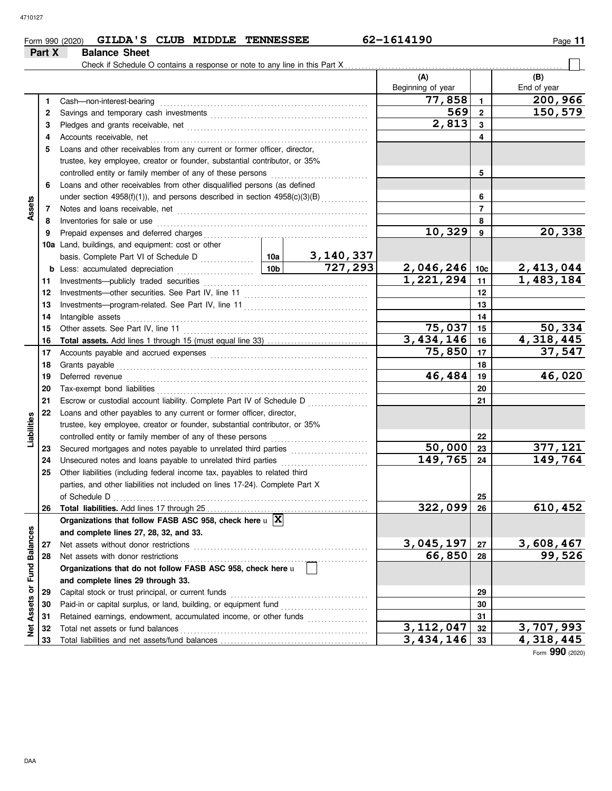# **Form 990 (2020) GILDA'S CLUB MIDDLE TENNESSEE 62-1614190** Page 11 **Part X Balance Sheet**

|                  |          | Check if Schedule O contains a response or note to any line in this Part X                                                                         |  |                          |                |                            |
|------------------|----------|----------------------------------------------------------------------------------------------------------------------------------------------------|--|--------------------------|----------------|----------------------------|
|                  |          |                                                                                                                                                    |  | (A)<br>Beginning of year |                | (B)<br>End of year         |
|                  | 1.       | Cash-non-interest-bearing                                                                                                                          |  | 77,858                   | $\mathbf{1}$   | 200,966                    |
|                  | 2        |                                                                                                                                                    |  | 569                      | $\mathbf{2}$   | 150,579                    |
|                  | 3        |                                                                                                                                                    |  | $\overline{2}$ , 813     | 3              |                            |
|                  | 4        | Accounts receivable, net                                                                                                                           |  |                          | 4              |                            |
|                  | 5        | Loans and other receivables from any current or former officer, director,                                                                          |  |                          |                |                            |
|                  |          | trustee, key employee, creator or founder, substantial contributor, or 35%                                                                         |  |                          |                |                            |
|                  |          |                                                                                                                                                    |  |                          | 5              |                            |
|                  | 6        | Loans and other receivables from other disqualified persons (as defined                                                                            |  |                          |                |                            |
|                  |          |                                                                                                                                                    |  |                          | 6              |                            |
| Assets           | 7        |                                                                                                                                                    |  |                          | $\overline{7}$ |                            |
|                  | 8        | Inventories for sale or use <i>contained a contained a contained a contained a contained a contained a</i>                                         |  |                          | 8              |                            |
|                  | 9        |                                                                                                                                                    |  | 10,329                   | 9              | 20,338                     |
|                  | 10a      | Land, buildings, and equipment: cost or other                                                                                                      |  |                          |                |                            |
|                  |          |                                                                                                                                                    |  |                          |                |                            |
|                  | b        |                                                                                                                                                    |  | 2,046,246                | 10c            | 2, 413, 044<br>1, 483, 184 |
|                  | 11       |                                                                                                                                                    |  | 1,221,294                | 11             |                            |
|                  | 12       |                                                                                                                                                    |  |                          | 12             |                            |
|                  | 13       |                                                                                                                                                    |  |                          | 13             |                            |
|                  | 14       | Intangible assets                                                                                                                                  |  |                          | 14             |                            |
|                  | 15       |                                                                                                                                                    |  | 75,037                   | 15             | 50,334                     |
|                  | 16       |                                                                                                                                                    |  | 3, 434, 146              | 16             | 4, 318, 445                |
|                  | 17       |                                                                                                                                                    |  | 75,850                   | 17             | 37,547                     |
|                  | 18       | Grants payable                                                                                                                                     |  | 46,484                   | 18             | 46,020                     |
|                  | 19       | Deferred revenue                                                                                                                                   |  |                          | 19             |                            |
|                  | 20       | Escrow or custodial account liability. Complete Part IV of Schedule D                                                                              |  |                          | 20             |                            |
|                  | 21<br>22 |                                                                                                                                                    |  |                          | 21             |                            |
| Liabilities      |          | Loans and other payables to any current or former officer, director,<br>trustee, key employee, creator or founder, substantial contributor, or 35% |  |                          |                |                            |
|                  |          | controlled entity or family member of any of these persons                                                                                         |  |                          | 22             |                            |
|                  | 23       | Secured mortgages and notes payable to unrelated third parties                                                                                     |  | 50,000                   | 23             | 377,121                    |
|                  | 24       | Unsecured notes and loans payable to unrelated third parties                                                                                       |  | 149,765                  | 24             | 149,764                    |
|                  | 25       | Other liabilities (including federal income tax, payables to related third                                                                         |  |                          |                |                            |
|                  |          | parties, and other liabilities not included on lines 17-24). Complete Part X                                                                       |  |                          |                |                            |
|                  |          |                                                                                                                                                    |  |                          | 25             |                            |
|                  |          | 26 Total liabilities. Add lines 17 through 25                                                                                                      |  | 322,099                  | 26             | 610,452                    |
|                  |          | Organizations that follow FASB ASC 958, check here u  X                                                                                            |  |                          |                |                            |
|                  |          | and complete lines 27, 28, 32, and 33.                                                                                                             |  |                          |                |                            |
|                  | 27       | Net assets without donor restrictions                                                                                                              |  | 3,045,197                | 27             | <u>3, 608, 467</u>         |
|                  | 28       | Net assets with donor restrictions                                                                                                                 |  | 66,850                   | 28             | 99,526                     |
| or Fund Balances |          | Organizations that do not follow FASB ASC 958, check here u                                                                                        |  |                          |                |                            |
|                  |          | and complete lines 29 through 33.                                                                                                                  |  |                          |                |                            |
|                  | 29       |                                                                                                                                                    |  |                          | 29             |                            |
| Assets           | 30       |                                                                                                                                                    |  |                          | 30             |                            |
|                  | 31       | Retained earnings, endowment, accumulated income, or other funds                                                                                   |  |                          | 31             |                            |
| $\frac{1}{2}$    | 32       | Total net assets or fund balances                                                                                                                  |  | 3, 112, 047              | 32             | 3,707,993                  |
|                  | 33       |                                                                                                                                                    |  | 3,434,146                | 33             | 4, 318, 445                |

Form **990** (2020)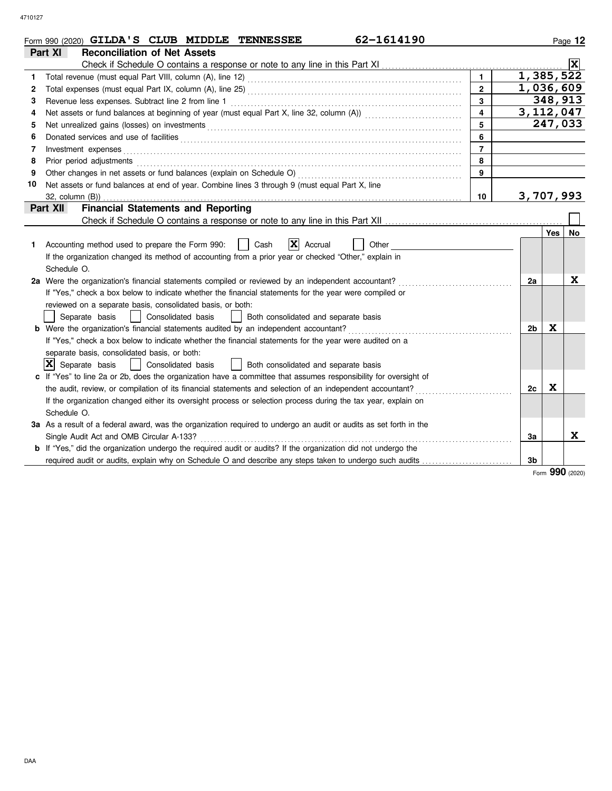|    | 62-1614190<br>Form 990 (2020) GILDA'S CLUB MIDDLE TENNESSEE                                                                                                                                                                   |                         |                |             | Page 12        |
|----|-------------------------------------------------------------------------------------------------------------------------------------------------------------------------------------------------------------------------------|-------------------------|----------------|-------------|----------------|
|    | <b>Reconciliation of Net Assets</b><br>Part XI                                                                                                                                                                                |                         |                |             |                |
|    |                                                                                                                                                                                                                               |                         |                |             | $ \mathbf{x} $ |
| 1. |                                                                                                                                                                                                                               | 1                       | 1,385,522      |             |                |
| 2  |                                                                                                                                                                                                                               | $\overline{2}$          | 1,036,609      |             |                |
| 3  |                                                                                                                                                                                                                               | $\overline{3}$          |                | 348, 913    |                |
| 4  |                                                                                                                                                                                                                               | $\overline{\mathbf{4}}$ | 3, 112, 047    |             |                |
| 5  |                                                                                                                                                                                                                               | 5                       |                | 247,033     |                |
| 6  |                                                                                                                                                                                                                               | 6                       |                |             |                |
| 7  |                                                                                                                                                                                                                               | $\overline{7}$          |                |             |                |
| 8  | Prior period adjustments [11] results and results and results and results are results and results and results and results are results and results and results are results and results are results and results are results and | 8                       |                |             |                |
| 9  |                                                                                                                                                                                                                               | 9                       |                |             |                |
| 10 | Net assets or fund balances at end of year. Combine lines 3 through 9 (must equal Part X, line                                                                                                                                |                         |                |             |                |
|    | $32$ , column $(B)$ )                                                                                                                                                                                                         | 10 <sup>1</sup>         | 3,707,993      |             |                |
|    | <b>Financial Statements and Reporting</b><br>Part XII                                                                                                                                                                         |                         |                |             |                |
|    |                                                                                                                                                                                                                               |                         |                |             |                |
|    |                                                                                                                                                                                                                               |                         |                | Yes         | No             |
| 1. | $ X $ Accrual<br>Cash<br>Other<br>Accounting method used to prepare the Form 990:                                                                                                                                             |                         |                |             |                |
|    | If the organization changed its method of accounting from a prior year or checked "Other," explain in                                                                                                                         |                         |                |             |                |
|    | Schedule O.                                                                                                                                                                                                                   |                         |                |             |                |
|    | 2a Were the organization's financial statements compiled or reviewed by an independent accountant?                                                                                                                            |                         | 2a             |             | $\mathbf x$    |
|    | If "Yes," check a box below to indicate whether the financial statements for the year were compiled or                                                                                                                        |                         |                |             |                |
|    | reviewed on a separate basis, consolidated basis, or both:                                                                                                                                                                    |                         |                |             |                |
|    | Separate basis<br>  Consolidated basis<br>  Both consolidated and separate basis                                                                                                                                              |                         |                |             |                |
|    | <b>b</b> Were the organization's financial statements audited by an independent accountant?                                                                                                                                   |                         | 2 <sub>b</sub> | $\mathbf x$ |                |
|    | If "Yes," check a box below to indicate whether the financial statements for the year were audited on a                                                                                                                       |                         |                |             |                |
|    | separate basis, consolidated basis, or both:                                                                                                                                                                                  |                         |                |             |                |
|    | $\mathbf{X}$ Separate basis<br>  Consolidated basis<br>  Both consolidated and separate basis                                                                                                                                 |                         |                |             |                |
|    | c If "Yes" to line 2a or 2b, does the organization have a committee that assumes responsibility for oversight of                                                                                                              |                         |                |             |                |
|    | the audit, review, or compilation of its financial statements and selection of an independent accountant?                                                                                                                     |                         | 2c             | X           |                |
|    | If the organization changed either its oversight process or selection process during the tax year, explain on                                                                                                                 |                         |                |             |                |
|    | Schedule O.                                                                                                                                                                                                                   |                         |                |             |                |
|    | 3a As a result of a federal award, was the organization required to undergo an audit or audits as set forth in the                                                                                                            |                         |                |             |                |
|    | Single Audit Act and OMB Circular A-133?                                                                                                                                                                                      |                         | За             |             | X              |
|    | <b>b</b> If "Yes," did the organization undergo the required audit or audits? If the organization did not undergo the                                                                                                         |                         |                |             |                |
|    |                                                                                                                                                                                                                               |                         | 3 <sub>b</sub> |             |                |
|    |                                                                                                                                                                                                                               |                         |                |             |                |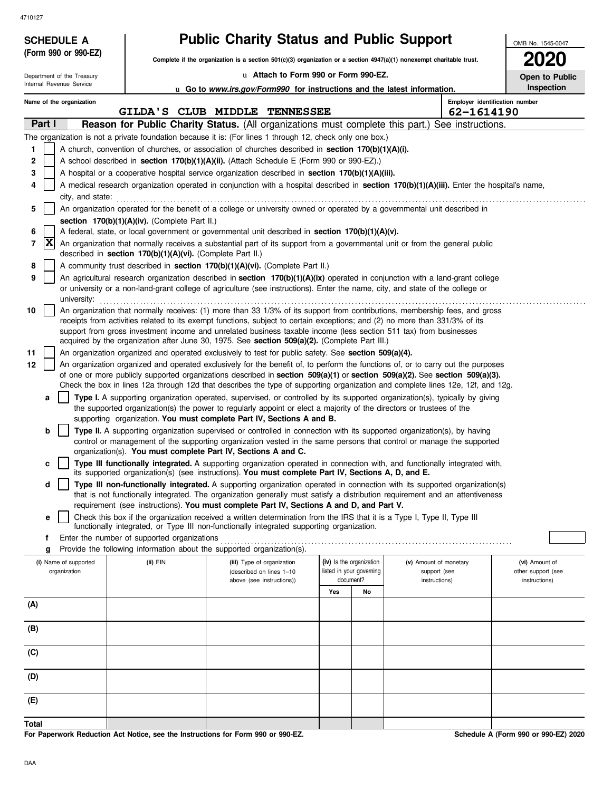| <b>Public Charity Status and Public Support</b><br>(Form 990 or 990-EZ)<br>Complete if the organization is a section $501(c)(3)$ organization or a section $4947(a)(1)$ nonexempt charitable trust.<br>u Attach to Form 990 or Form 990-EZ.<br>Department of the Treasury<br>Internal Revenue Service<br>u Go to www.irs.gov/Form990 for instructions and the latest information.<br>Name of the organization<br>GILDA'S CLUB MIDDLE TENNESSEE<br>Part I<br><b>Reason for Public Charity Status.</b> (All organizations must complete this part.) See instructions.<br>The organization is not a private foundation because it is: (For lines 1 through 12, check only one box.)<br>1<br>A church, convention of churches, or association of churches described in section 170(b)(1)(A)(i).<br>2<br>A school described in section 170(b)(1)(A)(ii). (Attach Schedule E (Form 990 or 990-EZ).)<br>3<br>A hospital or a cooperative hospital service organization described in section 170(b)(1)(A)(iii).<br>A medical research organization operated in conjunction with a hospital described in section 170(b)(1)(A)(iii). Enter the hospital's name,<br>4<br>city, and state:<br>An organization operated for the benefit of a college or university owned or operated by a governmental unit described in<br>5<br>section 170(b)(1)(A)(iv). (Complete Part II.)<br>A federal, state, or local government or governmental unit described in section 170(b)(1)(A)(v).<br>6<br>$\mathbf{x}$<br>7<br>An organization that normally receives a substantial part of its support from a governmental unit or from the general public | Employer identification number<br>62-1614190 | Open to Public<br>Inspection         |
|---------------------------------------------------------------------------------------------------------------------------------------------------------------------------------------------------------------------------------------------------------------------------------------------------------------------------------------------------------------------------------------------------------------------------------------------------------------------------------------------------------------------------------------------------------------------------------------------------------------------------------------------------------------------------------------------------------------------------------------------------------------------------------------------------------------------------------------------------------------------------------------------------------------------------------------------------------------------------------------------------------------------------------------------------------------------------------------------------------------------------------------------------------------------------------------------------------------------------------------------------------------------------------------------------------------------------------------------------------------------------------------------------------------------------------------------------------------------------------------------------------------------------------------------------------------------------------------------------------------------------------|----------------------------------------------|--------------------------------------|
|                                                                                                                                                                                                                                                                                                                                                                                                                                                                                                                                                                                                                                                                                                                                                                                                                                                                                                                                                                                                                                                                                                                                                                                                                                                                                                                                                                                                                                                                                                                                                                                                                                 |                                              |                                      |
|                                                                                                                                                                                                                                                                                                                                                                                                                                                                                                                                                                                                                                                                                                                                                                                                                                                                                                                                                                                                                                                                                                                                                                                                                                                                                                                                                                                                                                                                                                                                                                                                                                 |                                              |                                      |
|                                                                                                                                                                                                                                                                                                                                                                                                                                                                                                                                                                                                                                                                                                                                                                                                                                                                                                                                                                                                                                                                                                                                                                                                                                                                                                                                                                                                                                                                                                                                                                                                                                 |                                              |                                      |
|                                                                                                                                                                                                                                                                                                                                                                                                                                                                                                                                                                                                                                                                                                                                                                                                                                                                                                                                                                                                                                                                                                                                                                                                                                                                                                                                                                                                                                                                                                                                                                                                                                 |                                              |                                      |
|                                                                                                                                                                                                                                                                                                                                                                                                                                                                                                                                                                                                                                                                                                                                                                                                                                                                                                                                                                                                                                                                                                                                                                                                                                                                                                                                                                                                                                                                                                                                                                                                                                 |                                              |                                      |
|                                                                                                                                                                                                                                                                                                                                                                                                                                                                                                                                                                                                                                                                                                                                                                                                                                                                                                                                                                                                                                                                                                                                                                                                                                                                                                                                                                                                                                                                                                                                                                                                                                 |                                              |                                      |
|                                                                                                                                                                                                                                                                                                                                                                                                                                                                                                                                                                                                                                                                                                                                                                                                                                                                                                                                                                                                                                                                                                                                                                                                                                                                                                                                                                                                                                                                                                                                                                                                                                 |                                              |                                      |
|                                                                                                                                                                                                                                                                                                                                                                                                                                                                                                                                                                                                                                                                                                                                                                                                                                                                                                                                                                                                                                                                                                                                                                                                                                                                                                                                                                                                                                                                                                                                                                                                                                 |                                              |                                      |
|                                                                                                                                                                                                                                                                                                                                                                                                                                                                                                                                                                                                                                                                                                                                                                                                                                                                                                                                                                                                                                                                                                                                                                                                                                                                                                                                                                                                                                                                                                                                                                                                                                 |                                              |                                      |
|                                                                                                                                                                                                                                                                                                                                                                                                                                                                                                                                                                                                                                                                                                                                                                                                                                                                                                                                                                                                                                                                                                                                                                                                                                                                                                                                                                                                                                                                                                                                                                                                                                 |                                              |                                      |
|                                                                                                                                                                                                                                                                                                                                                                                                                                                                                                                                                                                                                                                                                                                                                                                                                                                                                                                                                                                                                                                                                                                                                                                                                                                                                                                                                                                                                                                                                                                                                                                                                                 |                                              |                                      |
|                                                                                                                                                                                                                                                                                                                                                                                                                                                                                                                                                                                                                                                                                                                                                                                                                                                                                                                                                                                                                                                                                                                                                                                                                                                                                                                                                                                                                                                                                                                                                                                                                                 |                                              |                                      |
|                                                                                                                                                                                                                                                                                                                                                                                                                                                                                                                                                                                                                                                                                                                                                                                                                                                                                                                                                                                                                                                                                                                                                                                                                                                                                                                                                                                                                                                                                                                                                                                                                                 |                                              |                                      |
|                                                                                                                                                                                                                                                                                                                                                                                                                                                                                                                                                                                                                                                                                                                                                                                                                                                                                                                                                                                                                                                                                                                                                                                                                                                                                                                                                                                                                                                                                                                                                                                                                                 |                                              |                                      |
| described in section 170(b)(1)(A)(vi). (Complete Part II.)                                                                                                                                                                                                                                                                                                                                                                                                                                                                                                                                                                                                                                                                                                                                                                                                                                                                                                                                                                                                                                                                                                                                                                                                                                                                                                                                                                                                                                                                                                                                                                      |                                              |                                      |
| A community trust described in section 170(b)(1)(A)(vi). (Complete Part II.)<br>8                                                                                                                                                                                                                                                                                                                                                                                                                                                                                                                                                                                                                                                                                                                                                                                                                                                                                                                                                                                                                                                                                                                                                                                                                                                                                                                                                                                                                                                                                                                                               |                                              |                                      |
| 9<br>An agricultural research organization described in section 170(b)(1)(A)(ix) operated in conjunction with a land-grant college                                                                                                                                                                                                                                                                                                                                                                                                                                                                                                                                                                                                                                                                                                                                                                                                                                                                                                                                                                                                                                                                                                                                                                                                                                                                                                                                                                                                                                                                                              |                                              |                                      |
| or university or a non-land-grant college of agriculture (see instructions). Enter the name, city, and state of the college or                                                                                                                                                                                                                                                                                                                                                                                                                                                                                                                                                                                                                                                                                                                                                                                                                                                                                                                                                                                                                                                                                                                                                                                                                                                                                                                                                                                                                                                                                                  |                                              |                                      |
| university:                                                                                                                                                                                                                                                                                                                                                                                                                                                                                                                                                                                                                                                                                                                                                                                                                                                                                                                                                                                                                                                                                                                                                                                                                                                                                                                                                                                                                                                                                                                                                                                                                     |                                              |                                      |
| An organization that normally receives: (1) more than 33 1/3% of its support from contributions, membership fees, and gross<br>10<br>receipts from activities related to its exempt functions, subject to certain exceptions; and (2) no more than 331/3% of its<br>support from gross investment income and unrelated business taxable income (less section 511 tax) from businesses                                                                                                                                                                                                                                                                                                                                                                                                                                                                                                                                                                                                                                                                                                                                                                                                                                                                                                                                                                                                                                                                                                                                                                                                                                           |                                              |                                      |
| acquired by the organization after June 30, 1975. See section 509(a)(2). (Complete Part III.)                                                                                                                                                                                                                                                                                                                                                                                                                                                                                                                                                                                                                                                                                                                                                                                                                                                                                                                                                                                                                                                                                                                                                                                                                                                                                                                                                                                                                                                                                                                                   |                                              |                                      |
| 11<br>An organization organized and operated exclusively to test for public safety. See section 509(a)(4).                                                                                                                                                                                                                                                                                                                                                                                                                                                                                                                                                                                                                                                                                                                                                                                                                                                                                                                                                                                                                                                                                                                                                                                                                                                                                                                                                                                                                                                                                                                      |                                              |                                      |
| 12<br>An organization organized and operated exclusively for the benefit of, to perform the functions of, or to carry out the purposes                                                                                                                                                                                                                                                                                                                                                                                                                                                                                                                                                                                                                                                                                                                                                                                                                                                                                                                                                                                                                                                                                                                                                                                                                                                                                                                                                                                                                                                                                          |                                              |                                      |
| of one or more publicly supported organizations described in section 509(a)(1) or section 509(a)(2). See section 509(a)(3).<br>Check the box in lines 12a through 12d that describes the type of supporting organization and complete lines 12e, 12f, and 12g.                                                                                                                                                                                                                                                                                                                                                                                                                                                                                                                                                                                                                                                                                                                                                                                                                                                                                                                                                                                                                                                                                                                                                                                                                                                                                                                                                                  |                                              |                                      |
| Type I. A supporting organization operated, supervised, or controlled by its supported organization(s), typically by giving<br>a<br>the supported organization(s) the power to regularly appoint or elect a majority of the directors or trustees of the<br>supporting organization. You must complete Part IV, Sections A and B.                                                                                                                                                                                                                                                                                                                                                                                                                                                                                                                                                                                                                                                                                                                                                                                                                                                                                                                                                                                                                                                                                                                                                                                                                                                                                               |                                              |                                      |
| Type II. A supporting organization supervised or controlled in connection with its supported organization(s), by having<br>b                                                                                                                                                                                                                                                                                                                                                                                                                                                                                                                                                                                                                                                                                                                                                                                                                                                                                                                                                                                                                                                                                                                                                                                                                                                                                                                                                                                                                                                                                                    |                                              |                                      |
| control or management of the supporting organization vested in the same persons that control or manage the supported<br>organization(s). You must complete Part IV, Sections A and C.                                                                                                                                                                                                                                                                                                                                                                                                                                                                                                                                                                                                                                                                                                                                                                                                                                                                                                                                                                                                                                                                                                                                                                                                                                                                                                                                                                                                                                           |                                              |                                      |
| Type III functionally integrated. A supporting organization operated in connection with, and functionally integrated with,<br>с                                                                                                                                                                                                                                                                                                                                                                                                                                                                                                                                                                                                                                                                                                                                                                                                                                                                                                                                                                                                                                                                                                                                                                                                                                                                                                                                                                                                                                                                                                 |                                              |                                      |
| its supported organization(s) (see instructions). You must complete Part IV, Sections A, D, and E.                                                                                                                                                                                                                                                                                                                                                                                                                                                                                                                                                                                                                                                                                                                                                                                                                                                                                                                                                                                                                                                                                                                                                                                                                                                                                                                                                                                                                                                                                                                              |                                              |                                      |
| Type III non-functionally integrated. A supporting organization operated in connection with its supported organization(s)<br>d                                                                                                                                                                                                                                                                                                                                                                                                                                                                                                                                                                                                                                                                                                                                                                                                                                                                                                                                                                                                                                                                                                                                                                                                                                                                                                                                                                                                                                                                                                  |                                              |                                      |
| that is not functionally integrated. The organization generally must satisfy a distribution requirement and an attentiveness<br>requirement (see instructions). You must complete Part IV, Sections A and D, and Part V.                                                                                                                                                                                                                                                                                                                                                                                                                                                                                                                                                                                                                                                                                                                                                                                                                                                                                                                                                                                                                                                                                                                                                                                                                                                                                                                                                                                                        |                                              |                                      |
| Check this box if the organization received a written determination from the IRS that it is a Type I, Type II, Type III<br>е                                                                                                                                                                                                                                                                                                                                                                                                                                                                                                                                                                                                                                                                                                                                                                                                                                                                                                                                                                                                                                                                                                                                                                                                                                                                                                                                                                                                                                                                                                    |                                              |                                      |
| functionally integrated, or Type III non-functionally integrated supporting organization.                                                                                                                                                                                                                                                                                                                                                                                                                                                                                                                                                                                                                                                                                                                                                                                                                                                                                                                                                                                                                                                                                                                                                                                                                                                                                                                                                                                                                                                                                                                                       |                                              |                                      |
| Enter the number of supported organizations<br>f                                                                                                                                                                                                                                                                                                                                                                                                                                                                                                                                                                                                                                                                                                                                                                                                                                                                                                                                                                                                                                                                                                                                                                                                                                                                                                                                                                                                                                                                                                                                                                                |                                              |                                      |
| Provide the following information about the supported organization(s).<br>g                                                                                                                                                                                                                                                                                                                                                                                                                                                                                                                                                                                                                                                                                                                                                                                                                                                                                                                                                                                                                                                                                                                                                                                                                                                                                                                                                                                                                                                                                                                                                     |                                              |                                      |
| (iv) Is the organization<br>(ii) EIN<br>(iii) Type of organization<br>(i) Name of supported<br>listed in your governing<br>organization<br>(described on lines 1-10                                                                                                                                                                                                                                                                                                                                                                                                                                                                                                                                                                                                                                                                                                                                                                                                                                                                                                                                                                                                                                                                                                                                                                                                                                                                                                                                                                                                                                                             | (v) Amount of monetary<br>support (see       | (vi) Amount of<br>other support (see |
| document?<br>above (see instructions))                                                                                                                                                                                                                                                                                                                                                                                                                                                                                                                                                                                                                                                                                                                                                                                                                                                                                                                                                                                                                                                                                                                                                                                                                                                                                                                                                                                                                                                                                                                                                                                          | instructions)                                | instructions)                        |
| Yes<br>No                                                                                                                                                                                                                                                                                                                                                                                                                                                                                                                                                                                                                                                                                                                                                                                                                                                                                                                                                                                                                                                                                                                                                                                                                                                                                                                                                                                                                                                                                                                                                                                                                       |                                              |                                      |
| (A)                                                                                                                                                                                                                                                                                                                                                                                                                                                                                                                                                                                                                                                                                                                                                                                                                                                                                                                                                                                                                                                                                                                                                                                                                                                                                                                                                                                                                                                                                                                                                                                                                             |                                              |                                      |
| (B)                                                                                                                                                                                                                                                                                                                                                                                                                                                                                                                                                                                                                                                                                                                                                                                                                                                                                                                                                                                                                                                                                                                                                                                                                                                                                                                                                                                                                                                                                                                                                                                                                             |                                              |                                      |
| (C)                                                                                                                                                                                                                                                                                                                                                                                                                                                                                                                                                                                                                                                                                                                                                                                                                                                                                                                                                                                                                                                                                                                                                                                                                                                                                                                                                                                                                                                                                                                                                                                                                             |                                              |                                      |
| (D)                                                                                                                                                                                                                                                                                                                                                                                                                                                                                                                                                                                                                                                                                                                                                                                                                                                                                                                                                                                                                                                                                                                                                                                                                                                                                                                                                                                                                                                                                                                                                                                                                             |                                              |                                      |
| (E)                                                                                                                                                                                                                                                                                                                                                                                                                                                                                                                                                                                                                                                                                                                                                                                                                                                                                                                                                                                                                                                                                                                                                                                                                                                                                                                                                                                                                                                                                                                                                                                                                             |                                              |                                      |

**For Paperwork Reduction Act Notice, see the Instructions for Form 990 or 990-EZ.**

**Schedule A (Form 990 or 990-EZ) 2020**

**Total**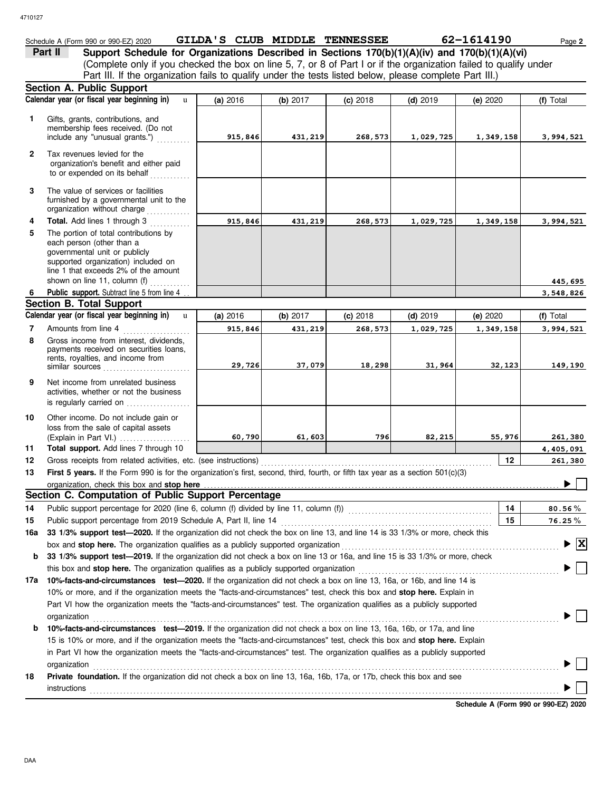|          | <b>MIDDLE</b> |              |                  |            | Page 2                                                                                                                                                                                                                                                                                                                                           |
|----------|---------------|--------------|------------------|------------|--------------------------------------------------------------------------------------------------------------------------------------------------------------------------------------------------------------------------------------------------------------------------------------------------------------------------------------------------|
|          |               |              |                  |            |                                                                                                                                                                                                                                                                                                                                                  |
|          |               |              |                  |            |                                                                                                                                                                                                                                                                                                                                                  |
|          |               |              |                  |            |                                                                                                                                                                                                                                                                                                                                                  |
|          |               |              |                  |            |                                                                                                                                                                                                                                                                                                                                                  |
| (a) 2016 | (b) $2017$    | $(c)$ 2018   | $(d)$ 2019       | (e) $2020$ | (f) Total                                                                                                                                                                                                                                                                                                                                        |
| 915,846  | 431,219       | 268,573      | 1,029,725        | 1,349,158  | 3,994,521                                                                                                                                                                                                                                                                                                                                        |
|          |               | GILDA'S CLUB | <b>TENNESSEE</b> |            | 62-1614190<br>Support Schedule for Organizations Described in Sections $170(b)(1)(A)(iv)$ and $170(b)(1)(A)(vi)$<br>(Complete only if you checked the box on line 5, 7, or 8 of Part I or if the organization failed to qualify under<br>Part III. If the organization fails to qualify under the tests listed below, please complete Part III.) |

**915,846 431,219 268,573 1,029,725 1,349,158 3,994,521**

**60,790 61,603 796 82,215 55,976 261,380**

| Tax revenues levied for the<br>organization's benefit and either paid<br>to or expended on its behalf |  |
|-------------------------------------------------------------------------------------------------------|--|
| The value of services or facilities                                                                   |  |

| J. | THE VAILLE OF SERVICES OF INCLINIES     |
|----|-----------------------------------------|
|    | furnished by a governmental unit to the |
|    | organization without charge             |

|   | <b>Total.</b> Add lines 1 through 3                                                                                                          |  |
|---|----------------------------------------------------------------------------------------------------------------------------------------------|--|
| 5 | The portion of total contributions by<br>each person (other than a                                                                           |  |
|   | governmental unit or publicly<br>supported organization) included on<br>line 1 that exceeds 2% of the amount<br>shown on line 11, column (f) |  |

| 6   |           |  | <b>Public support.</b> Subtract line 5 from line 4. |  |  |  |
|-----|-----------|--|-----------------------------------------------------|--|--|--|
| - - | - - - - - |  |                                                     |  |  |  |

|--|

| Calendar<br>beainnina<br>ıl vear<br>(or<br>tiscal<br>vear<br>-In<br>u | $\sim$<br>הו<br>ιa | $\cdots$ on $\cdots$<br>(b | 201<br>IC.<br>$-010$ | $\sim$<br>(d) | nnnr<br>(e)<br>w | $\sim$<br>uid |
|-----------------------------------------------------------------------|--------------------|----------------------------|----------------------|---------------|------------------|---------------|
|                                                                       |                    |                            |                      |               |                  |               |

|          | Amounts from line 4                                                                                                                      | 915.846 | 431,219 | 268,573 | 1,029,725 | 1,349,158 | 3,994,521 |
|----------|------------------------------------------------------------------------------------------------------------------------------------------|---------|---------|---------|-----------|-----------|-----------|
| 8        | Gross income from interest, dividends,<br>payments received on securities loans,<br>rents, royalties, and income from<br>similar sources | 29,726  | 37,079  | 18,298  | 31,964    | 32, 123   | 149,190   |
| $\Omega$ | Not income from unrelated buciness                                                                                                       |         |         |         |           |           |           |

| 9 | Net income from unrelated business      |
|---|-----------------------------------------|
|   | activities, whether or not the business |
|   | is requiarly carried on                 |

| 10 | Other income. Do not include gain or |
|----|--------------------------------------|
|    | loss from the sale of capital assets |
|    | $(Explain in Part VI.)$              |

**Total support.** Add lines 7 through 10 **11**

| 13 First 5 years. If the Form 990 is for the organization's first, second, third, fourth, or fifth tax year as a section 501(c)(3) |
|------------------------------------------------------------------------------------------------------------------------------------|
| organization, check this box and <b>stop here</b>                                                                                  |

**(a)** 2016

|     | organization, check this box and stop here conservation and conservation of the state of the state of the state of the state of the state of the state of the state of the state of the state of the state of the state of the                                                                                                                                                                             |    |                                         |
|-----|------------------------------------------------------------------------------------------------------------------------------------------------------------------------------------------------------------------------------------------------------------------------------------------------------------------------------------------------------------------------------------------------------------|----|-----------------------------------------|
|     | Section C. Computation of Public Support Percentage                                                                                                                                                                                                                                                                                                                                                        |    |                                         |
| 14  |                                                                                                                                                                                                                                                                                                                                                                                                            | 14 | 80.56 $\%$                              |
| 15  |                                                                                                                                                                                                                                                                                                                                                                                                            | 15 | 76.25 %                                 |
| 16a | 33 1/3% support test—2020. If the organization did not check the box on line 13, and line 14 is 33 1/3% or more, check this<br>box and stop here. The organization qualifies as a publicly supported organization                                                                                                                                                                                          |    | $\blacktriangleright \overline{X}$      |
| b   | 33 1/3% support test—2019. If the organization did not check a box on line 13 or 16a, and line 15 is 33 1/3% or more, check                                                                                                                                                                                                                                                                                |    | $\blacktriangleright$ $\vert \ \ \vert$ |
| 17а | 10%-facts-and-circumstances test-2020. If the organization did not check a box on line 13, 16a, or 16b, and line 14 is<br>10% or more, and if the organization meets the "facts-and-circumstances" test, check this box and <b>stop here.</b> Explain in<br>Part VI how the organization meets the "facts-and-circumstances" test. The organization qualifies as a publicly supported<br>organization      |    | $\blacktriangleright \Box$              |
| b   | 10%-facts-and-circumstances test-2019. If the organization did not check a box on line 13, 16a, 16b, or 17a, and line<br>15 is 10% or more, and if the organization meets the "facts-and-circumstances" test, check this box and <b>stop here.</b> Explain<br>in Part VI how the organization meets the "facts-and-circumstances" test. The organization qualifies as a publicly supported<br>organization |    | $\blacktriangleright \Box$              |
| 18  | Private foundation. If the organization did not check a box on line 13, 16a, 16b, 17a, or 17b, check this box and see<br>instructions                                                                                                                                                                                                                                                                      |    |                                         |

**Schedule A (Form 990 or 990-EZ) 2020**

**12**

**445,695 3,548,826**

**4,405,091 261,380**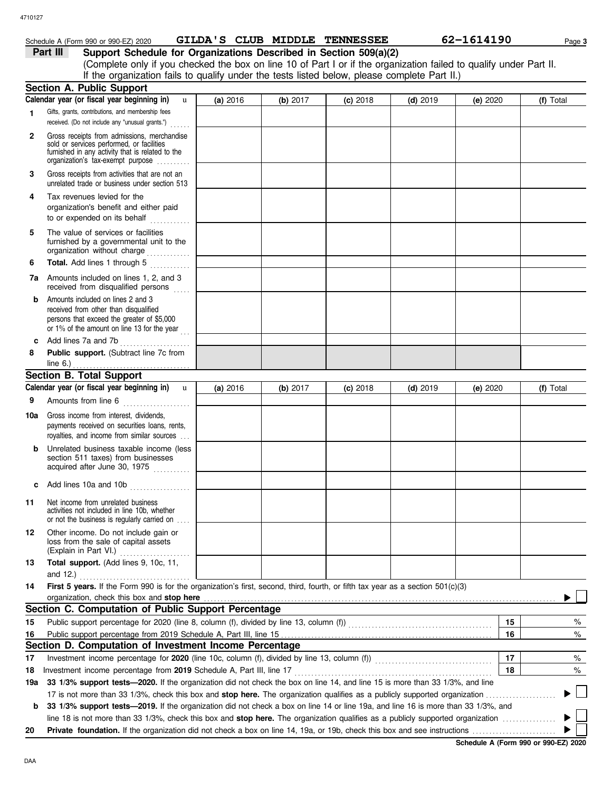#### Schedule A (Form 990 or 990-EZ) 2020 **GILDA'S CLUB MIDDLE TENNESSEE** 62-1614190 Page 3

**Part III Support Schedule for Organizations Described in Section 509(a)(2)** (Complete only if you checked the box on line 10 of Part I or if the organization failed to qualify under Part II.

If the organization fails to qualify under the tests listed below, please complete Part II.)

|     | <b>Section A. Public Support</b>                                                                                                                                                  |          |          |            |            |          |           |
|-----|-----------------------------------------------------------------------------------------------------------------------------------------------------------------------------------|----------|----------|------------|------------|----------|-----------|
|     | Calendar year (or fiscal year beginning in)<br>u.                                                                                                                                 | (a) 2016 | (b) 2017 | $(c)$ 2018 | $(d)$ 2019 | (e) 2020 | (f) Total |
| 1.  | Gifts, grants, contributions, and membership fees<br>received. (Do not include any "unusual grants.")                                                                             |          |          |            |            |          |           |
| 2   | Gross receipts from admissions, merchandise<br>sold or services performed, or facilities<br>furnished in any activity that is related to the<br>organization's tax-exempt purpose |          |          |            |            |          |           |
| 3   | Gross receipts from activities that are not an<br>unrelated trade or business under section 513                                                                                   |          |          |            |            |          |           |
| 4   | Tax revenues levied for the<br>organization's benefit and either paid<br>to or expended on its behalf                                                                             |          |          |            |            |          |           |
| 5   | The value of services or facilities<br>furnished by a governmental unit to the<br>organization without charge                                                                     |          |          |            |            |          |           |
| 6   | Total. Add lines 1 through 5                                                                                                                                                      |          |          |            |            |          |           |
| 7a  | Amounts included on lines 1, 2, and 3<br>received from disqualified persons                                                                                                       |          |          |            |            |          |           |
| b   | Amounts included on lines 2 and 3<br>received from other than disqualified<br>persons that exceed the greater of \$5,000<br>or 1% of the amount on line 13 for the year           |          |          |            |            |          |           |
| c   | Add lines 7a and 7b                                                                                                                                                               |          |          |            |            |          |           |
| 8   | Public support. (Subtract line 7c from<br>line $6.$ )                                                                                                                             |          |          |            |            |          |           |
|     | .<br><b>Section B. Total Support</b>                                                                                                                                              |          |          |            |            |          |           |
|     | Calendar year (or fiscal year beginning in)<br>$\mathbf{u}$                                                                                                                       | (a) 2016 | (b) 2017 | $(c)$ 2018 | $(d)$ 2019 | (e) 2020 | (f) Total |
| 9   | Amounts from line 6                                                                                                                                                               |          |          |            |            |          |           |
| 10a | Gross income from interest, dividends,<br>payments received on securities loans, rents,<br>royalties, and income from similar sources                                             |          |          |            |            |          |           |
| b   | Unrelated business taxable income (less)<br>section 511 taxes) from businesses<br>acquired after June 30, 1975                                                                    |          |          |            |            |          |           |
| c   | Add lines 10a and 10b                                                                                                                                                             |          |          |            |            |          |           |
| 11  | Net income from unrelated business<br>activities not included in line 10b, whether<br>or not the business is regularly carried on                                                 |          |          |            |            |          |           |
| 12  | Other income. Do not include gain or<br>loss from the sale of capital assets<br>(Explain in Part VI.)                                                                             |          |          |            |            |          |           |
| 13  | Total support. (Add lines 9, 10c, 11,<br>and 12.) $\ldots$                                                                                                                        |          |          |            |            |          |           |
| 14  | First 5 years. If the Form 990 is for the organization's first, second, third, fourth, or fifth tax year as a section 501(c)(3)<br>organization, check this box and stop here     |          |          |            |            |          |           |
|     | Section C. Computation of Public Support Percentage                                                                                                                               |          |          |            |            |          |           |
| 15  |                                                                                                                                                                                   |          |          |            |            | 15       | $\%$      |
| 16  |                                                                                                                                                                                   |          |          |            |            | 16       | $\%$      |
|     | Section D. Computation of Investment Income Percentage                                                                                                                            |          |          |            |            |          |           |
| 17  | Investment income percentage for 2020 (line 10c, column (f), divided by line 13, column (f)) [[[[[[[[[[[[[[[[[                                                                    |          |          |            |            | 17       | %         |
| 18  |                                                                                                                                                                                   |          |          |            |            | 18       | %         |
| 19a | 33 1/3% support tests-2020. If the organization did not check the box on line 14, and line 15 is more than 33 1/3%, and line                                                      |          |          |            |            |          |           |
|     |                                                                                                                                                                                   |          |          |            |            |          |           |
| b   | 33 1/3% support tests—2019. If the organization did not check a box on line 14 or line 19a, and line 16 is more than 33 1/3%, and                                                 |          |          |            |            |          |           |
|     | line 18 is not more than 33 1/3%, check this box and stop here. The organization qualifies as a publicly supported organization                                                   |          |          |            |            |          |           |
| 20  |                                                                                                                                                                                   |          |          |            |            |          |           |

**Schedule A (Form 990 or 990-EZ) 2020**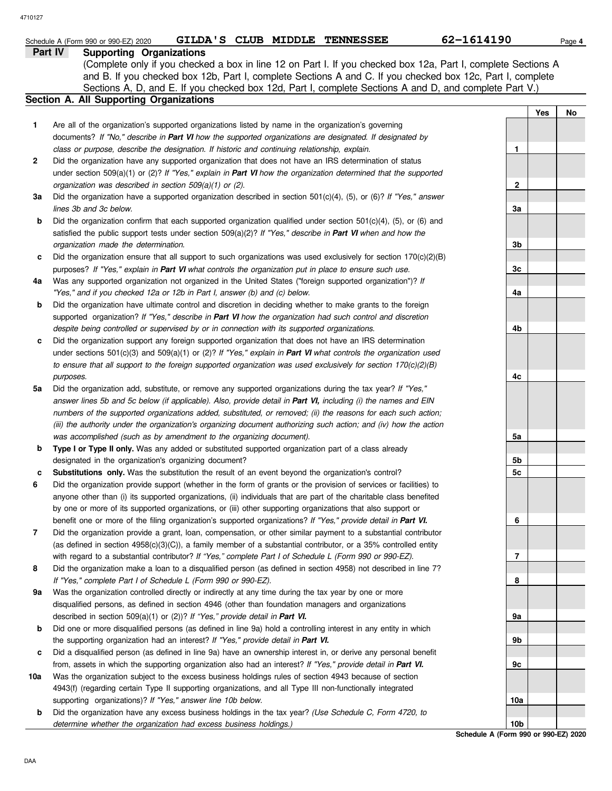|              | <b>TENNESSEE</b><br>GILDA'S CLUB MIDDLE<br>Schedule A (Form 990 or 990-EZ) 2020                                          | 62-1614190   |     | Page 4 |
|--------------|--------------------------------------------------------------------------------------------------------------------------|--------------|-----|--------|
|              | Part IV<br><b>Supporting Organizations</b>                                                                               |              |     |        |
|              | (Complete only if you checked a box in line 12 on Part I. If you checked box 12a, Part I, complete Sections A            |              |     |        |
|              | and B. If you checked box 12b, Part I, complete Sections A and C. If you checked box 12c, Part I, complete               |              |     |        |
|              | Sections A, D, and E. If you checked box 12d, Part I, complete Sections A and D, and complete Part V.)                   |              |     |        |
|              | Section A. All Supporting Organizations                                                                                  |              |     |        |
|              |                                                                                                                          |              | Yes | No     |
| 1            | Are all of the organization's supported organizations listed by name in the organization's governing                     |              |     |        |
|              | documents? If "No," describe in Part VI how the supported organizations are designated. If designated by                 |              |     |        |
|              | class or purpose, describe the designation. If historic and continuing relationship, explain.                            | 1            |     |        |
| $\mathbf{2}$ | Did the organization have any supported organization that does not have an IRS determination of status                   |              |     |        |
|              | under section 509(a)(1) or (2)? If "Yes," explain in <b>Part VI</b> how the organization determined that the supported   |              |     |        |
|              | organization was described in section 509(a)(1) or (2).                                                                  | $\mathbf{2}$ |     |        |
| За           | Did the organization have a supported organization described in section $501(c)(4)$ , $(5)$ , or $(6)?$ If "Yes," answer |              |     |        |
|              | lines 3b and 3c below.                                                                                                   | За           |     |        |
| b            | Did the organization confirm that each supported organization qualified under section $501(c)(4)$ , $(5)$ , or $(6)$ and |              |     |        |
|              | satisfied the public support tests under section $509(a)(2)?$ If "Yes," describe in <b>Part VI</b> when and how the      |              |     |        |
|              | organization made the determination.                                                                                     | 3b           |     |        |
| c            | Did the organization ensure that all support to such organizations was used exclusively for section $170(c)(2)(B)$       |              |     |        |
|              | purposes? If "Yes," explain in Part VI what controls the organization put in place to ensure such use.                   | 3c           |     |        |
| 4a           | Was any supported organization not organized in the United States ("foreign supported organization")? If                 |              |     |        |
|              | "Yes," and if you checked 12a or 12b in Part I, answer (b) and (c) below.                                                | 4a           |     |        |
| b            | Did the organization have ultimate control and discretion in deciding whether to make grants to the foreign              |              |     |        |
|              | supported organization? If "Yes," describe in Part VI how the organization had such control and discretion               |              |     |        |
|              | despite being controlled or supervised by or in connection with its supported organizations.                             | 4b           |     |        |
| c            | Did the organization support any foreign supported organization that does not have an IRS determination                  |              |     |        |
|              | under sections 501(c)(3) and 509(a)(1) or (2)? If "Yes," explain in Part VI what controls the organization used          |              |     |        |
|              | to ensure that all support to the foreign supported organization was used exclusively for section $170(c)(2)(B)$         |              |     |        |
|              | purposes.                                                                                                                | 4c           |     |        |
| 5a           | Did the organization add, substitute, or remove any supported organizations during the tax year? If "Yes,"               |              |     |        |
|              | answer lines 5b and 5c below (if applicable). Also, provide detail in Part VI, including (i) the names and EIN           |              |     |        |
|              | numbers of the supported organizations added, substituted, or removed; (ii) the reasons for each such action;            |              |     |        |
|              | (iii) the authority under the organization's organizing document authorizing such action; and (iv) how the action        |              |     |        |
|              | was accomplished (such as by amendment to the organizing document).                                                      | 5a           |     |        |
| b            | Type I or Type II only. Was any added or substituted supported organization part of a class already                      |              |     |        |
|              | designated in the organization's organizing document?                                                                    | 5b           |     |        |
| c            | <b>Substitutions only.</b> Was the substitution the result of an event beyond the organization's control?                | 5c           |     |        |
| 6            | Did the organization provide support (whether in the form of grants or the provision of services or facilities) to       |              |     |        |
|              | anyone other than (i) its supported organizations, (ii) individuals that are part of the charitable class benefited      |              |     |        |
|              | by one or more of its supported organizations, or (iii) other supporting organizations that also support or              |              |     |        |
|              | benefit one or more of the filing organization's supported organizations? If "Yes," provide detail in Part VI.           | 6            |     |        |
| 7            | Did the organization provide a grant, loan, compensation, or other similar payment to a substantial contributor          |              |     |        |
|              | (as defined in section 4958(c)(3)(C)), a family member of a substantial contributor, or a 35% controlled entity          |              |     |        |
|              | with regard to a substantial contributor? If "Yes," complete Part I of Schedule L (Form 990 or 990-EZ).                  | 7            |     |        |
| 8            | Did the organization make a loan to a disqualified person (as defined in section 4958) not described in line 7?          |              |     |        |
|              | If "Yes," complete Part I of Schedule L (Form 990 or 990-EZ).                                                            | 8            |     |        |
| 9a           | Was the organization controlled directly or indirectly at any time during the tax year by one or more                    |              |     |        |
|              | disqualified persons, as defined in section 4946 (other than foundation managers and organizations                       |              |     |        |
|              | described in section 509(a)(1) or (2))? If "Yes," provide detail in Part VI.                                             | 9а           |     |        |
| b            | Did one or more disqualified persons (as defined in line 9a) hold a controlling interest in any entity in which          |              |     |        |
|              | the supporting organization had an interest? If "Yes," provide detail in Part VI.                                        | 9b           |     |        |
| c            | Did a disqualified person (as defined in line 9a) have an ownership interest in, or derive any personal benefit          |              |     |        |
|              | from, assets in which the supporting organization also had an interest? If "Yes," provide detail in Part VI.             | 9с           |     |        |
| 10a          | Was the organization subject to the excess business holdings rules of section 4943 because of section                    |              |     |        |
|              | 4943(f) (regarding certain Type II supporting organizations, and all Type III non-functionally integrated                |              |     |        |
|              | supporting organizations)? If "Yes," answer line 10b below.                                                              | 10a          |     |        |
| b            | Did the organization have any excess business holdings in the tax year? (Use Schedule C, Form 4720, to                   |              |     |        |

*determine whether the organization had excess business holdings.)*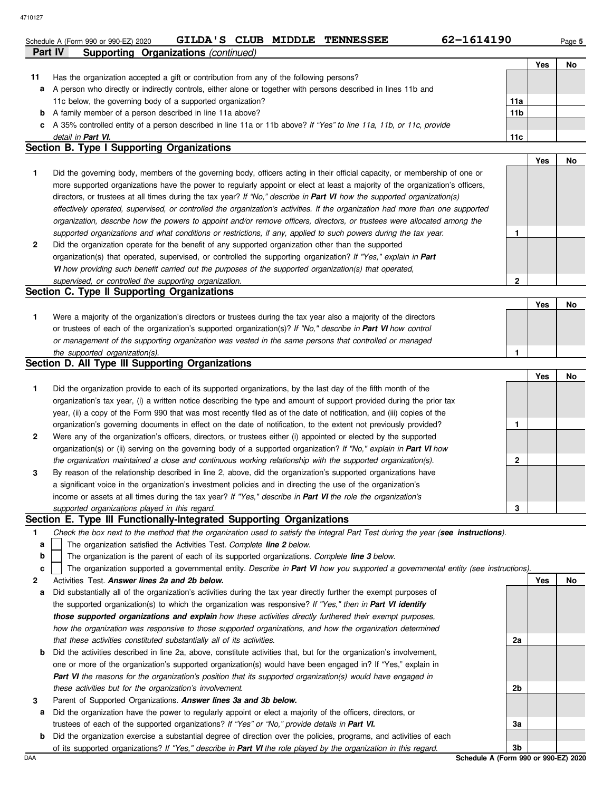#### **Part IV Supporting Organizations** *(continued)* Schedule A (Form 990 or 990-EZ) 2020 **GILDA'S CLUB MIDDLE TENNESSEE** 62-1614190 Page 5 **Yes No 11 b** A family member of a person described in line 11a above? **a** A person who directly or indirectly controls, either alone or together with persons described in lines 11b and Has the organization accepted a gift or contribution from any of the following persons? 11c below, the governing body of a supported organization? **11a 11b**

#### **c** A 35% controlled entity of a person described in line 11a or 11b above? *If "Yes" to line 11a, 11b, or 11c, provide detail in* **Part VI.**

#### **Section B. Type I Supporting Organizations**

**2 1** *supported organizations and what conditions or restrictions, if any, applied to such powers during the tax year. organization, describe how the powers to appoint and/or remove officers, directors, or trustees were allocated among the effectively operated, supervised, or controlled the organization's activities. If the organization had more than one supported* directors, or trustees at all times during the tax year? *If "No," describe in* **Part VI** *how the supported organization(s)* more supported organizations have the power to regularly appoint or elect at least a majority of the organization's officers, Did the governing body, members of the governing body, officers acting in their official capacity, or membership of one or Did the organization operate for the benefit of any supported organization other than the supported

organization(s) that operated, supervised, or controlled the supporting organization? *If "Yes," explain in* **Part VI** *how providing such benefit carried out the purposes of the supported organization(s) that operated, supervised, or controlled the supporting organization.*

#### **Section C. Type II Supporting Organizations** Were a majority of the organization's directors or trustees during the tax year also a majority of the directors or trustees of each of the organization's supported organization(s)? *If "No," describe in* **Part VI** *how control* **1** *or management of the supporting organization was vested in the same persons that controlled or managed the supported organization(s).* **Yes No 1**

#### **Section D. All Type III Supporting Organizations**

|                |                                                                                                                           |   | Yes | No |
|----------------|---------------------------------------------------------------------------------------------------------------------------|---|-----|----|
| 1              | Did the organization provide to each of its supported organizations, by the last day of the fifth month of the            |   |     |    |
|                | organization's tax year, (i) a written notice describing the type and amount of support provided during the prior tax     |   |     |    |
|                | year, (ii) a copy of the Form 990 that was most recently filed as of the date of notification, and (iii) copies of the    |   |     |    |
|                | organization's governing documents in effect on the date of notification, to the extent not previously provided?          |   |     |    |
| $\overline{2}$ | Were any of the organization's officers, directors, or trustees either (i) appointed or elected by the supported          |   |     |    |
|                | organization(s) or (ii) serving on the governing body of a supported organization? If "No," explain in <b>Part VI</b> how |   |     |    |
|                | the organization maintained a close and continuous working relationship with the supported organization(s).               | ົ |     |    |
| 3              | By reason of the relationship described in line 2, above, did the organization's supported organizations have             |   |     |    |
|                | a significant voice in the organization's investment policies and in directing the use of the organization's              |   |     |    |
|                | income or assets at all times during the tax year? If "Yes," describe in Part VI the role the organization's              |   |     |    |
|                | supported organizations played in this regard.                                                                            | 3 |     |    |

#### **Section E. Type III Functionally-Integrated Supporting Organizations**

- **1** *Check the box next to the method that the organization used to satisfy the Integral Part Test during the year (***see instructions***).*
	- The organization satisfied the Activities Test. *Complete* **line 2** *below.* **a**
	- The organization is the parent of each of its supported organizations. *Complete* **line 3** *below.* **b**
	- The organization supported a governmental entity. *Describe in* **Part VI** *how you supported a governmental entity (see instructions).* **c**
- **2** Activities Test. **Answer lines 2a and 2b below.**
- **a** Did substantially all of the organization's activities during the tax year directly further the exempt purposes of the supported organization(s) to which the organization was responsive? *If "Yes," then in* **Part VI identify those supported organizations and explain** *how these activities directly furthered their exempt purposes, how the organization was responsive to those supported organizations, and how the organization determined that these activities constituted substantially all of its activities.*
- **b** Did the activities described in line 2a, above, constitute activities that, but for the organization's involvement, one or more of the organization's supported organization(s) would have been engaged in? If "Yes," explain in **Part VI** *the reasons for the organization's position that its supported organization(s) would have engaged in these activities but for the organization's involvement.*
- **3** Parent of Supported Organizations. **Answer lines 3a and 3b below.**
- **a** Did the organization have the power to regularly appoint or elect a majority of the officers, directors, or trustees of each of the supported organizations? *If "Yes" or "No," provide details in* **Part VI.**
- DAA **Schedule A (Form 990 or 990-EZ) 2020 b** Did the organization exercise a substantial degree of direction over the policies, programs, and activities of each of its supported organizations? *If "Yes," describe in* **Part VI** *the role played by the organization in this regard.*

**3b**

**2a**

**2b**

**3a**

**Yes No**

**Yes No**

**11c**

**2**

**1**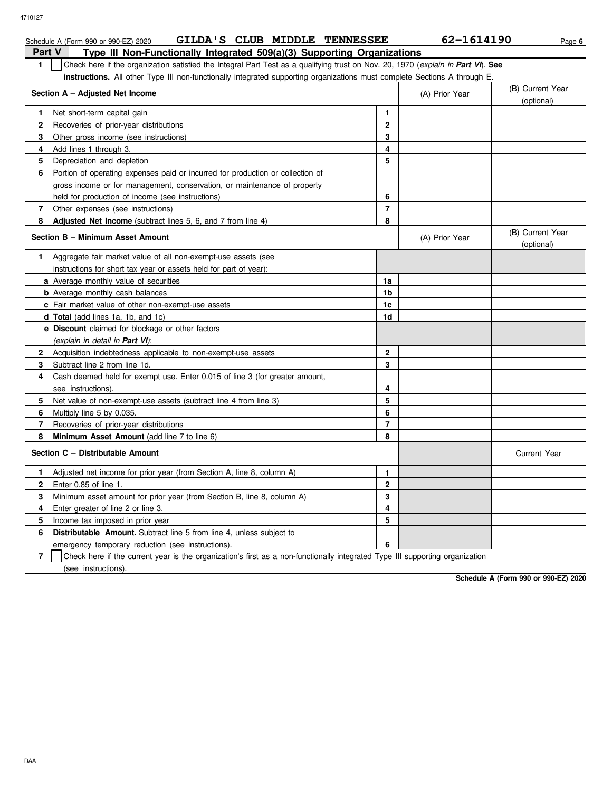|                | GILDA'S CLUB MIDDLE TENNESSEE<br>Schedule A (Form 990 or 990-EZ) 2020                                                            |                | 62-1614190     | Page 6                         |
|----------------|----------------------------------------------------------------------------------------------------------------------------------|----------------|----------------|--------------------------------|
|                | Part V<br>Type III Non-Functionally Integrated 509(a)(3) Supporting Organizations                                                |                |                |                                |
| 1              | Check here if the organization satisfied the Integral Part Test as a qualifying trust on Nov. 20, 1970 (explain in Part VI). See |                |                |                                |
|                | instructions. All other Type III non-functionally integrated supporting organizations must complete Sections A through E         |                |                |                                |
|                | Section A - Adjusted Net Income                                                                                                  |                | (A) Prior Year | (B) Current Year               |
|                |                                                                                                                                  |                |                | (optional)                     |
| 1.             | Net short-term capital gain                                                                                                      | $\mathbf 1$    |                |                                |
| $\mathbf{2}$   | Recoveries of prior-year distributions                                                                                           | $\overline{2}$ |                |                                |
| 3              | Other gross income (see instructions)                                                                                            | 3              |                |                                |
| 4              | Add lines 1 through 3.                                                                                                           | $\overline{4}$ |                |                                |
| 5              | Depreciation and depletion                                                                                                       | 5              |                |                                |
| 6              | Portion of operating expenses paid or incurred for production or collection of                                                   |                |                |                                |
|                | gross income or for management, conservation, or maintenance of property                                                         |                |                |                                |
|                | held for production of income (see instructions)                                                                                 | 6              |                |                                |
| $\mathbf{7}$   | Other expenses (see instructions)                                                                                                | $\overline{7}$ |                |                                |
| 8              | <b>Adjusted Net Income</b> (subtract lines 5, 6, and 7 from line 4)                                                              | 8              |                |                                |
|                | Section B - Minimum Asset Amount                                                                                                 |                | (A) Prior Year | (B) Current Year<br>(optional) |
| 1.             | Aggregate fair market value of all non-exempt-use assets (see                                                                    |                |                |                                |
|                | instructions for short tax year or assets held for part of year):                                                                |                |                |                                |
|                | a Average monthly value of securities                                                                                            | 1a             |                |                                |
|                | <b>b</b> Average monthly cash balances                                                                                           | 1 <sub>b</sub> |                |                                |
|                | c Fair market value of other non-exempt-use assets                                                                               | 1 <sub>c</sub> |                |                                |
|                | d Total (add lines 1a, 1b, and 1c)                                                                                               | 1 <sub>d</sub> |                |                                |
|                | e Discount claimed for blockage or other factors                                                                                 |                |                |                                |
|                | (explain in detail in Part VI):                                                                                                  |                |                |                                |
|                | 2 Acquisition indebtedness applicable to non-exempt-use assets                                                                   | $\mathbf{2}$   |                |                                |
| 3              | Subtract line 2 from line 1d.                                                                                                    | 3              |                |                                |
| 4              | Cash deemed held for exempt use. Enter 0.015 of line 3 (for greater amount,                                                      |                |                |                                |
|                | see instructions).                                                                                                               | 4              |                |                                |
| 5              | Net value of non-exempt-use assets (subtract line 4 from line 3)                                                                 | 5              |                |                                |
| 6              | Multiply line 5 by 0.035.                                                                                                        | 6              |                |                                |
| $\overline{7}$ | Recoveries of prior-year distributions                                                                                           | $\overline{7}$ |                |                                |
| 8              | Minimum Asset Amount (add line 7 to line 6)                                                                                      | 8              |                |                                |
|                | Section C - Distributable Amount                                                                                                 |                |                | Current Year                   |
| 1              | Adjusted net income for prior year (from Section A, line 8, column A)                                                            | $\mathbf{1}$   |                |                                |
| $\mathbf{2}$   | Enter 0.85 of line 1.                                                                                                            | $\mathbf{2}$   |                |                                |
| 3              | Minimum asset amount for prior year (from Section B, line 8, column A)                                                           | 3              |                |                                |
| 4              | Enter greater of line 2 or line 3.                                                                                               | $\overline{4}$ |                |                                |
| 5              | Income tax imposed in prior year                                                                                                 | 5              |                |                                |
| 6              | <b>Distributable Amount.</b> Subtract line 5 from line 4, unless subject to                                                      |                |                |                                |
|                | emergency temporary reduction (see instructions).                                                                                | 6              |                |                                |

**7** (see instructions). Check here if the current year is the organization's first as a non-functionally integrated Type III supporting organization

**Schedule A (Form 990 or 990-EZ) 2020**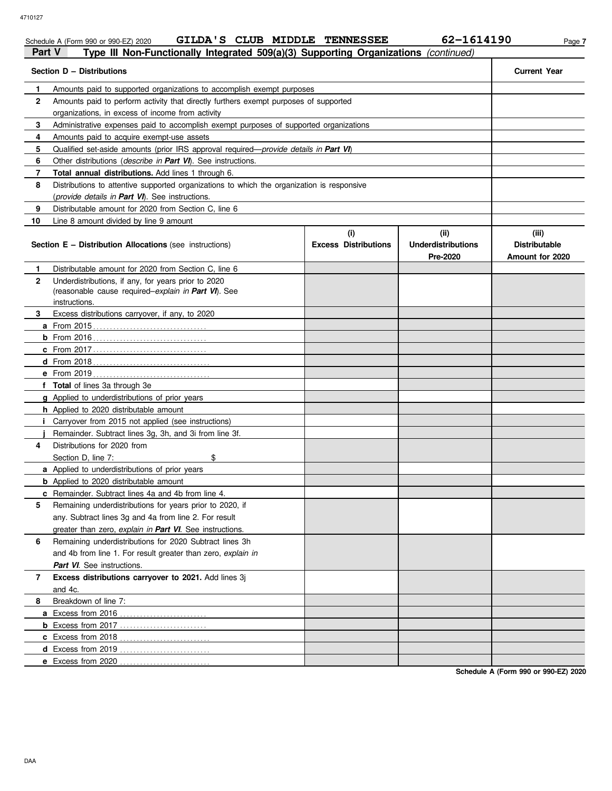#### Schedule A (Form 990 or 990-EZ) 2020 **GILDA'S CLUB MIDDLE TENNESSEE** 62-1614190 Page 7

|              | Section D - Distributions                                                                     |                                    |                                               | <b>Current Year</b>                              |  |  |  |  |
|--------------|-----------------------------------------------------------------------------------------------|------------------------------------|-----------------------------------------------|--------------------------------------------------|--|--|--|--|
| -1           | Amounts paid to supported organizations to accomplish exempt purposes                         |                                    |                                               |                                                  |  |  |  |  |
| 2            | Amounts paid to perform activity that directly furthers exempt purposes of supported          |                                    |                                               |                                                  |  |  |  |  |
|              | organizations, in excess of income from activity                                              |                                    |                                               |                                                  |  |  |  |  |
| 3            | Administrative expenses paid to accomplish exempt purposes of supported organizations         |                                    |                                               |                                                  |  |  |  |  |
| 4            | Amounts paid to acquire exempt-use assets                                                     |                                    |                                               |                                                  |  |  |  |  |
| 5            | Qualified set-aside amounts (prior IRS approval required— <i>provide details in Part VI</i> ) |                                    |                                               |                                                  |  |  |  |  |
| 6            | Other distributions (describe in Part VI). See instructions.                                  |                                    |                                               |                                                  |  |  |  |  |
| 7            | Total annual distributions. Add lines 1 through 6.                                            |                                    |                                               |                                                  |  |  |  |  |
| 8            | Distributions to attentive supported organizations to which the organization is responsive    |                                    |                                               |                                                  |  |  |  |  |
|              | (provide details in Part VI). See instructions.                                               |                                    |                                               |                                                  |  |  |  |  |
| 9            | Distributable amount for 2020 from Section C, line 6                                          |                                    |                                               |                                                  |  |  |  |  |
| 10           | Line 8 amount divided by line 9 amount                                                        |                                    |                                               |                                                  |  |  |  |  |
|              | Section E - Distribution Allocations (see instructions)                                       | (i)<br><b>Excess Distributions</b> | (ii)<br><b>Underdistributions</b><br>Pre-2020 | (iii)<br><b>Distributable</b><br>Amount for 2020 |  |  |  |  |
| 1.           | Distributable amount for 2020 from Section C, line 6                                          |                                    |                                               |                                                  |  |  |  |  |
| $\mathbf{2}$ | Underdistributions, if any, for years prior to 2020                                           |                                    |                                               |                                                  |  |  |  |  |
|              | (reasonable cause required-explain in Part VI). See                                           |                                    |                                               |                                                  |  |  |  |  |
|              | instructions.                                                                                 |                                    |                                               |                                                  |  |  |  |  |
| 3            | Excess distributions carryover, if any, to 2020                                               |                                    |                                               |                                                  |  |  |  |  |
|              | <b>a</b> From 2015                                                                            |                                    |                                               |                                                  |  |  |  |  |
|              |                                                                                               |                                    |                                               |                                                  |  |  |  |  |
|              |                                                                                               |                                    |                                               |                                                  |  |  |  |  |
|              |                                                                                               |                                    |                                               |                                                  |  |  |  |  |
|              |                                                                                               |                                    |                                               |                                                  |  |  |  |  |
|              | <b>f</b> Total of lines 3a through 3e                                                         |                                    |                                               |                                                  |  |  |  |  |
|              | <b>g</b> Applied to underdistributions of prior years                                         |                                    |                                               |                                                  |  |  |  |  |
|              | <b>h</b> Applied to 2020 distributable amount                                                 |                                    |                                               |                                                  |  |  |  |  |
|              | Carryover from 2015 not applied (see instructions)                                            |                                    |                                               |                                                  |  |  |  |  |
|              | Remainder. Subtract lines 3g, 3h, and 3i from line 3f.                                        |                                    |                                               |                                                  |  |  |  |  |
| 4            | Distributions for 2020 from                                                                   |                                    |                                               |                                                  |  |  |  |  |
|              | \$<br>Section D, line 7:                                                                      |                                    |                                               |                                                  |  |  |  |  |
|              | <b>a</b> Applied to underdistributions of prior years                                         |                                    |                                               |                                                  |  |  |  |  |
|              | <b>b</b> Applied to 2020 distributable amount                                                 |                                    |                                               |                                                  |  |  |  |  |
|              | c Remainder. Subtract lines 4a and 4b from line 4.                                            |                                    |                                               |                                                  |  |  |  |  |
| 5            | Remaining underdistributions for years prior to 2020, if                                      |                                    |                                               |                                                  |  |  |  |  |
|              | any. Subtract lines 3g and 4a from line 2. For result                                         |                                    |                                               |                                                  |  |  |  |  |
|              | greater than zero, explain in Part VI. See instructions.                                      |                                    |                                               |                                                  |  |  |  |  |
| 6            | Remaining underdistributions for 2020 Subtract lines 3h                                       |                                    |                                               |                                                  |  |  |  |  |
|              | and 4b from line 1. For result greater than zero, explain in                                  |                                    |                                               |                                                  |  |  |  |  |
|              | Part VI. See instructions.                                                                    |                                    |                                               |                                                  |  |  |  |  |
| 7            | Excess distributions carryover to 2021. Add lines 3j                                          |                                    |                                               |                                                  |  |  |  |  |
|              | and 4c.                                                                                       |                                    |                                               |                                                  |  |  |  |  |
| 8            | Breakdown of line 7:                                                                          |                                    |                                               |                                                  |  |  |  |  |
|              |                                                                                               |                                    |                                               |                                                  |  |  |  |  |
|              | <b>b</b> Excess from 2017                                                                     |                                    |                                               |                                                  |  |  |  |  |
|              |                                                                                               |                                    |                                               |                                                  |  |  |  |  |
|              |                                                                                               |                                    |                                               |                                                  |  |  |  |  |
|              | e Excess from 2020                                                                            |                                    |                                               |                                                  |  |  |  |  |

**Schedule A (Form 990 or 990-EZ) 2020**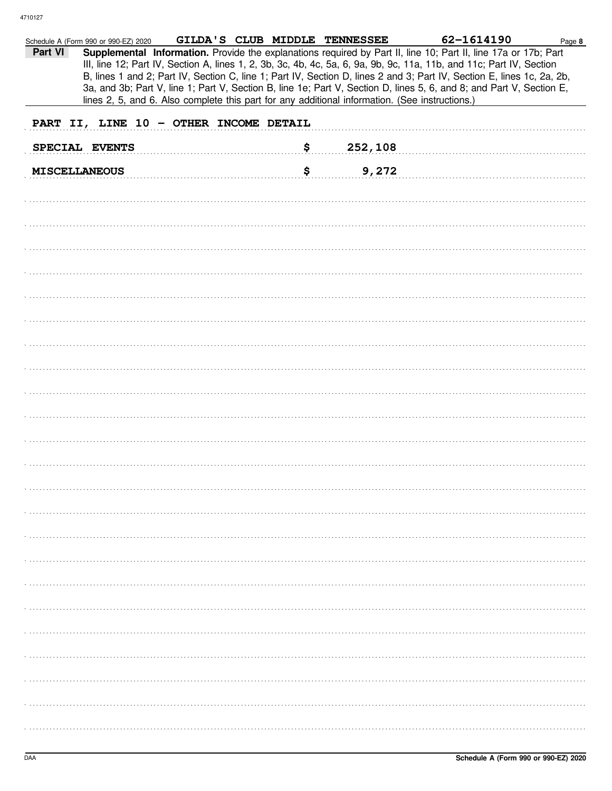|         | Schedule A (Form 990 or 990-EZ) 2020   |  | GILDA'S CLUB MIDDLE TENNESSEE | 62-1614190                                                                                                                                                                                                                                                                                                                                                                                                                                                                                                                                                                                  | Page 8 |
|---------|----------------------------------------|--|-------------------------------|---------------------------------------------------------------------------------------------------------------------------------------------------------------------------------------------------------------------------------------------------------------------------------------------------------------------------------------------------------------------------------------------------------------------------------------------------------------------------------------------------------------------------------------------------------------------------------------------|--------|
| Part VI |                                        |  |                               | Supplemental Information. Provide the explanations required by Part II, line 10; Part II, line 17a or 17b; Part<br>III, line 12; Part IV, Section A, lines 1, 2, 3b, 3c, 4b, 4c, 5a, 6, 9a, 9b, 9c, 11a, 11b, and 11c; Part IV, Section<br>B, lines 1 and 2; Part IV, Section C, line 1; Part IV, Section D, lines 2 and 3; Part IV, Section E, lines 1c, 2a, 2b,<br>3a, and 3b; Part V, line 1; Part V, Section B, line 1e; Part V, Section D, lines 5, 6, and 8; and Part V, Section E,<br>lines 2, 5, and 6. Also complete this part for any additional information. (See instructions.) |        |
|         | PART II, LINE 10 - OTHER INCOME DETAIL |  |                               |                                                                                                                                                                                                                                                                                                                                                                                                                                                                                                                                                                                             |        |
|         |                                        |  |                               |                                                                                                                                                                                                                                                                                                                                                                                                                                                                                                                                                                                             |        |
|         | SPECIAL EVENTS                         |  | \$<br>252,108                 |                                                                                                                                                                                                                                                                                                                                                                                                                                                                                                                                                                                             |        |
|         | <b>MISCELLANEOUS</b>                   |  | \$<br>9,272                   |                                                                                                                                                                                                                                                                                                                                                                                                                                                                                                                                                                                             |        |
|         |                                        |  |                               |                                                                                                                                                                                                                                                                                                                                                                                                                                                                                                                                                                                             |        |
|         |                                        |  |                               |                                                                                                                                                                                                                                                                                                                                                                                                                                                                                                                                                                                             |        |
|         |                                        |  |                               |                                                                                                                                                                                                                                                                                                                                                                                                                                                                                                                                                                                             |        |
|         |                                        |  |                               |                                                                                                                                                                                                                                                                                                                                                                                                                                                                                                                                                                                             |        |
|         |                                        |  |                               |                                                                                                                                                                                                                                                                                                                                                                                                                                                                                                                                                                                             |        |
|         |                                        |  |                               |                                                                                                                                                                                                                                                                                                                                                                                                                                                                                                                                                                                             |        |
|         |                                        |  |                               |                                                                                                                                                                                                                                                                                                                                                                                                                                                                                                                                                                                             |        |
|         |                                        |  |                               |                                                                                                                                                                                                                                                                                                                                                                                                                                                                                                                                                                                             |        |
|         |                                        |  |                               |                                                                                                                                                                                                                                                                                                                                                                                                                                                                                                                                                                                             |        |
|         |                                        |  |                               |                                                                                                                                                                                                                                                                                                                                                                                                                                                                                                                                                                                             |        |
|         |                                        |  |                               |                                                                                                                                                                                                                                                                                                                                                                                                                                                                                                                                                                                             |        |
|         |                                        |  |                               |                                                                                                                                                                                                                                                                                                                                                                                                                                                                                                                                                                                             |        |
|         |                                        |  |                               |                                                                                                                                                                                                                                                                                                                                                                                                                                                                                                                                                                                             |        |
|         |                                        |  |                               |                                                                                                                                                                                                                                                                                                                                                                                                                                                                                                                                                                                             |        |
|         |                                        |  |                               |                                                                                                                                                                                                                                                                                                                                                                                                                                                                                                                                                                                             |        |
|         |                                        |  |                               |                                                                                                                                                                                                                                                                                                                                                                                                                                                                                                                                                                                             |        |
|         |                                        |  |                               |                                                                                                                                                                                                                                                                                                                                                                                                                                                                                                                                                                                             |        |
|         |                                        |  |                               |                                                                                                                                                                                                                                                                                                                                                                                                                                                                                                                                                                                             |        |
|         |                                        |  |                               |                                                                                                                                                                                                                                                                                                                                                                                                                                                                                                                                                                                             |        |
|         |                                        |  |                               |                                                                                                                                                                                                                                                                                                                                                                                                                                                                                                                                                                                             |        |
|         |                                        |  |                               |                                                                                                                                                                                                                                                                                                                                                                                                                                                                                                                                                                                             |        |
|         |                                        |  |                               |                                                                                                                                                                                                                                                                                                                                                                                                                                                                                                                                                                                             |        |
|         |                                        |  |                               |                                                                                                                                                                                                                                                                                                                                                                                                                                                                                                                                                                                             |        |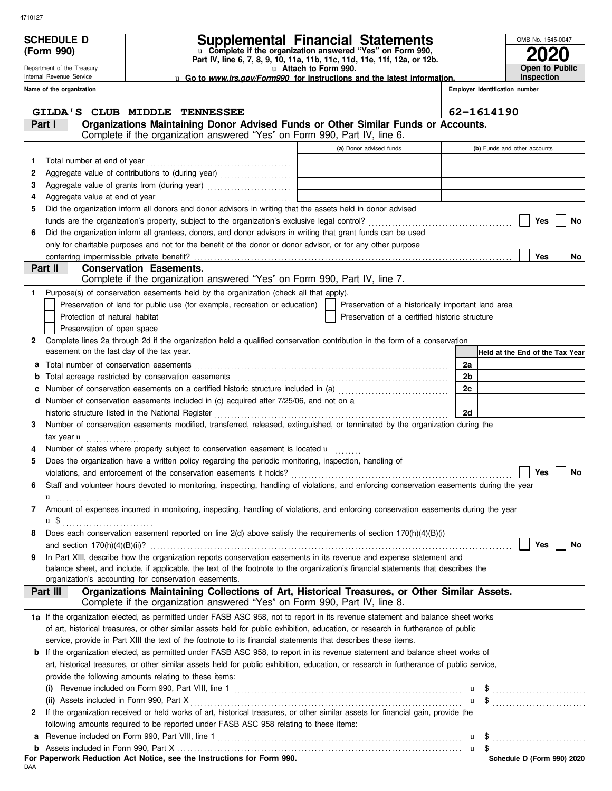|              | Fait IV, IIIIE 0, 7, 0, 9, 10, 11a, 11b, 11c, 11u, 11e, 11l, 12a, 01 12b.<br><b>Open to Public</b><br>Department of the Treasury<br>u Attach to Form 990.<br>Internal Revenue Service<br>u Go to www.irs.gov/Form990 for instructions and the latest information.<br><b>Inspection</b> |                                                                                                                                                                           |                                                                                                                       |    |                                 |  |  |  |
|--------------|----------------------------------------------------------------------------------------------------------------------------------------------------------------------------------------------------------------------------------------------------------------------------------------|---------------------------------------------------------------------------------------------------------------------------------------------------------------------------|-----------------------------------------------------------------------------------------------------------------------|----|---------------------------------|--|--|--|
|              | Name of the organization                                                                                                                                                                                                                                                               |                                                                                                                                                                           |                                                                                                                       |    | Employer identification number  |  |  |  |
|              |                                                                                                                                                                                                                                                                                        | GILDA'S CLUB MIDDLE TENNESSEE                                                                                                                                             |                                                                                                                       |    | 62-1614190                      |  |  |  |
|              | Part I                                                                                                                                                                                                                                                                                 | Organizations Maintaining Donor Advised Funds or Other Similar Funds or Accounts.                                                                                         |                                                                                                                       |    |                                 |  |  |  |
|              |                                                                                                                                                                                                                                                                                        | Complete if the organization answered "Yes" on Form 990, Part IV, line 6.                                                                                                 |                                                                                                                       |    |                                 |  |  |  |
|              |                                                                                                                                                                                                                                                                                        |                                                                                                                                                                           | (a) Donor advised funds                                                                                               |    | (b) Funds and other accounts    |  |  |  |
| 1.           | Total number at end of year                                                                                                                                                                                                                                                            |                                                                                                                                                                           | the control of the control of the                                                                                     |    |                                 |  |  |  |
| 2            |                                                                                                                                                                                                                                                                                        |                                                                                                                                                                           | <u> 1989 - Johann Barn, amerikansk politiker (</u>                                                                    |    |                                 |  |  |  |
| З            |                                                                                                                                                                                                                                                                                        |                                                                                                                                                                           | <u> 1989 - Johann Barn, mars ann an t-Amhain an t-Amhain an t-Amhain an t-Amhain an t-Amhain an t-Amhain an t-Amh</u> |    |                                 |  |  |  |
| 4<br>5       |                                                                                                                                                                                                                                                                                        | Did the organization inform all donors and donor advisors in writing that the assets held in donor advised                                                                |                                                                                                                       |    |                                 |  |  |  |
|              |                                                                                                                                                                                                                                                                                        |                                                                                                                                                                           |                                                                                                                       |    | Yes<br>No                       |  |  |  |
| 6            |                                                                                                                                                                                                                                                                                        | Did the organization inform all grantees, donors, and donor advisors in writing that grant funds can be used                                                              |                                                                                                                       |    |                                 |  |  |  |
|              |                                                                                                                                                                                                                                                                                        | only for charitable purposes and not for the benefit of the donor or donor advisor, or for any other purpose                                                              |                                                                                                                       |    |                                 |  |  |  |
|              |                                                                                                                                                                                                                                                                                        |                                                                                                                                                                           |                                                                                                                       |    | <b>Yes</b><br>No                |  |  |  |
|              | Part II                                                                                                                                                                                                                                                                                | <b>Conservation Easements.</b>                                                                                                                                            |                                                                                                                       |    |                                 |  |  |  |
|              |                                                                                                                                                                                                                                                                                        | Complete if the organization answered "Yes" on Form 990, Part IV, line 7.                                                                                                 |                                                                                                                       |    |                                 |  |  |  |
| 1.           |                                                                                                                                                                                                                                                                                        | Purpose(s) of conservation easements held by the organization (check all that apply).                                                                                     |                                                                                                                       |    |                                 |  |  |  |
|              |                                                                                                                                                                                                                                                                                        | Preservation of land for public use (for example, recreation or education)                                                                                                | Preservation of a historically important land area                                                                    |    |                                 |  |  |  |
|              | Protection of natural habitat                                                                                                                                                                                                                                                          |                                                                                                                                                                           | Preservation of a certified historic structure                                                                        |    |                                 |  |  |  |
|              | Preservation of open space                                                                                                                                                                                                                                                             |                                                                                                                                                                           |                                                                                                                       |    |                                 |  |  |  |
| 2            |                                                                                                                                                                                                                                                                                        | Complete lines 2a through 2d if the organization held a qualified conservation contribution in the form of a conservation                                                 |                                                                                                                       |    |                                 |  |  |  |
|              | easement on the last day of the tax year.                                                                                                                                                                                                                                              |                                                                                                                                                                           |                                                                                                                       |    | Held at the End of the Tax Year |  |  |  |
| a            |                                                                                                                                                                                                                                                                                        |                                                                                                                                                                           |                                                                                                                       | 2a |                                 |  |  |  |
| b            |                                                                                                                                                                                                                                                                                        |                                                                                                                                                                           |                                                                                                                       | 2b |                                 |  |  |  |
| c            |                                                                                                                                                                                                                                                                                        | Number of conservation easements on a certified historic structure included in (a) [[[[[[[[[[[[[[[[[[[[[[[[[]]]]]]]                                                       |                                                                                                                       | 2c |                                 |  |  |  |
| d            |                                                                                                                                                                                                                                                                                        | Number of conservation easements included in (c) acquired after 7/25/06, and not on a                                                                                     |                                                                                                                       |    |                                 |  |  |  |
|              |                                                                                                                                                                                                                                                                                        | historic structure listed in the National Register                                                                                                                        |                                                                                                                       | 2d |                                 |  |  |  |
| 3            |                                                                                                                                                                                                                                                                                        | Number of conservation easements modified, transferred, released, extinguished, or terminated by the organization during the                                              |                                                                                                                       |    |                                 |  |  |  |
|              | tax year u                                                                                                                                                                                                                                                                             |                                                                                                                                                                           |                                                                                                                       |    |                                 |  |  |  |
| 4            |                                                                                                                                                                                                                                                                                        | Number of states where property subject to conservation easement is located u                                                                                             |                                                                                                                       |    |                                 |  |  |  |
| 5            |                                                                                                                                                                                                                                                                                        | Does the organization have a written policy regarding the periodic monitoring, inspection, handling of                                                                    |                                                                                                                       |    | Yes<br>No                       |  |  |  |
| 6            |                                                                                                                                                                                                                                                                                        | Staff and volunteer hours devoted to monitoring, inspecting, handling of violations, and enforcing conservation easements during the year                                 |                                                                                                                       |    |                                 |  |  |  |
|              |                                                                                                                                                                                                                                                                                        |                                                                                                                                                                           |                                                                                                                       |    |                                 |  |  |  |
|              | .                                                                                                                                                                                                                                                                                      | Amount of expenses incurred in monitoring, inspecting, handling of violations, and enforcing conservation easements during the year                                       |                                                                                                                       |    |                                 |  |  |  |
|              | u \$                                                                                                                                                                                                                                                                                   |                                                                                                                                                                           |                                                                                                                       |    |                                 |  |  |  |
| 8            |                                                                                                                                                                                                                                                                                        | Does each conservation easement reported on line 2(d) above satisfy the requirements of section 170(h)(4)(B)(i)                                                           |                                                                                                                       |    |                                 |  |  |  |
|              |                                                                                                                                                                                                                                                                                        |                                                                                                                                                                           |                                                                                                                       |    | Yes<br>No                       |  |  |  |
| 9            |                                                                                                                                                                                                                                                                                        | In Part XIII, describe how the organization reports conservation easements in its revenue and expense statement and                                                       |                                                                                                                       |    |                                 |  |  |  |
|              |                                                                                                                                                                                                                                                                                        | balance sheet, and include, if applicable, the text of the footnote to the organization's financial statements that describes the                                         |                                                                                                                       |    |                                 |  |  |  |
|              |                                                                                                                                                                                                                                                                                        | organization's accounting for conservation easements.                                                                                                                     |                                                                                                                       |    |                                 |  |  |  |
|              | Part III                                                                                                                                                                                                                                                                               | Organizations Maintaining Collections of Art, Historical Treasures, or Other Similar Assets.<br>Complete if the organization answered "Yes" on Form 990, Part IV, line 8. |                                                                                                                       |    |                                 |  |  |  |
|              |                                                                                                                                                                                                                                                                                        | 1a If the organization elected, as permitted under FASB ASC 958, not to report in its revenue statement and balance sheet works                                           |                                                                                                                       |    |                                 |  |  |  |
|              |                                                                                                                                                                                                                                                                                        | of art, historical treasures, or other similar assets held for public exhibition, education, or research in furtherance of public                                         |                                                                                                                       |    |                                 |  |  |  |
|              |                                                                                                                                                                                                                                                                                        | service, provide in Part XIII the text of the footnote to its financial statements that describes these items.                                                            |                                                                                                                       |    |                                 |  |  |  |
|              |                                                                                                                                                                                                                                                                                        | <b>b</b> If the organization elected, as permitted under FASB ASC 958, to report in its revenue statement and balance sheet works of                                      |                                                                                                                       |    |                                 |  |  |  |
|              |                                                                                                                                                                                                                                                                                        | art, historical treasures, or other similar assets held for public exhibition, education, or research in furtherance of public service,                                   |                                                                                                                       |    |                                 |  |  |  |
|              |                                                                                                                                                                                                                                                                                        | provide the following amounts relating to these items:                                                                                                                    |                                                                                                                       |    |                                 |  |  |  |
|              |                                                                                                                                                                                                                                                                                        |                                                                                                                                                                           |                                                                                                                       |    |                                 |  |  |  |
|              |                                                                                                                                                                                                                                                                                        |                                                                                                                                                                           |                                                                                                                       | u  |                                 |  |  |  |
| $\mathbf{2}$ |                                                                                                                                                                                                                                                                                        | If the organization received or held works of art, historical treasures, or other similar assets for financial gain, provide the                                          |                                                                                                                       |    |                                 |  |  |  |
|              |                                                                                                                                                                                                                                                                                        | following amounts required to be reported under FASB ASC 958 relating to these items:                                                                                     |                                                                                                                       |    |                                 |  |  |  |
|              |                                                                                                                                                                                                                                                                                        |                                                                                                                                                                           |                                                                                                                       |    |                                 |  |  |  |
|              |                                                                                                                                                                                                                                                                                        |                                                                                                                                                                           |                                                                                                                       |    |                                 |  |  |  |

DAA **For Paperwork Reduction Act Notice, see the Instructions for Form 990.**

**(Form 990)**

# **SCHEDULE D Supplemental Financial Statements**

**Part IV, line 6, 7, 8, 9, 10, 11a, 11b, 11c, 11d, 11e, 11f, 12a, or 12b.** u **Complete if the organization answered "Yes" on Form 990,**

| OMB No. 1545-0047 |
|-------------------|
| 2020              |
| nen to Pul        |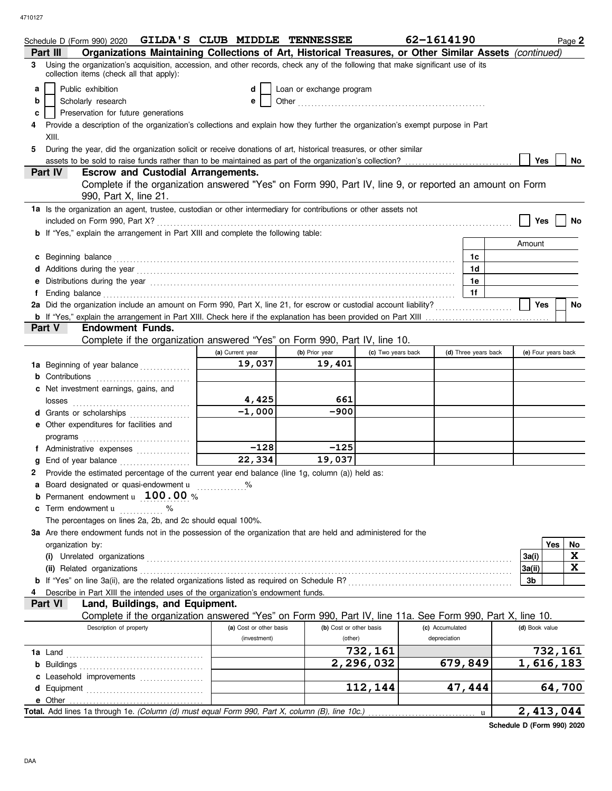|    | Schedule D (Form 990) 2020 GILDA'S CLUB MIDDLE TENNESSEE                                                                                                                                                                            |                                         |                                    |                       | 62-1614190                      |                      |                | Page 2                |
|----|-------------------------------------------------------------------------------------------------------------------------------------------------------------------------------------------------------------------------------------|-----------------------------------------|------------------------------------|-----------------------|---------------------------------|----------------------|----------------|-----------------------|
|    | Organizations Maintaining Collections of Art, Historical Treasures, or Other Similar Assets (continued)<br>Part III                                                                                                                 |                                         |                                    |                       |                                 |                      |                |                       |
| З. | Using the organization's acquisition, accession, and other records, check any of the following that make significant use of its<br>collection items (check all that apply):                                                         |                                         |                                    |                       |                                 |                      |                |                       |
| a  | Public exhibition                                                                                                                                                                                                                   |                                         | Loan or exchange program           |                       |                                 |                      |                |                       |
| b  | Scholarly research                                                                                                                                                                                                                  | е                                       |                                    |                       |                                 |                      |                |                       |
| c  | Preservation for future generations                                                                                                                                                                                                 |                                         |                                    |                       |                                 |                      |                |                       |
|    | Provide a description of the organization's collections and explain how they further the organization's exempt purpose in Part                                                                                                      |                                         |                                    |                       |                                 |                      |                |                       |
|    | XIII.                                                                                                                                                                                                                               |                                         |                                    |                       |                                 |                      |                |                       |
| 5  | During the year, did the organization solicit or receive donations of art, historical treasures, or other similar                                                                                                                   |                                         |                                    |                       |                                 |                      |                |                       |
|    |                                                                                                                                                                                                                                     |                                         |                                    |                       |                                 |                      | Yes            | No                    |
|    | <b>Part IV</b><br><b>Escrow and Custodial Arrangements.</b>                                                                                                                                                                         |                                         |                                    |                       |                                 |                      |                |                       |
|    | Complete if the organization answered "Yes" on Form 990, Part IV, line 9, or reported an amount on Form                                                                                                                             |                                         |                                    |                       |                                 |                      |                |                       |
|    | 990, Part X, line 21.                                                                                                                                                                                                               |                                         |                                    |                       |                                 |                      |                |                       |
|    | 1a Is the organization an agent, trustee, custodian or other intermediary for contributions or other assets not                                                                                                                     |                                         |                                    |                       |                                 |                      |                |                       |
|    |                                                                                                                                                                                                                                     |                                         |                                    |                       |                                 |                      | Yes            | No                    |
|    | <b>b</b> If "Yes," explain the arrangement in Part XIII and complete the following table:                                                                                                                                           |                                         |                                    |                       |                                 |                      |                |                       |
|    |                                                                                                                                                                                                                                     |                                         |                                    |                       |                                 |                      | Amount         |                       |
|    | c Beginning balance encourance and a series of the series of the series of the series of the series of the series of the series of the series of the series of the series of the series of the series of the series of the ser      |                                         |                                    |                       |                                 | 1с                   |                |                       |
|    |                                                                                                                                                                                                                                     |                                         |                                    |                       |                                 | 1d                   |                |                       |
|    | Distributions during the year <i>manufacture contained and area contained area contained area contained area</i> contained and area contained and area contained and area contained and area contained and area contained and area  |                                         |                                    |                       |                                 | 1e                   |                |                       |
|    | Ending balance <b>constructs</b> and constructs and constructs and constructs and constructs and constructs and constructs of the construction of the construction of the construction of the construction of the construction of t |                                         |                                    |                       |                                 | 1f                   |                |                       |
|    | 2a Did the organization include an amount on Form 990, Part X, line 21, for escrow or custodial account liability?                                                                                                                  |                                         |                                    |                       |                                 |                      | Yes            | <b>No</b>             |
|    |                                                                                                                                                                                                                                     |                                         |                                    |                       |                                 |                      |                |                       |
|    | <b>Endowment Funds.</b><br><b>Part V</b>                                                                                                                                                                                            |                                         |                                    |                       |                                 |                      |                |                       |
|    | Complete if the organization answered "Yes" on Form 990, Part IV, line 10.                                                                                                                                                          |                                         |                                    |                       |                                 |                      |                |                       |
|    |                                                                                                                                                                                                                                     | (a) Current year                        | (b) Prior year                     | (c) Two years back    |                                 | (d) Three years back |                | (e) Four years back   |
|    | 1a Beginning of year balance                                                                                                                                                                                                        | 19,037                                  | 19,401                             |                       |                                 |                      |                |                       |
|    |                                                                                                                                                                                                                                     |                                         |                                    |                       |                                 |                      |                |                       |
|    | c Net investment earnings, gains, and                                                                                                                                                                                               |                                         |                                    |                       |                                 |                      |                |                       |
|    |                                                                                                                                                                                                                                     | 4,425                                   | 661                                |                       |                                 |                      |                |                       |
|    | d Grants or scholarships                                                                                                                                                                                                            | $-1,000$                                | $-900$                             |                       |                                 |                      |                |                       |
|    | e Other expenditures for facilities and                                                                                                                                                                                             |                                         |                                    |                       |                                 |                      |                |                       |
|    |                                                                                                                                                                                                                                     |                                         |                                    |                       |                                 |                      |                |                       |
|    | f Administrative expenses                                                                                                                                                                                                           | $-128$                                  | $-125$                             |                       |                                 |                      |                |                       |
|    | End of year balance                                                                                                                                                                                                                 | 22,334                                  | 19,037                             |                       |                                 |                      |                |                       |
|    | 2 Provide the estimated percentage of the current year end balance (line 1g, column (a)) held as:                                                                                                                                   |                                         |                                    |                       |                                 |                      |                |                       |
|    | <b>a</b> Board designated or quasi-endowment u                                                                                                                                                                                      | <u>.</u>                                |                                    |                       |                                 |                      |                |                       |
|    | <b>b</b> Permanent endowment $\mathbf{u}$ <b>100.00</b> %                                                                                                                                                                           |                                         |                                    |                       |                                 |                      |                |                       |
|    | c Term endowment u  %                                                                                                                                                                                                               |                                         |                                    |                       |                                 |                      |                |                       |
|    | The percentages on lines 2a, 2b, and 2c should equal 100%.                                                                                                                                                                          |                                         |                                    |                       |                                 |                      |                |                       |
|    | 3a Are there endowment funds not in the possession of the organization that are held and administered for the                                                                                                                       |                                         |                                    |                       |                                 |                      |                |                       |
|    | organization by:                                                                                                                                                                                                                    |                                         |                                    |                       |                                 |                      |                | Yes<br>No             |
|    |                                                                                                                                                                                                                                     |                                         |                                    |                       |                                 |                      | 3a(i)          | X                     |
|    | (ii) Related organizations <i>contraction</i> and contract and contract or contract or contract or contract or contract or contract or contract or contract or contract or contract or contract or contract or contract or contract |                                         |                                    |                       |                                 |                      | 3a(ii)         | $\mathbf x$           |
|    |                                                                                                                                                                                                                                     |                                         |                                    |                       |                                 |                      | 3b             |                       |
|    | Describe in Part XIII the intended uses of the organization's endowment funds.                                                                                                                                                      |                                         |                                    |                       |                                 |                      |                |                       |
|    | Part VI<br>Land, Buildings, and Equipment.                                                                                                                                                                                          |                                         |                                    |                       |                                 |                      |                |                       |
|    | Complete if the organization answered "Yes" on Form 990, Part IV, line 11a. See Form 990, Part X, line 10.                                                                                                                          |                                         |                                    |                       |                                 |                      |                |                       |
|    | Description of property                                                                                                                                                                                                             | (a) Cost or other basis<br>(investment) | (b) Cost or other basis<br>(other) |                       | (c) Accumulated<br>depreciation |                      | (d) Book value |                       |
|    |                                                                                                                                                                                                                                     |                                         |                                    |                       |                                 |                      |                |                       |
|    |                                                                                                                                                                                                                                     |                                         |                                    | 732, 161<br>2,296,032 |                                 | 679,849              |                | 732, 161<br>1,616,183 |
|    |                                                                                                                                                                                                                                     |                                         |                                    |                       |                                 |                      |                |                       |
|    | c Leasehold improvements                                                                                                                                                                                                            |                                         |                                    | 112, 144              |                                 | 47,444               |                | 64,700                |
|    |                                                                                                                                                                                                                                     |                                         |                                    |                       |                                 |                      |                |                       |
|    |                                                                                                                                                                                                                                     |                                         |                                    |                       |                                 |                      |                | 2, 413, 044           |
|    |                                                                                                                                                                                                                                     |                                         |                                    |                       |                                 |                      |                |                       |

**Schedule D (Form 990) 2020**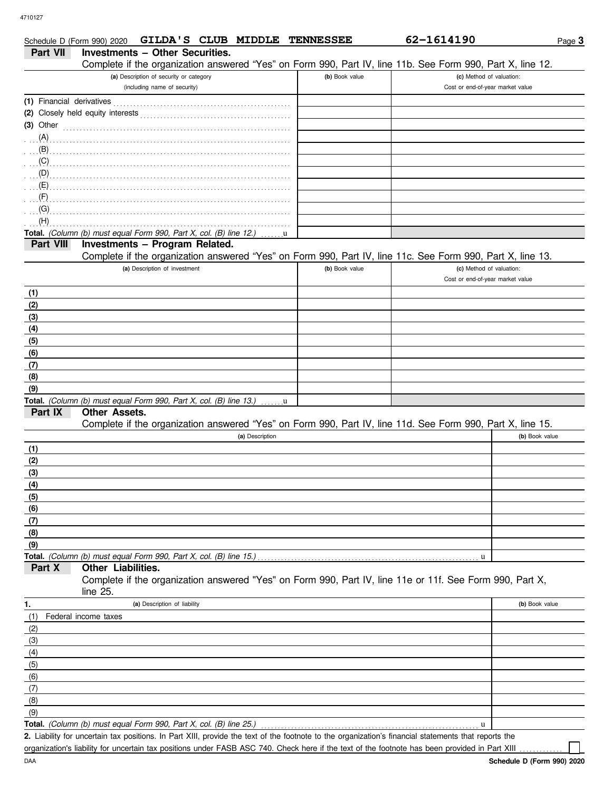|                 | Schedule D (Form 990) 2020 GILDA'S CLUB MIDDLE                                       |                                         |                 | <b>TENNESSEE</b> |                | 62-1614190                                                                                                                                           | Page 3                           |
|-----------------|--------------------------------------------------------------------------------------|-----------------------------------------|-----------------|------------------|----------------|------------------------------------------------------------------------------------------------------------------------------------------------------|----------------------------------|
| <b>Part VII</b> | <b>Investments - Other Securities.</b>                                               |                                         |                 |                  |                |                                                                                                                                                      |                                  |
|                 |                                                                                      |                                         |                 |                  |                | Complete if the organization answered "Yes" on Form 990, Part IV, line 11b. See Form 990, Part X, line 12.                                           |                                  |
|                 |                                                                                      | (a) Description of security or category |                 |                  | (b) Book value |                                                                                                                                                      | (c) Method of valuation:         |
|                 |                                                                                      | (including name of security)            |                 |                  |                |                                                                                                                                                      | Cost or end-of-year market value |
|                 |                                                                                      |                                         |                 |                  |                |                                                                                                                                                      |                                  |
|                 |                                                                                      |                                         |                 |                  |                |                                                                                                                                                      |                                  |
|                 | $(3)$ Other                                                                          |                                         |                 |                  |                |                                                                                                                                                      |                                  |
|                 |                                                                                      |                                         |                 |                  |                |                                                                                                                                                      |                                  |
|                 |                                                                                      |                                         |                 |                  |                |                                                                                                                                                      |                                  |
|                 |                                                                                      |                                         |                 |                  |                |                                                                                                                                                      |                                  |
|                 |                                                                                      |                                         |                 |                  |                |                                                                                                                                                      |                                  |
|                 |                                                                                      |                                         |                 |                  |                |                                                                                                                                                      |                                  |
| $\ldots$ (F)    |                                                                                      |                                         |                 |                  |                |                                                                                                                                                      |                                  |
| (G)             |                                                                                      |                                         |                 |                  |                |                                                                                                                                                      |                                  |
| $\ldots$ (H)    |                                                                                      |                                         |                 |                  |                |                                                                                                                                                      |                                  |
|                 | Total. (Column (b) must equal Form 990, Part X, col. (B) line 12.)                   |                                         | $\ldots u$      |                  |                |                                                                                                                                                      |                                  |
| Part VIII       | Investments - Program Related.                                                       |                                         |                 |                  |                |                                                                                                                                                      |                                  |
|                 |                                                                                      |                                         |                 |                  |                | Complete if the organization answered "Yes" on Form 990, Part IV, line 11c. See Form 990, Part X, line 13.                                           |                                  |
|                 |                                                                                      | (a) Description of investment           |                 |                  | (b) Book value |                                                                                                                                                      | (c) Method of valuation:         |
|                 |                                                                                      |                                         |                 |                  |                |                                                                                                                                                      | Cost or end-of-year market value |
| (1)             |                                                                                      |                                         |                 |                  |                |                                                                                                                                                      |                                  |
| (2)             |                                                                                      |                                         |                 |                  |                |                                                                                                                                                      |                                  |
| (3)             |                                                                                      |                                         |                 |                  |                |                                                                                                                                                      |                                  |
| (4)             |                                                                                      |                                         |                 |                  |                |                                                                                                                                                      |                                  |
| (5)             |                                                                                      |                                         |                 |                  |                |                                                                                                                                                      |                                  |
| (6)             |                                                                                      |                                         |                 |                  |                |                                                                                                                                                      |                                  |
| (7)             |                                                                                      |                                         |                 |                  |                |                                                                                                                                                      |                                  |
| (8)             |                                                                                      |                                         |                 |                  |                |                                                                                                                                                      |                                  |
| (9)             |                                                                                      |                                         |                 |                  |                |                                                                                                                                                      |                                  |
|                 | <b>Total.</b> (Column (b) must equal Form 990, Part X, col. (B) line 13.) $\ldots$ u |                                         |                 |                  |                |                                                                                                                                                      |                                  |
| Part IX         | <b>Other Assets.</b>                                                                 |                                         |                 |                  |                |                                                                                                                                                      |                                  |
|                 |                                                                                      |                                         |                 |                  |                | Complete if the organization answered "Yes" on Form 990, Part IV, line 11d. See Form 990, Part X, line 15.                                           |                                  |
|                 |                                                                                      |                                         | (a) Description |                  |                |                                                                                                                                                      | (b) Book value                   |
| (1)             |                                                                                      |                                         |                 |                  |                |                                                                                                                                                      |                                  |
| (2)             |                                                                                      |                                         |                 |                  |                |                                                                                                                                                      |                                  |
| (3)             |                                                                                      |                                         |                 |                  |                |                                                                                                                                                      |                                  |
| (4)             |                                                                                      |                                         |                 |                  |                |                                                                                                                                                      |                                  |
| (5)             |                                                                                      |                                         |                 |                  |                |                                                                                                                                                      |                                  |
| (6)             |                                                                                      |                                         |                 |                  |                |                                                                                                                                                      |                                  |
| (7)             |                                                                                      |                                         |                 |                  |                |                                                                                                                                                      |                                  |
| (8)             |                                                                                      |                                         |                 |                  |                |                                                                                                                                                      |                                  |
| (9)             |                                                                                      |                                         |                 |                  |                |                                                                                                                                                      |                                  |
|                 |                                                                                      |                                         |                 |                  |                |                                                                                                                                                      | u                                |
| Part X          | <b>Other Liabilities.</b>                                                            |                                         |                 |                  |                |                                                                                                                                                      |                                  |
|                 | line 25.                                                                             |                                         |                 |                  |                | Complete if the organization answered "Yes" on Form 990, Part IV, line 11e or 11f. See Form 990, Part X,                                             |                                  |
| 1.              |                                                                                      | (a) Description of liability            |                 |                  |                |                                                                                                                                                      | (b) Book value                   |
| (1)             | Federal income taxes                                                                 |                                         |                 |                  |                |                                                                                                                                                      |                                  |
| (2)             |                                                                                      |                                         |                 |                  |                |                                                                                                                                                      |                                  |
| (3)             |                                                                                      |                                         |                 |                  |                |                                                                                                                                                      |                                  |
| (4)             |                                                                                      |                                         |                 |                  |                |                                                                                                                                                      |                                  |
| (5)             |                                                                                      |                                         |                 |                  |                |                                                                                                                                                      |                                  |
| (6)             |                                                                                      |                                         |                 |                  |                |                                                                                                                                                      |                                  |
| (7)             |                                                                                      |                                         |                 |                  |                |                                                                                                                                                      |                                  |
| (8)             |                                                                                      |                                         |                 |                  |                |                                                                                                                                                      |                                  |
| (9)             |                                                                                      |                                         |                 |                  |                |                                                                                                                                                      |                                  |
|                 | Total. (Column (b) must equal Form 990, Part X, col. (B) line 25.)                   |                                         |                 |                  |                |                                                                                                                                                      | u                                |
|                 |                                                                                      |                                         |                 |                  |                | 2. Liability for uncertain tax positions. In Part XIII, provide the text of the footnote to the organization's financial statements that reports the |                                  |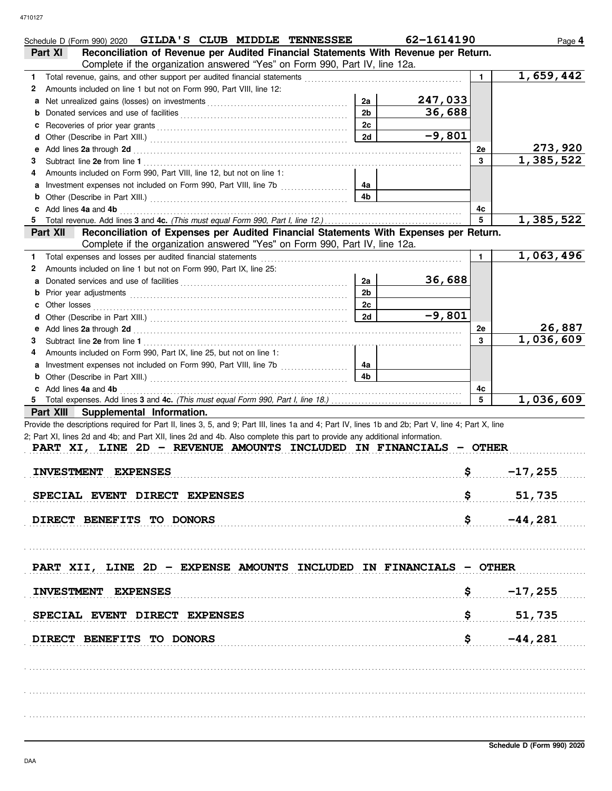| Schedule D (Form 990) 2020 GILDA'S CLUB MIDDLE TENNESSEE                                                                                                                                                                            |                | 62-1614190 |              | Page 4                    |
|-------------------------------------------------------------------------------------------------------------------------------------------------------------------------------------------------------------------------------------|----------------|------------|--------------|---------------------------|
| Reconciliation of Revenue per Audited Financial Statements With Revenue per Return.<br>Part XI                                                                                                                                      |                |            |              |                           |
| Complete if the organization answered "Yes" on Form 990, Part IV, line 12a.                                                                                                                                                         |                |            |              |                           |
|                                                                                                                                                                                                                                     |                |            | $\mathbf{1}$ | 1,659,442                 |
| Amounts included on line 1 but not on Form 990, Part VIII, line 12:<br>2                                                                                                                                                            |                |            |              |                           |
| а                                                                                                                                                                                                                                   | 2a             | 247,033    |              |                           |
| b                                                                                                                                                                                                                                   | 2 <sub>b</sub> | 36,688     |              |                           |
|                                                                                                                                                                                                                                     | 2c             |            |              |                           |
| d                                                                                                                                                                                                                                   | <b>2d</b>      | $-9,801$   |              |                           |
| Add lines 2a through 2d [11] March 2014 [12] March 2014 [12] March 2014 [12] March 2014 [12] March 2014 [12] March 2014 [12] March 2014 [12] March 2014 [12] March 2014 [12] March 2014 [12] March 2014 [12] March 2014 [12] M      |                |            | <b>2e</b>    | 273,920                   |
| 3                                                                                                                                                                                                                                   |                |            | $\mathbf{3}$ | 1,385,522                 |
| Amounts included on Form 990, Part VIII, line 12, but not on line 1:                                                                                                                                                                |                |            |              |                           |
|                                                                                                                                                                                                                                     | 4a             |            |              |                           |
| b                                                                                                                                                                                                                                   | 4 <sub>b</sub> |            |              |                           |
| Add lines 4a and 4b                                                                                                                                                                                                                 |                |            | 4c           |                           |
| 5                                                                                                                                                                                                                                   |                |            | 5            | 1,385,522                 |
| Reconciliation of Expenses per Audited Financial Statements With Expenses per Return.<br>Part XII                                                                                                                                   |                |            |              |                           |
| Complete if the organization answered "Yes" on Form 990, Part IV, line 12a.                                                                                                                                                         |                |            |              |                           |
| Total expenses and losses per audited financial statements                                                                                                                                                                          |                |            | $\mathbf{1}$ | 1,063,496                 |
| Amounts included on line 1 but not on Form 990, Part IX, line 25:<br>2                                                                                                                                                              |                |            |              |                           |
|                                                                                                                                                                                                                                     | 2a             | 36,688     |              |                           |
| b                                                                                                                                                                                                                                   | 2 <sub>b</sub> |            |              |                           |
|                                                                                                                                                                                                                                     | 2c             |            |              |                           |
|                                                                                                                                                                                                                                     | 2d             | $-9,801$   |              |                           |
| Add lines 2a through 2d [11] March 2014 [12] March 2014 [12] March 2014 [12] March 2014 [12] March 2014 [12] March 2014 [12] March 2014 [12] March 2014 [12] March 2014 [12] March 2014 [12] March 2014 [12] March 2014 [12] M<br>е |                |            | 2e           | 26,887                    |
| 3                                                                                                                                                                                                                                   |                |            | 3            | $\overline{1}$ , 036, 609 |
| Amounts included on Form 990, Part IX, line 25, but not on line 1:                                                                                                                                                                  |                |            |              |                           |
|                                                                                                                                                                                                                                     | 4a             |            |              |                           |
|                                                                                                                                                                                                                                     | 4 <sub>b</sub> |            |              |                           |
| c Add lines 4a and 4b                                                                                                                                                                                                               |                |            |              |                           |
|                                                                                                                                                                                                                                     |                |            | 4c<br>5      | 1,036,609                 |
| Part XIII Supplemental Information.                                                                                                                                                                                                 |                |            |              |                           |
| Provide the descriptions required for Part II, lines 3, 5, and 9; Part III, lines 1a and 4; Part IV, lines 1b and 2b; Part V, line 4; Part X, line                                                                                  |                |            |              |                           |
| 2; Part XI, lines 2d and 4b; and Part XII, lines 2d and 4b. Also complete this part to provide any additional information.                                                                                                          |                |            |              |                           |
| PART XI, LINE 2D - REVENUE AMOUNTS INCLUDED IN FINANCIALS - OTHER                                                                                                                                                                   |                |            |              |                           |
|                                                                                                                                                                                                                                     |                |            |              |                           |
| <b>INVESTMENT</b><br><b>EXPENSES</b>                                                                                                                                                                                                |                | \$         |              | $-17,255$                 |
|                                                                                                                                                                                                                                     |                |            |              |                           |
| SPECIAL EVENT DIRECT EXPENSES                                                                                                                                                                                                       |                |            |              | 51,735                    |
|                                                                                                                                                                                                                                     |                |            |              |                           |
|                                                                                                                                                                                                                                     |                |            |              |                           |
| DIRECT BENEFITS TO DONORS                                                                                                                                                                                                           |                | \$         |              | $-44,281$                 |
|                                                                                                                                                                                                                                     |                |            |              |                           |
|                                                                                                                                                                                                                                     |                |            |              |                           |
|                                                                                                                                                                                                                                     |                |            |              |                           |
| PART XII, LINE 2D - EXPENSE AMOUNTS INCLUDED IN FINANCIALS - OTHER                                                                                                                                                                  |                |            |              |                           |
|                                                                                                                                                                                                                                     |                |            |              |                           |
| <b>INVESTMENT</b><br><b>EXPENSES</b>                                                                                                                                                                                                |                | Ş.         |              | $-17,255$                 |
|                                                                                                                                                                                                                                     |                |            |              |                           |
| SPECIAL EVENT DIRECT EXPENSES                                                                                                                                                                                                       |                | \$         |              | 51,735                    |
|                                                                                                                                                                                                                                     |                |            |              |                           |
| DIRECT BENEFITS TO DONORS                                                                                                                                                                                                           |                | \$         |              | -44,281                   |
|                                                                                                                                                                                                                                     |                |            |              |                           |
|                                                                                                                                                                                                                                     |                |            |              |                           |
|                                                                                                                                                                                                                                     |                |            |              |                           |
|                                                                                                                                                                                                                                     |                |            |              |                           |
|                                                                                                                                                                                                                                     |                |            |              |                           |
|                                                                                                                                                                                                                                     |                |            |              |                           |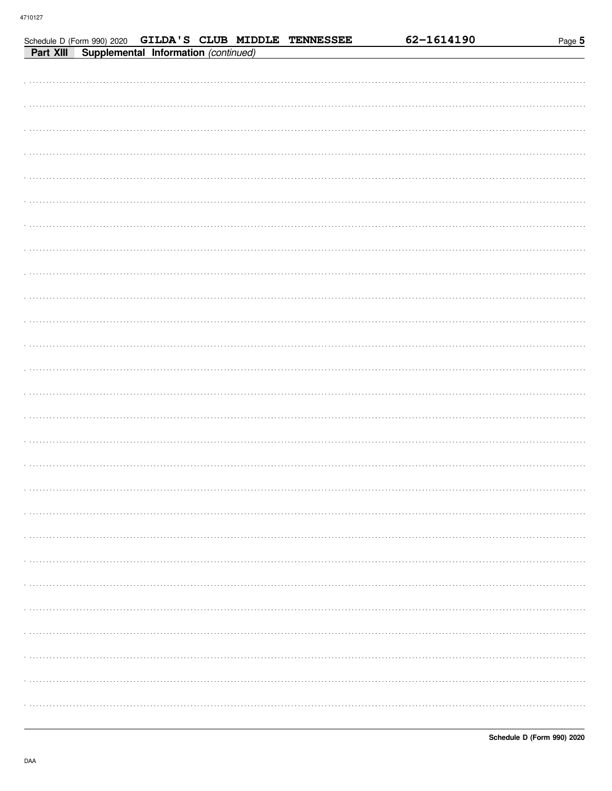|                                       | Schedule D (Form 990) 2020 GILDA'S CLUB MIDDLE TENNESSEE Part XIII Supplemental Information (continued) |  | 62-1614190 | Page 5 |
|---------------------------------------|---------------------------------------------------------------------------------------------------------|--|------------|--------|
|                                       |                                                                                                         |  |            |        |
|                                       |                                                                                                         |  |            |        |
|                                       |                                                                                                         |  |            |        |
|                                       |                                                                                                         |  |            |        |
|                                       |                                                                                                         |  |            |        |
|                                       |                                                                                                         |  |            |        |
|                                       |                                                                                                         |  |            |        |
|                                       |                                                                                                         |  |            |        |
|                                       |                                                                                                         |  |            |        |
|                                       |                                                                                                         |  |            |        |
|                                       |                                                                                                         |  |            |        |
|                                       |                                                                                                         |  |            |        |
|                                       |                                                                                                         |  |            |        |
|                                       |                                                                                                         |  |            |        |
|                                       |                                                                                                         |  |            |        |
|                                       |                                                                                                         |  |            |        |
|                                       |                                                                                                         |  |            |        |
|                                       |                                                                                                         |  |            |        |
|                                       |                                                                                                         |  |            |        |
|                                       |                                                                                                         |  |            |        |
|                                       |                                                                                                         |  |            |        |
|                                       |                                                                                                         |  |            |        |
|                                       |                                                                                                         |  |            |        |
|                                       |                                                                                                         |  |            |        |
|                                       |                                                                                                         |  |            |        |
|                                       |                                                                                                         |  |            | .      |
|                                       |                                                                                                         |  |            |        |
|                                       |                                                                                                         |  |            |        |
| <b>TERRITARY</b>                      |                                                                                                         |  |            |        |
|                                       |                                                                                                         |  |            |        |
|                                       |                                                                                                         |  |            |        |
| $\mathcal{F}_1$ , and a second second |                                                                                                         |  |            |        |
|                                       |                                                                                                         |  |            |        |
|                                       |                                                                                                         |  |            |        |
|                                       |                                                                                                         |  |            |        |
|                                       |                                                                                                         |  |            |        |
|                                       |                                                                                                         |  |            |        |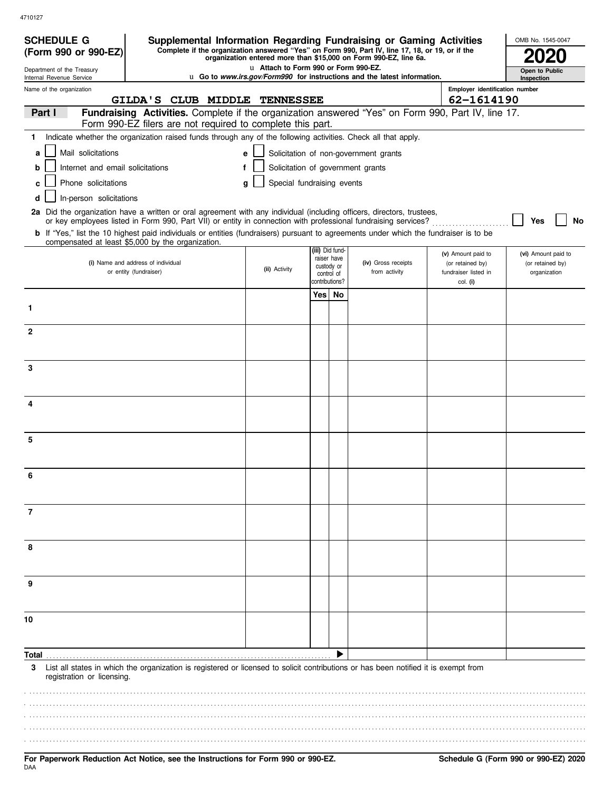| <b>SCHEDULE G</b>                                                                                                                                                                          | Supplemental Information Regarding Fundraising or Gaming Activities<br>Complete if the organization answered "Yes" on Form 990, Part IV, line 17, 18, or 19, or if the |                                |                                       |                                          | OMB No. 1545-0047                |
|--------------------------------------------------------------------------------------------------------------------------------------------------------------------------------------------|------------------------------------------------------------------------------------------------------------------------------------------------------------------------|--------------------------------|---------------------------------------|------------------------------------------|----------------------------------|
| (Form 990 or 990-EZ)                                                                                                                                                                       | organization entered more than \$15,000 on Form 990-EZ, line 6a.                                                                                                       |                                |                                       |                                          |                                  |
| Department of the Treasury<br>Internal Revenue Service                                                                                                                                     | u Attach to Form 990 or Form 990-EZ.<br>u Go to www.irs.gov/Form990 for instructions and the latest information.                                                       |                                |                                       |                                          | Open to Public<br>Inspection     |
| Name of the organization                                                                                                                                                                   |                                                                                                                                                                        |                                |                                       | Employer identification number           |                                  |
| GILDA'S CLUB MIDDLE TENNESSEE                                                                                                                                                              |                                                                                                                                                                        |                                |                                       | 62-1614190                               |                                  |
| Fundraising Activities. Complete if the organization answered "Yes" on Form 990, Part IV, line 17.<br>Part I<br>Form 990-EZ filers are not required to complete this part.                 |                                                                                                                                                                        |                                |                                       |                                          |                                  |
| Indicate whether the organization raised funds through any of the following activities. Check all that apply.<br>1.                                                                        |                                                                                                                                                                        |                                |                                       |                                          |                                  |
| Mail solicitations<br>a                                                                                                                                                                    | е                                                                                                                                                                      |                                | Solicitation of non-government grants |                                          |                                  |
| Internet and email solicitations<br>b                                                                                                                                                      | f                                                                                                                                                                      |                                | Solicitation of government grants     |                                          |                                  |
| Phone solicitations<br>c                                                                                                                                                                   | Special fundraising events<br>g                                                                                                                                        |                                |                                       |                                          |                                  |
| In-person solicitations<br>d                                                                                                                                                               |                                                                                                                                                                        |                                |                                       |                                          |                                  |
| 2a Did the organization have a written or oral agreement with any individual (including officers, directors, trustees,                                                                     |                                                                                                                                                                        |                                |                                       |                                          |                                  |
| or key employees listed in Form 990, Part VII) or entity in connection with professional fundraising services?                                                                             |                                                                                                                                                                        |                                |                                       |                                          | Yes<br>No                        |
| b If "Yes," list the 10 highest paid individuals or entities (fundraisers) pursuant to agreements under which the fundraiser is to be<br>compensated at least \$5,000 by the organization. |                                                                                                                                                                        |                                |                                       |                                          |                                  |
|                                                                                                                                                                                            |                                                                                                                                                                        | (iii) Did fund-<br>raiser have |                                       | (v) Amount paid to                       | (vi) Amount paid to              |
| (i) Name and address of individual<br>or entity (fundraiser)                                                                                                                               | (ii) Activity                                                                                                                                                          | custody or<br>control of       | (iv) Gross receipts<br>from activity  | (or retained by)<br>fundraiser listed in | (or retained by)<br>organization |
|                                                                                                                                                                                            |                                                                                                                                                                        | contributions?                 |                                       | col. (i)                                 |                                  |
|                                                                                                                                                                                            |                                                                                                                                                                        | Yes   No                       |                                       |                                          |                                  |
| 1                                                                                                                                                                                          |                                                                                                                                                                        |                                |                                       |                                          |                                  |
| $\mathbf{2}$                                                                                                                                                                               |                                                                                                                                                                        |                                |                                       |                                          |                                  |
|                                                                                                                                                                                            |                                                                                                                                                                        |                                |                                       |                                          |                                  |
|                                                                                                                                                                                            |                                                                                                                                                                        |                                |                                       |                                          |                                  |
| 3                                                                                                                                                                                          |                                                                                                                                                                        |                                |                                       |                                          |                                  |
|                                                                                                                                                                                            |                                                                                                                                                                        |                                |                                       |                                          |                                  |
| 4                                                                                                                                                                                          |                                                                                                                                                                        |                                |                                       |                                          |                                  |
|                                                                                                                                                                                            |                                                                                                                                                                        |                                |                                       |                                          |                                  |
|                                                                                                                                                                                            |                                                                                                                                                                        |                                |                                       |                                          |                                  |
| 5                                                                                                                                                                                          |                                                                                                                                                                        |                                |                                       |                                          |                                  |
|                                                                                                                                                                                            |                                                                                                                                                                        |                                |                                       |                                          |                                  |
| 6                                                                                                                                                                                          |                                                                                                                                                                        |                                |                                       |                                          |                                  |
|                                                                                                                                                                                            |                                                                                                                                                                        |                                |                                       |                                          |                                  |
| 7                                                                                                                                                                                          |                                                                                                                                                                        |                                |                                       |                                          |                                  |
|                                                                                                                                                                                            |                                                                                                                                                                        |                                |                                       |                                          |                                  |
|                                                                                                                                                                                            |                                                                                                                                                                        |                                |                                       |                                          |                                  |
| 8                                                                                                                                                                                          |                                                                                                                                                                        |                                |                                       |                                          |                                  |
|                                                                                                                                                                                            |                                                                                                                                                                        |                                |                                       |                                          |                                  |
| 9                                                                                                                                                                                          |                                                                                                                                                                        |                                |                                       |                                          |                                  |
|                                                                                                                                                                                            |                                                                                                                                                                        |                                |                                       |                                          |                                  |
|                                                                                                                                                                                            |                                                                                                                                                                        |                                |                                       |                                          |                                  |
| 10                                                                                                                                                                                         |                                                                                                                                                                        |                                |                                       |                                          |                                  |
|                                                                                                                                                                                            |                                                                                                                                                                        |                                |                                       |                                          |                                  |
| Total                                                                                                                                                                                      |                                                                                                                                                                        |                                |                                       |                                          |                                  |
| List all states in which the organization is registered or licensed to solicit contributions or has been notified it is exempt from<br>3<br>registration or licensing.                     |                                                                                                                                                                        |                                |                                       |                                          |                                  |
|                                                                                                                                                                                            |                                                                                                                                                                        |                                |                                       |                                          |                                  |
|                                                                                                                                                                                            |                                                                                                                                                                        |                                |                                       |                                          |                                  |
|                                                                                                                                                                                            |                                                                                                                                                                        |                                |                                       |                                          |                                  |
|                                                                                                                                                                                            |                                                                                                                                                                        |                                |                                       |                                          |                                  |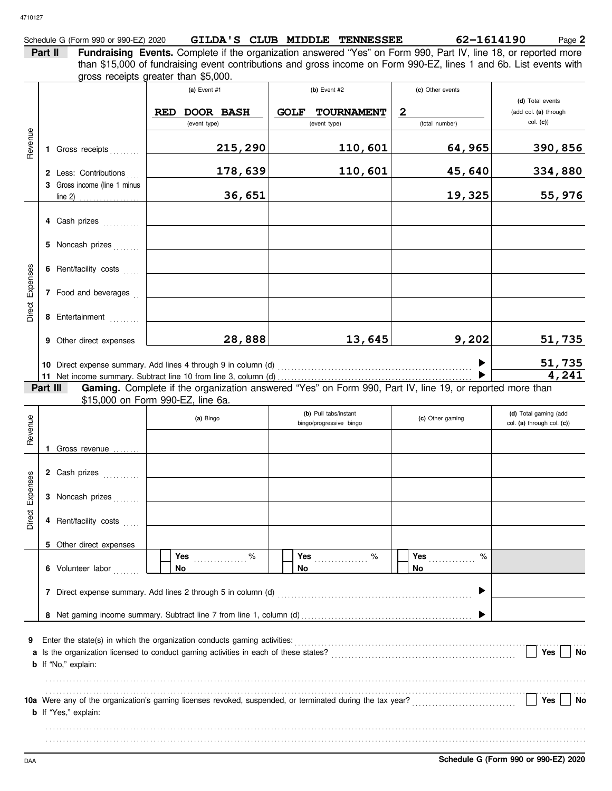# Schedule G (Form 990 or 990-EZ) 2020 **GILDA'S CLUB MIDDLE TENNESSEE** 62-1614190 Page 2

**Part II Fundraising Events.** Complete if the organization answered "Yes" on Form 990, Part IV, line 18, or reported more gross receipts greater than \$5,000. than \$15,000 of fundraising event contributions and gross income on Form 990-EZ, lines 1 and 6b. List events with

| Revenue         |          | 1 Gross receipts<br>2 Less: Contributions<br>3 Gross income (line 1 minus<br>4 Cash prizes<br>5 Noncash prizes | $(a)$ Event #1<br><b>RED</b><br><b>DOOR BASH</b><br>(event type)<br>215,290<br>178,639<br>36,651 | (b) Event $#2$<br><b>GOLF</b><br>TOURNAMENT<br>(event type)<br>110,601<br>110,601                                                                                                                                      | (c) Other events<br>$\boldsymbol{2}$<br>(total number)<br>64,965<br>45,640<br>19,325 | (d) Total events<br>(add col. (a) through<br>col. (c)<br><u>390,856</u><br>334,880<br>55,976 |
|-----------------|----------|----------------------------------------------------------------------------------------------------------------|--------------------------------------------------------------------------------------------------|------------------------------------------------------------------------------------------------------------------------------------------------------------------------------------------------------------------------|--------------------------------------------------------------------------------------|----------------------------------------------------------------------------------------------|
| Direct Expenses |          | 6 Rent/facility costs<br>7 Food and beverages<br>8 Entertainment<br>9 Other direct expenses                    | 28,888                                                                                           | 13,645                                                                                                                                                                                                                 | 9,202                                                                                | 51,735<br>51,735<br>4,241                                                                    |
|                 | Part III |                                                                                                                | \$15,000 on Form 990-EZ, line 6a.                                                                | Gaming. Complete if the organization answered "Yes" on Form 990, Part IV, line 19, or reported more than                                                                                                               |                                                                                      |                                                                                              |
| Revenue         |          | 1 Gross revenue                                                                                                | (a) Bingo                                                                                        | (b) Pull tabs/instant<br>bingo/progressive bingo                                                                                                                                                                       | (c) Other gaming                                                                     | (d) Total gaming (add<br>col. (a) through col. (c))                                          |
| Direct Expenses |          | 2 Cash prizes<br>3 Noncash prizes<br>4 Rent/facility costs                                                     |                                                                                                  |                                                                                                                                                                                                                        |                                                                                      |                                                                                              |
|                 |          | 5 Other direct expenses<br>6 Volunteer labor                                                                   | Yes  %<br>No                                                                                     | Yes $%$<br>No                                                                                                                                                                                                          | %<br>Yes <b>Market</b><br>No                                                         |                                                                                              |
| 9               |          | <b>b</b> If "No," explain:                                                                                     |                                                                                                  |                                                                                                                                                                                                                        |                                                                                      | Yes<br>No                                                                                    |
|                 |          | <b>b</b> If "Yes," explain:                                                                                    |                                                                                                  | 10a Were any of the organization's gaming licenses revoked, suspended, or terminated during the tax year?<br>10a Were any of the organization's gaming licenses revoked, suspended, or terminated during the tax year? |                                                                                      | Yes<br>No                                                                                    |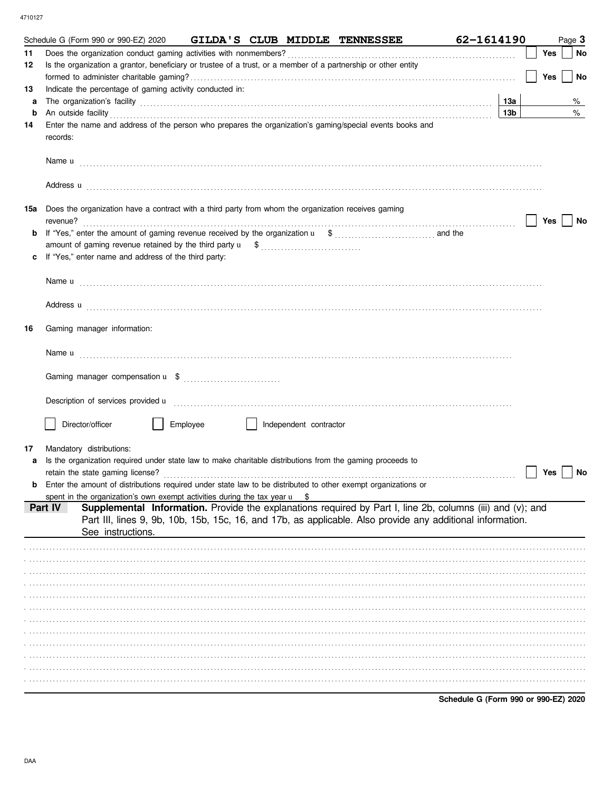4710127

|     |          | Schedule G (Form 990 or 990-EZ) 2020                                                                                                                                                                                                          |          |  |                        | GILDA'S CLUB MIDDLE TENNESSEE | 62-1614190                           |     |     | Page 3 |
|-----|----------|-----------------------------------------------------------------------------------------------------------------------------------------------------------------------------------------------------------------------------------------------|----------|--|------------------------|-------------------------------|--------------------------------------|-----|-----|--------|
| 11  |          |                                                                                                                                                                                                                                               |          |  |                        |                               |                                      |     | Yes | No     |
| 12  |          | Is the organization a grantor, beneficiary or trustee of a trust, or a member of a partnership or other entity                                                                                                                                |          |  |                        |                               |                                      |     | Yes | No     |
| 13  |          | Indicate the percentage of gaming activity conducted in:                                                                                                                                                                                      |          |  |                        |                               |                                      |     |     |        |
| a   |          | The organization's facility contains and contains a series of the organization's facility contains and contains a series of the organization's facility contains a series of the original state of the original state of the o                |          |  |                        |                               |                                      | 13a |     | %      |
| b   |          | An outside facility <i>contained a contained a contained a contained a contained a contained a contained a contained a</i>                                                                                                                    |          |  |                        |                               |                                      | 13b |     | $\%$   |
| 14  | records: | Enter the name and address of the person who prepares the organization's gaming/special events books and                                                                                                                                      |          |  |                        |                               |                                      |     |     |        |
|     |          | Name u                                                                                                                                                                                                                                        |          |  |                        |                               |                                      |     |     |        |
|     |          | Address u                                                                                                                                                                                                                                     |          |  |                        |                               |                                      |     |     |        |
| 15a |          | Does the organization have a contract with a third party from whom the organization receives gaming                                                                                                                                           |          |  |                        |                               |                                      |     | Yes | No     |
| b   |          |                                                                                                                                                                                                                                               |          |  |                        |                               |                                      |     |     |        |
| c   |          | amount of gaming revenue retained by the third party u \$<br>If "Yes," enter name and address of the third party:                                                                                                                             |          |  |                        |                               |                                      |     |     |        |
|     |          | Name u                                                                                                                                                                                                                                        |          |  |                        |                               |                                      |     |     |        |
|     |          | Address u                                                                                                                                                                                                                                     |          |  |                        |                               |                                      |     |     |        |
| 16  |          | Gaming manager information:                                                                                                                                                                                                                   |          |  |                        |                               |                                      |     |     |        |
|     |          |                                                                                                                                                                                                                                               |          |  |                        |                               |                                      |     |     |        |
|     |          |                                                                                                                                                                                                                                               |          |  |                        |                               |                                      |     |     |        |
|     |          | Description of services provided u entertainment contains and a service of services and contained under the containing of services provided u                                                                                                 |          |  |                        |                               |                                      |     |     |        |
|     |          | Director/officer                                                                                                                                                                                                                              | Employee |  | Independent contractor |                               |                                      |     |     |        |
| 17  |          | Mandatory distributions:                                                                                                                                                                                                                      |          |  |                        |                               |                                      |     |     |        |
| a   |          | Is the organization required under state law to make charitable distributions from the gaming proceeds to                                                                                                                                     |          |  |                        |                               |                                      |     |     |        |
|     |          |                                                                                                                                                                                                                                               |          |  |                        |                               |                                      |     | Yes | No     |
| b   |          | Enter the amount of distributions required under state law to be distributed to other exempt organizations or                                                                                                                                 |          |  |                        |                               |                                      |     |     |        |
|     |          | spent in the organization's own exempt activities during the tax year u                                                                                                                                                                       |          |  |                        |                               |                                      |     |     |        |
|     | Part IV  | Supplemental Information. Provide the explanations required by Part I, line 2b, columns (iii) and (v); and<br>Part III, lines 9, 9b, 10b, 15b, 15c, 16, and 17b, as applicable. Also provide any additional information.<br>See instructions. |          |  |                        |                               |                                      |     |     |        |
|     |          |                                                                                                                                                                                                                                               |          |  |                        |                               |                                      |     |     |        |
|     |          |                                                                                                                                                                                                                                               |          |  |                        |                               |                                      |     |     |        |
|     |          |                                                                                                                                                                                                                                               |          |  |                        |                               |                                      |     |     |        |
|     |          |                                                                                                                                                                                                                                               |          |  |                        |                               |                                      |     |     |        |
|     |          |                                                                                                                                                                                                                                               |          |  |                        |                               |                                      |     |     |        |
|     |          |                                                                                                                                                                                                                                               |          |  |                        |                               |                                      |     |     |        |
|     |          |                                                                                                                                                                                                                                               |          |  |                        |                               |                                      |     |     |        |
|     |          |                                                                                                                                                                                                                                               |          |  |                        |                               |                                      |     |     |        |
|     |          |                                                                                                                                                                                                                                               |          |  |                        |                               |                                      |     |     |        |
|     |          |                                                                                                                                                                                                                                               |          |  |                        |                               |                                      |     |     |        |
|     |          |                                                                                                                                                                                                                                               |          |  |                        |                               |                                      |     |     |        |
|     |          |                                                                                                                                                                                                                                               |          |  |                        |                               | Schedule G (Form 990 or 990-EZ) 2020 |     |     |        |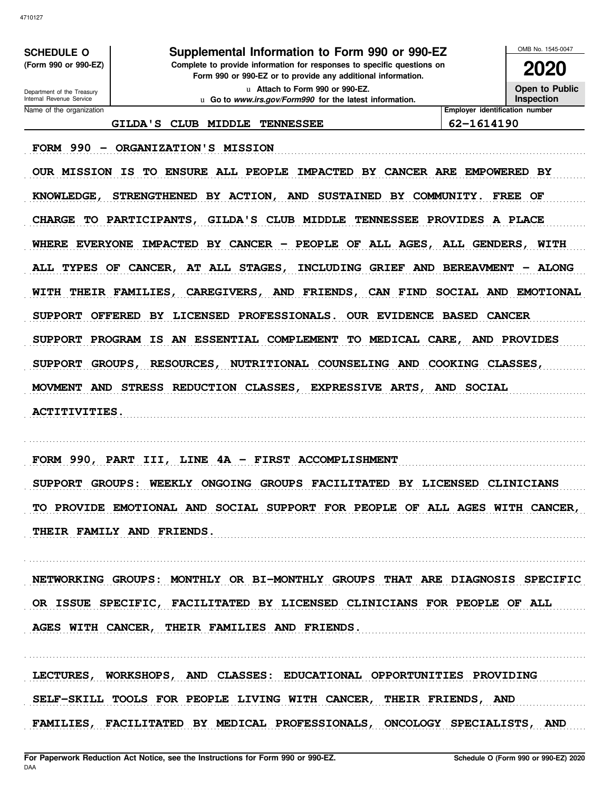4710127

#### **SCHEDULE O** (Form 990 or 990-EZ)

#### Supplemental Information to Form 990 or 990-EZ

Complete to provide information for responses to specific questions on Form 990 or 990-EZ or to provide any additional information.

> u Attach to Form 990 or 990-EZ. u Go to www.irs.gov/Form990 for the latest information.

OMB No. 1545-0047 2020

Open to Public Inspection

Department of the Treasury Internal Revenue Service Name of the organization

#### GILDA'S CLUB MIDDLE TENNESSEE

Employer identification number 62-1614190

FORM 990 - ORGANIZATION'S MISSION

OUR MISSION IS TO ENSURE ALL PEOPLE IMPACTED BY CANCER ARE EMPOWERED BY KNOWLEDGE, STRENGTHENED BY ACTION, AND SUSTAINED BY COMMUNITY. FREE OF CHARGE TO PARTICIPANTS, GILDA'S CLUB MIDDLE TENNESSEE PROVIDES A PLACE WHERE EVERYONE IMPACTED BY CANCER - PEOPLE OF ALL AGES, ALL GENDERS, WITH ALL TYPES OF CANCER, AT ALL STAGES, INCLUDING GRIEF AND BEREAVMENT - ALONG WITH THEIR FAMILIES, CAREGIVERS, AND FRIENDS, CAN FIND SOCIAL AND EMOTIONAL SUPPORT OFFERED BY LICENSED PROFESSIONALS. OUR EVIDENCE BASED CANCER SUPPORT PROGRAM IS AN ESSENTIAL COMPLEMENT TO MEDICAL CARE, AND PROVIDES SUPPORT GROUPS, RESOURCES, NUTRITIONAL COUNSELING AND COOKING CLASSES, MOVMENT AND STRESS REDUCTION CLASSES, EXPRESSIVE ARTS, AND SOCIAL **ACTITIVITIES.** 

FORM 990, PART III, LINE 4A - FIRST ACCOMPLISHMENT SUPPORT GROUPS: WEEKLY ONGOING GROUPS FACILITATED BY LICENSED CLINICIANS TO PROVIDE EMOTIONAL AND SOCIAL SUPPORT FOR PEOPLE OF ALL AGES WITH CANCER, THEIR FAMILY AND FRIENDS.

NETWORKING GROUPS: MONTHLY OR BI-MONTHLY GROUPS THAT ARE DIAGNOSIS SPECIFIC OR ISSUE SPECIFIC, FACILITATED BY LICENSED CLINICIANS FOR PEOPLE OF ALL AGES WITH CANCER, THEIR FAMILIES AND FRIENDS.

LECTURES, WORKSHOPS, AND CLASSES: EDUCATIONAL OPPORTUNITIES PROVIDING SELF-SKILL TOOLS FOR PEOPLE LIVING WITH CANCER, THEIR FRIENDS, AND FAMILIES, FACILITATED BY MEDICAL PROFESSIONALS, ONCOLOGY SPECIALISTS, AND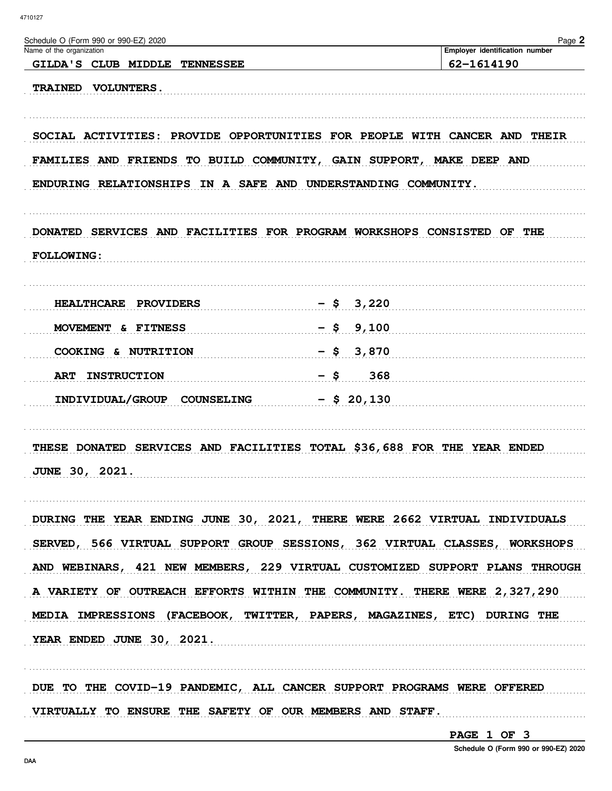| Schedule O (Form 990 or 990-EZ) 2020                                | Page 2                                                                                                          |
|---------------------------------------------------------------------|-----------------------------------------------------------------------------------------------------------------|
| Name of the organization<br>GILDA'S CLUB MIDDLE<br><b>TENNESSEE</b> | Employer identification number<br>62-1614190                                                                    |
| <b>TRAINED</b><br><b>VOLUNTERS.</b>                                 |                                                                                                                 |
| FAMILIES AND FRIENDS TO BUILD COMMUNITY,                            | SOCIAL ACTIVITIES: PROVIDE OPPORTUNITIES FOR PEOPLE WITH CANCER AND THEIR<br><b>GAIN SUPPORT, MAKE DEEP AND</b> |
| ENDURING RELATIONSHIPS IN A SAFE AND UNDERSTANDING COMMUNITY.       |                                                                                                                 |
| <b>FOLLOWING:</b>                                                   | DONATED SERVICES AND FACILITIES FOR PROGRAM WORKSHOPS CONSISTED OF THE                                          |
| <b>HEALTHCARE</b><br><b>PROVIDERS</b>                               | $-$ \$ 3,220                                                                                                    |
| MOVEMENT & FITNESS                                                  | $-$ \$ 9,100                                                                                                    |
| COOKING & NUTRITION                                                 | $-$ \$ 3,870                                                                                                    |
| <b>ART</b><br><b>INSTRUCTION</b>                                    | 368<br>- \$                                                                                                     |
| INDIVIDUAL/GROUP<br><b>COUNSELING</b>                               | $-$ \$ 20,130                                                                                                   |
| JUNE 30, 2021.                                                      | THESE DONATED SERVICES AND FACILITIES TOTAL \$36,688 FOR THE YEAR ENDED                                         |
|                                                                     | DURING THE YEAR ENDING JUNE 30, 2021, THERE WERE 2662 VIRTUAL INDIVIDUALS                                       |
|                                                                     | SERVED, 566 VIRTUAL SUPPORT GROUP SESSIONS, 362 VIRTUAL CLASSES, WORKSHOPS                                      |
|                                                                     | AND WEBINARS, 421 NEW MEMBERS, 229 VIRTUAL CUSTOMIZED SUPPORT PLANS THROUGH                                     |
|                                                                     | A VARIETY OF OUTREACH EFFORTS WITHIN THE COMMUNITY. THERE WERE 2,327,290                                        |
|                                                                     | MEDIA IMPRESSIONS (FACEBOOK, TWITTER, PAPERS, MAGAZINES, ETC) DURING THE                                        |
| YEAR ENDED JUNE 30, 2021.                                           |                                                                                                                 |
|                                                                     | DUE TO THE COVID-19 PANDEMIC, ALL CANCER SUPPORT PROGRAMS WERE OFFERED                                          |

VIRTUALLY TO ENSURE THE SAFETY OF OUR MEMBERS AND STAFF. 

PAGE 1 OF 3

Schedule O (Form 990 or 990-EZ) 2020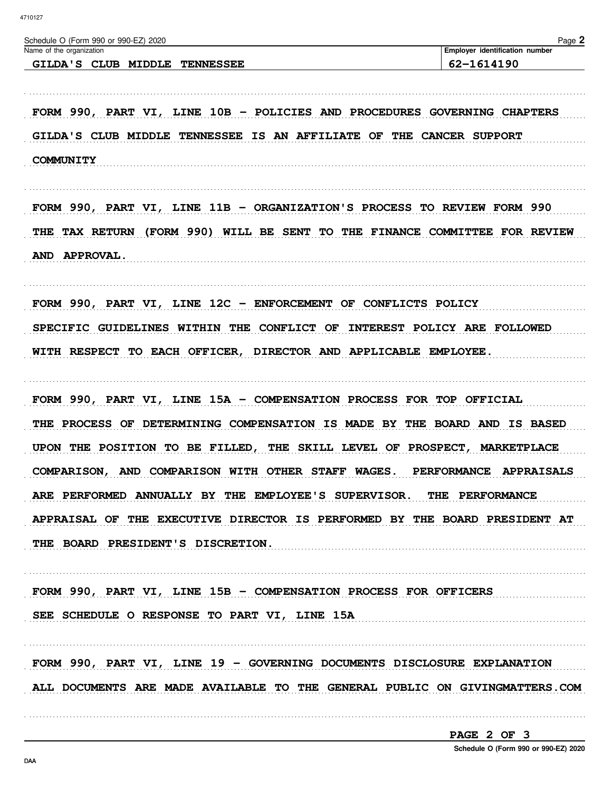Schedule O (Form 990 or 990-EZ) 2020

| Name of the organization                | <b>Employer identification number</b> |  |  |  |
|-----------------------------------------|---------------------------------------|--|--|--|
| GILDA'S CLUB MIDDLE<br><b>TENNESSEE</b> | 62-1614190                            |  |  |  |

FORM 990, PART VI, LINE 10B - POLICIES AND PROCEDURES GOVERNING CHAPTERS GILDA'S CLUB MIDDLE TENNESSEE IS AN AFFILIATE OF THE CANCER SUPPORT **COMMUNITY** 

FORM 990, PART VI, LINE 11B - ORGANIZATION'S PROCESS TO REVIEW FORM 990 THE TAX RETURN (FORM 990) WILL BE SENT TO THE FINANCE COMMITTEE FOR REVIEW AND APPROVAL.

FORM 990, PART VI, LINE 12C - ENFORCEMENT OF CONFLICTS POLICY SPECIFIC GUIDELINES WITHIN THE CONFLICT OF INTEREST POLICY ARE FOLLOWED WITH RESPECT TO EACH OFFICER, DIRECTOR AND APPLICABLE EMPLOYEE.

FORM 990, PART VI, LINE 15A - COMPENSATION PROCESS FOR TOP OFFICIAL THE PROCESS OF DETERMINING COMPENSATION IS MADE BY THE BOARD AND IS BASED UPON THE POSITION TO BE FILLED, THE SKILL LEVEL OF PROSPECT, MARKETPLACE COMPARISON, AND COMPARISON WITH OTHER STAFF WAGES. PERFORMANCE APPRAISALS ARE PERFORMED ANNUALLY BY THE EMPLOYEE'S SUPERVISOR. THE PERFORMANCE APPRAISAL OF THE EXECUTIVE DIRECTOR IS PERFORMED BY THE BOARD PRESIDENT AT THE BOARD PRESIDENT'S DISCRETION.

FORM 990, PART VI, LINE 15B - COMPENSATION PROCESS FOR OFFICERS SEE SCHEDULE O RESPONSE TO PART VI, LINE 15A

FORM 990, PART VI, LINE 19 - GOVERNING DOCUMENTS DISCLOSURE EXPLANATION ALL DOCUMENTS ARE MADE AVAILABLE TO THE GENERAL PUBLIC ON GIVINGMATTERS.COM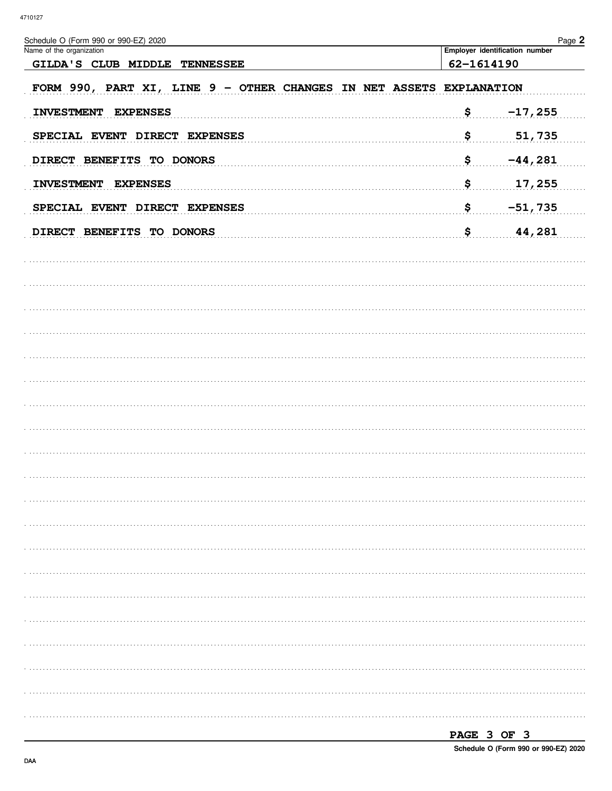| Schedule O (Form 990 or 990-EZ) 2020              |                                | Page 2    |  |  |  |
|---------------------------------------------------|--------------------------------|-----------|--|--|--|
| Name of the organization                          | Employer identification number |           |  |  |  |
| GILDA'S CLUB MIDDLE<br><b>TENNESSEE</b>           | 62-1614190                     |           |  |  |  |
| FORM 990, PART XI, LINE 9 - OTHER CHANGES IN NET  | <b>ASSETS EXPLANATION</b>      |           |  |  |  |
| <b>INVESTMENT</b><br><b>EXPENSES</b>              | $\mathbf{s}$                   | $-17,255$ |  |  |  |
| SPECIAL EVENT DIRECT<br><b>EXPENSES</b>           | $\mathbf{S}$                   | 51,735    |  |  |  |
| DIRECT BENEFITS TO DONORS                         | $\mathbf{S}$                   | $-44,281$ |  |  |  |
| <b>INVESTMENT</b><br><b>EXPENSES</b>              | $\boldsymbol{\mathsf{S}}$      | 17,255    |  |  |  |
| SPECIAL EVENT<br><b>DIRECT</b><br><b>EXPENSES</b> | $\mathbf{S}$                   | $-51,735$ |  |  |  |
| DIRECT BENEFITS<br>TO DONORS                      | \$                             | 44,281    |  |  |  |
|                                                   |                                |           |  |  |  |
|                                                   |                                |           |  |  |  |
|                                                   |                                |           |  |  |  |
|                                                   |                                |           |  |  |  |
|                                                   |                                |           |  |  |  |
|                                                   |                                |           |  |  |  |
|                                                   |                                |           |  |  |  |
|                                                   |                                |           |  |  |  |
|                                                   |                                |           |  |  |  |
|                                                   |                                |           |  |  |  |
|                                                   |                                |           |  |  |  |
|                                                   |                                |           |  |  |  |
|                                                   |                                |           |  |  |  |
|                                                   |                                |           |  |  |  |
|                                                   |                                |           |  |  |  |
|                                                   |                                |           |  |  |  |
|                                                   |                                |           |  |  |  |
|                                                   |                                |           |  |  |  |
|                                                   |                                |           |  |  |  |
|                                                   |                                |           |  |  |  |
|                                                   |                                |           |  |  |  |
|                                                   | PAGE 3 OF 3                    |           |  |  |  |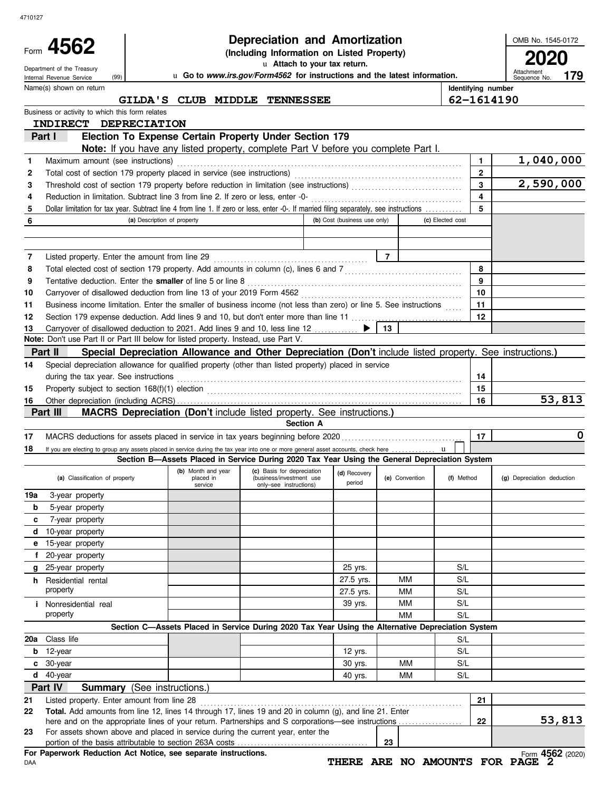|                                                                                                               | Depreciation and Amortization<br>Form 4562<br>(Including Information on Listed Property)<br>u Attach to your tax return.<br>Department of the Treasury                                                        |                             |                                         |                                                                                                          |                              |                                   |                  | OMB No. 1545-0172       |                            |             |
|---------------------------------------------------------------------------------------------------------------|---------------------------------------------------------------------------------------------------------------------------------------------------------------------------------------------------------------|-----------------------------|-----------------------------------------|----------------------------------------------------------------------------------------------------------|------------------------------|-----------------------------------|------------------|-------------------------|----------------------------|-------------|
|                                                                                                               |                                                                                                                                                                                                               |                             |                                         |                                                                                                          |                              |                                   |                  |                         |                            |             |
| u Go to www.irs.gov/Form4562 for instructions and the latest information.<br>(99)<br>Internal Revenue Service |                                                                                                                                                                                                               |                             |                                         |                                                                                                          |                              | Attachment<br>179<br>Sequence No. |                  |                         |                            |             |
|                                                                                                               | Name(s) shown on return                                                                                                                                                                                       |                             |                                         |                                                                                                          |                              |                                   |                  | Identifying number      |                            |             |
|                                                                                                               |                                                                                                                                                                                                               |                             |                                         | GILDA'S CLUB MIDDLE TENNESSEE                                                                            |                              |                                   |                  | 62-1614190              |                            |             |
|                                                                                                               | Business or activity to which this form relates                                                                                                                                                               |                             |                                         |                                                                                                          |                              |                                   |                  |                         |                            |             |
|                                                                                                               | INDIRECT DEPRECIATION<br>Part I                                                                                                                                                                               |                             |                                         | Election To Expense Certain Property Under Section 179                                                   |                              |                                   |                  |                         |                            |             |
|                                                                                                               |                                                                                                                                                                                                               |                             |                                         | Note: If you have any listed property, complete Part V before you complete Part I.                       |                              |                                   |                  |                         |                            |             |
| $\mathbf{1}$                                                                                                  | Maximum amount (see instructions)                                                                                                                                                                             |                             |                                         |                                                                                                          |                              |                                   |                  | $\mathbf{1}$            | 1,040,000                  |             |
| 2                                                                                                             |                                                                                                                                                                                                               |                             |                                         |                                                                                                          |                              |                                   |                  | $\mathbf{2}$            |                            |             |
| 3                                                                                                             |                                                                                                                                                                                                               |                             |                                         |                                                                                                          |                              |                                   |                  | $\overline{3}$          | 2,590,000                  |             |
| 4                                                                                                             |                                                                                                                                                                                                               |                             |                                         |                                                                                                          |                              |                                   |                  | $\overline{\mathbf{4}}$ |                            |             |
| 5                                                                                                             | Dollar limitation for tax year. Subtract line 4 from line 1. If zero or less, enter -0-. If married filing separately, see instructions                                                                       |                             |                                         |                                                                                                          |                              |                                   |                  | 5                       |                            |             |
| 6                                                                                                             |                                                                                                                                                                                                               | (a) Description of property |                                         |                                                                                                          | (b) Cost (business use only) |                                   | (c) Elected cost |                         |                            |             |
|                                                                                                               |                                                                                                                                                                                                               |                             |                                         |                                                                                                          |                              |                                   |                  |                         |                            |             |
| 7                                                                                                             |                                                                                                                                                                                                               |                             |                                         |                                                                                                          |                              | $\overline{7}$                    |                  |                         |                            |             |
| 8                                                                                                             | Listed property. Enter the amount from line 29                                                                                                                                                                |                             |                                         |                                                                                                          |                              |                                   |                  | 8                       |                            |             |
| 9                                                                                                             | Tentative deduction. Enter the smaller of line 5 or line 8                                                                                                                                                    |                             |                                         |                                                                                                          |                              |                                   |                  | $\mathbf{9}$            |                            |             |
| 10                                                                                                            |                                                                                                                                                                                                               |                             |                                         |                                                                                                          |                              |                                   |                  | 10                      |                            |             |
| 11                                                                                                            | Business income limitation. Enter the smaller of business income (not less than zero) or line 5. See instructions                                                                                             |                             |                                         |                                                                                                          |                              |                                   |                  | 11                      |                            |             |
| 12                                                                                                            | Section 179 expense deduction. Add lines 9 and 10, but don't enter more than line 11  [11] expense deduction. Add lines 9 and 10, but don't enter more than line 11                                           |                             |                                         |                                                                                                          |                              |                                   |                  | 12                      |                            |             |
| 13                                                                                                            | Carryover of disallowed deduction to 2021. Add lines 9 and 10, less line 12                                                                                                                                   |                             |                                         |                                                                                                          |                              | 13                                |                  |                         |                            |             |
|                                                                                                               | Note: Don't use Part II or Part III below for listed property. Instead, use Part V.                                                                                                                           |                             |                                         |                                                                                                          |                              |                                   |                  |                         |                            |             |
|                                                                                                               | <b>Part II</b>                                                                                                                                                                                                |                             |                                         | Special Depreciation Allowance and Other Depreciation (Don't include listed property. See instructions.) |                              |                                   |                  |                         |                            |             |
| 14                                                                                                            | Special depreciation allowance for qualified property (other than listed property) placed in service                                                                                                          |                             |                                         |                                                                                                          |                              |                                   |                  |                         |                            |             |
| 15                                                                                                            | during the tax year. See instructions                                                                                                                                                                         |                             |                                         |                                                                                                          |                              |                                   |                  | 14<br>15                |                            |             |
| 16                                                                                                            |                                                                                                                                                                                                               |                             |                                         |                                                                                                          |                              |                                   |                  | 16                      |                            | 53,813      |
|                                                                                                               | Part III                                                                                                                                                                                                      |                             |                                         | <b>MACRS Depreciation (Don't include listed property. See instructions.)</b>                             |                              |                                   |                  |                         |                            |             |
|                                                                                                               |                                                                                                                                                                                                               |                             |                                         | <b>Section A</b>                                                                                         |                              |                                   |                  |                         |                            |             |
| 17                                                                                                            |                                                                                                                                                                                                               |                             |                                         |                                                                                                          |                              |                                   |                  | 17                      |                            | $\mathbf 0$ |
| 18                                                                                                            | If you are electing to group any assets placed in service during the tax year into one or more general asset accounts, check here  U                                                                          |                             |                                         |                                                                                                          |                              |                                   |                  |                         |                            |             |
|                                                                                                               | Section B-Assets Placed in Service During 2020 Tax Year Using the General Depreciation System<br>(c) Basis for depreciation                                                                                   |                             |                                         |                                                                                                          |                              |                                   |                  |                         |                            |             |
|                                                                                                               | (a) Classification of property                                                                                                                                                                                |                             | (b) Month and year $\vert$<br>placed in | (business/investment use                                                                                 | (d) Recovery<br>period       | (e) Convention                    | (f) Method       |                         | (g) Depreciation deduction |             |
| 19a                                                                                                           | 3-year property                                                                                                                                                                                               |                             | service                                 | only-see instructions)                                                                                   |                              |                                   |                  |                         |                            |             |
| b                                                                                                             | 5-year property                                                                                                                                                                                               |                             |                                         |                                                                                                          |                              |                                   |                  |                         |                            |             |
| c                                                                                                             | 7-year property                                                                                                                                                                                               |                             |                                         |                                                                                                          |                              |                                   |                  |                         |                            |             |
| d                                                                                                             | 10-year property                                                                                                                                                                                              |                             |                                         |                                                                                                          |                              |                                   |                  |                         |                            |             |
| е                                                                                                             | 15-year property                                                                                                                                                                                              |                             |                                         |                                                                                                          |                              |                                   |                  |                         |                            |             |
| f                                                                                                             | 20-year property                                                                                                                                                                                              |                             |                                         |                                                                                                          |                              |                                   |                  |                         |                            |             |
| g                                                                                                             | 25-year property                                                                                                                                                                                              |                             |                                         |                                                                                                          | 25 yrs.                      |                                   | S/L              |                         |                            |             |
|                                                                                                               | <b>h</b> Residential rental<br>property                                                                                                                                                                       |                             |                                         |                                                                                                          | 27.5 yrs.                    | МM                                | S/L              |                         |                            |             |
|                                                                                                               |                                                                                                                                                                                                               |                             |                                         |                                                                                                          | 27.5 yrs.<br>39 yrs.         | МM<br><b>MM</b>                   | S/L<br>S/L       |                         |                            |             |
|                                                                                                               | <i>i</i> Nonresidential real<br>property                                                                                                                                                                      |                             |                                         |                                                                                                          |                              | <b>MM</b>                         | S/L              |                         |                            |             |
|                                                                                                               |                                                                                                                                                                                                               |                             |                                         | Section C-Assets Placed in Service During 2020 Tax Year Using the Alternative Depreciation System        |                              |                                   |                  |                         |                            |             |
|                                                                                                               | 20a Class life                                                                                                                                                                                                |                             |                                         |                                                                                                          |                              |                                   | S/L              |                         |                            |             |
|                                                                                                               | $b$ 12-year                                                                                                                                                                                                   |                             |                                         |                                                                                                          | 12 yrs.                      |                                   | S/L              |                         |                            |             |
|                                                                                                               | $c$ 30-year                                                                                                                                                                                                   |                             |                                         |                                                                                                          | 30 yrs.                      | <b>MM</b>                         | S/L              |                         |                            |             |
|                                                                                                               | $d$ 40-year                                                                                                                                                                                                   |                             |                                         |                                                                                                          | 40 yrs.                      | <b>MM</b>                         | S/L              |                         |                            |             |
|                                                                                                               | Part IV<br><b>Summary</b> (See instructions.)                                                                                                                                                                 |                             |                                         |                                                                                                          |                              |                                   |                  |                         |                            |             |
| 21                                                                                                            | Listed property. Enter amount from line 28                                                                                                                                                                    |                             |                                         |                                                                                                          |                              |                                   |                  | 21                      |                            |             |
| 22                                                                                                            | Total. Add amounts from line 12, lines 14 through 17, lines 19 and 20 in column (g), and line 21. Enter<br>here and on the appropriate lines of your return. Partnerships and S corporations—see instructions |                             |                                         |                                                                                                          |                              |                                   |                  | 22                      |                            | 53,813      |
| 23                                                                                                            | For assets shown above and placed in service during the current year, enter the                                                                                                                               |                             |                                         |                                                                                                          |                              |                                   |                  |                         |                            |             |
|                                                                                                               |                                                                                                                                                                                                               |                             |                                         |                                                                                                          |                              | 23                                |                  |                         |                            |             |
|                                                                                                               | For Paperwork Reduction Act Notice, see separate instructions.                                                                                                                                                |                             |                                         |                                                                                                          |                              |                                   |                  |                         | Form 4562 (2020)           |             |

DAA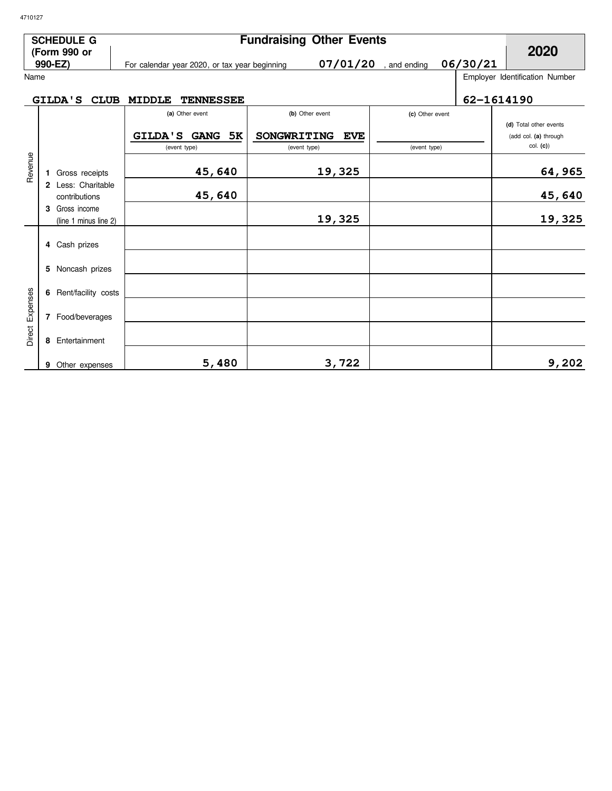|                 | <b>SCHEDULE G</b><br>(Form 990 or       | <b>Fundraising Other Events</b>               | 2020                      |                 |                                                 |
|-----------------|-----------------------------------------|-----------------------------------------------|---------------------------|-----------------|-------------------------------------------------|
|                 | 990-EZ)                                 | For calendar year 2020, or tax year beginning | 07/01/20                  | , and ending    | 06/30/21                                        |
| Name            |                                         |                                               |                           |                 | Employer Identification Number                  |
|                 | GILDA'S CLUB                            | <b>MIDDLE</b><br><b>TENNESSEE</b>             |                           |                 | 62-1614190                                      |
|                 |                                         | (a) Other event                               | (b) Other event           | (c) Other event |                                                 |
|                 |                                         | GILDA'S GANG 5K                               | SONGWRITING<br><b>EVE</b> |                 | (d) Total other events<br>(add col. (a) through |
|                 |                                         | (event type)                                  | (event type)              | (event type)    | col. (c)                                        |
| Revenue         | Gross receipts<br>$\mathbf{1}$          | 45,640                                        | 19,325                    |                 | 64,965                                          |
|                 | 2 Less: Charitable<br>contributions     | 45,640                                        |                           |                 | 45,640                                          |
|                 | 3 Gross income<br>(line 1 minus line 2) |                                               | 19,325                    |                 | 19,325                                          |
|                 | 4 Cash prizes                           |                                               |                           |                 |                                                 |
|                 | Noncash prizes<br>5                     |                                               |                           |                 |                                                 |
|                 | Rent/facility costs<br>6                |                                               |                           |                 |                                                 |
| Direct Expenses | 7 Food/beverages                        |                                               |                           |                 |                                                 |
|                 | 8 Entertainment                         |                                               |                           |                 |                                                 |
|                 | 9 Other expenses                        | 5,480                                         | 3,722                     |                 | 9,202                                           |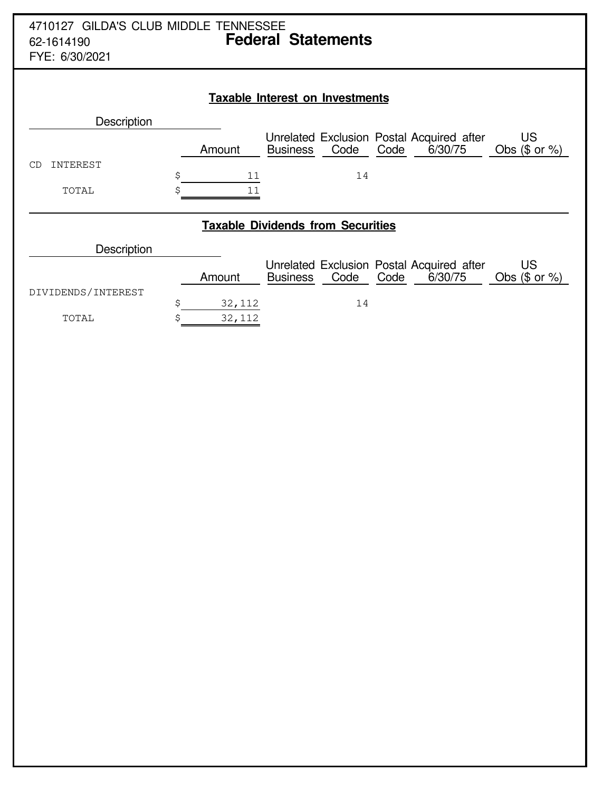| 4710127 GILDA'S CLUB MIDDLE TENNESSEE<br><b>Federal Statements</b><br>62-1614190<br>FYE: 6/30/2021 |    |         |                 |      |      |                                                      |                              |  |  |
|----------------------------------------------------------------------------------------------------|----|---------|-----------------|------|------|------------------------------------------------------|------------------------------|--|--|
| <b>Taxable Interest on Investments</b>                                                             |    |         |                 |      |      |                                                      |                              |  |  |
| Description                                                                                        |    |         |                 |      |      |                                                      |                              |  |  |
|                                                                                                    |    | Amount  | <b>Business</b> | Code | Code | Unrelated Exclusion Postal Acquired after<br>6/30/75 | <b>US</b><br>Obs $($or %)$   |  |  |
| INTEREST<br>CD                                                                                     |    |         |                 |      |      |                                                      |                              |  |  |
|                                                                                                    | \$ | 11      |                 | 14   |      |                                                      |                              |  |  |
| TOTAL                                                                                              | Ś  | 11      |                 |      |      |                                                      |                              |  |  |
| <b>Taxable Dividends from Securities</b>                                                           |    |         |                 |      |      |                                                      |                              |  |  |
| Description                                                                                        |    |         |                 |      |      |                                                      |                              |  |  |
|                                                                                                    |    | Amount  | <b>Business</b> | Code | Code | Unrelated Exclusion Postal Acquired after<br>6/30/75 | <b>US</b><br>Obs $($ or  %)$ |  |  |
| DIVIDENDS/INTEREST                                                                                 |    |         |                 |      |      |                                                      |                              |  |  |
|                                                                                                    | \$ | 32, 112 |                 | 14   |      |                                                      |                              |  |  |
| TOTAL                                                                                              | \$ | 32, 112 |                 |      |      |                                                      |                              |  |  |